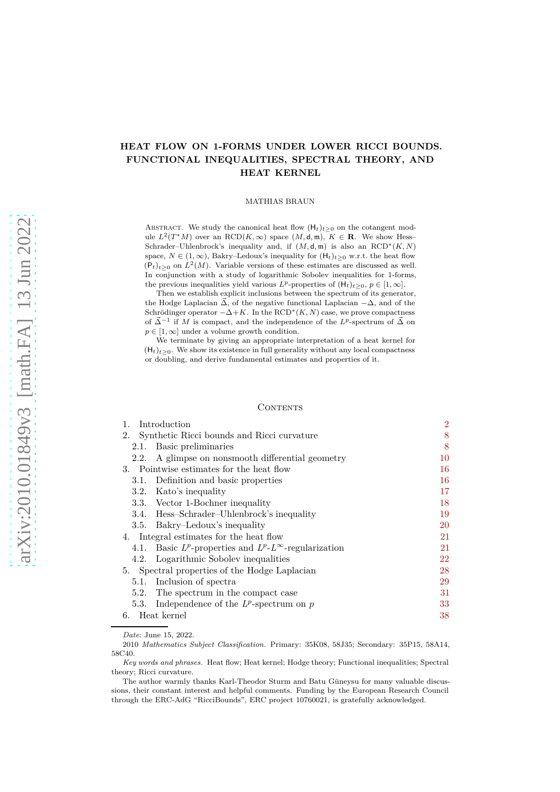# **HEAT FLOW ON 1-FORMS UNDER LOWER RICCI BOUNDS. FUNCTIONAL INEQUALITIES, SPECTRAL THEORY, AND HEAT KERNEL**

## MATHIAS BRAUN

ABSTRACT. We study the canonical heat flow  $(H_t)_{t\geq0}$  on the cotangent module  $L^2(T^*M)$  over an RCD( $K, \infty$ ) space  $(M, d, m)$ ,  $K \in \mathbf{R}$ . We show Hess– Schrader–Uhlenbrock's inequality and, if  $(M, d, \mathfrak{m})$  is also an  $RCD^*(K, N)$ space,  $N \in (1,\infty)$ , Bakry–Ledoux's inequality for  $(H_t)_{t>0}$  w.r.t. the heat flow  $(\mathsf{P}_t)_{t\geq 0}$  on  $L^2(M)$ . Variable versions of these estimates are discussed as well. In conjunction with a study of logarithmic Sobolev inequalities for 1-forms, the previous inequalities yield various  $L^p$ -properties of  $(\mathsf{H}_t)_{t>0}, p \in [1,\infty]$ .

Then we establish explicit inclusions between the spectrum of its generator, the Hodge Laplacian  $\vec{\Delta}$ , of the negative functional Laplacian  $-\Delta$ , and of the Schrödinger operator  $-\Delta + K$ . In the RCD<sup>\*</sup> $(K, N)$  case, we prove compactness of  $\vec{\Delta}^{-1}$  if *M* is compact, and the independence of the *L*<sup>*p*</sup>-spectrum of  $\vec{\Delta}$  on  $p \in [1, \infty]$  under a volume growth condition.

We terminate by giving an appropriate interpretation of a heat kernel for  $(H_t)_{t>0}$ . We show its existence in full generality without any local compactness or doubling, and derive fundamental estimates and properties of it.

## **CONTENTS**

| Introduction<br>$1_{-}$                       |                                                                     | $\overline{2}$ |
|-----------------------------------------------|---------------------------------------------------------------------|----------------|
|                                               | 2. Synthetic Ricci bounds and Ricci curvature                       | 8              |
| 2.1.                                          | Basic preliminaries                                                 | 8              |
| 2.2.                                          | A glimpse on nonsmooth differential geometry                        | 10             |
| 3. Pointwise estimates for the heat flow      |                                                                     | 16             |
|                                               | 3.1. Definition and basic properties                                | 16             |
|                                               | 3.2. Kato's inequality                                              | 17             |
|                                               | 3.3. Vector 1-Bochner inequality                                    | 18             |
|                                               | 3.4. Hess-Schrader-Uhlenbrock's inequality                          | 19             |
|                                               | 3.5. Bakry–Ledoux's inequality                                      | 20             |
| 4. Integral estimates for the heat flow       |                                                                     | 21             |
|                                               | 4.1. Basic $L^p$ -properties and $L^p$ - $L^\infty$ -regularization | 21             |
|                                               | 4.2. Logarithmic Sobolev inequalities                               | 22             |
| 5. Spectral properties of the Hodge Laplacian |                                                                     | 28             |
| 5.1.                                          | Inclusion of spectra                                                | 29             |
|                                               | 5.2. The spectrum in the compact case                               | 31             |
| 5.3.                                          | Independence of the $L^p$ -spectrum on p                            | 33             |
| 6. Heat kernel                                |                                                                     | 38             |

*Date*: June 15, 2022.

2010 *Mathematics Subject Classification.* Primary: 35K08, 58J35; Secondary: 35P15, 58A14, 58C40.

*Key words and phrases.* Heat flow; Heat kernel; Hodge theory; Functional inequalities; Spectral theory; Ricci curvature.

The author warmly thanks Karl-Theodor Sturm and Batu Güneysu for many valuable discussions, their constant interest and helpful comments. Funding by the European Research Council through the ERC-AdG "RicciBounds", ERC project 10760021, is gratefully acknowledged.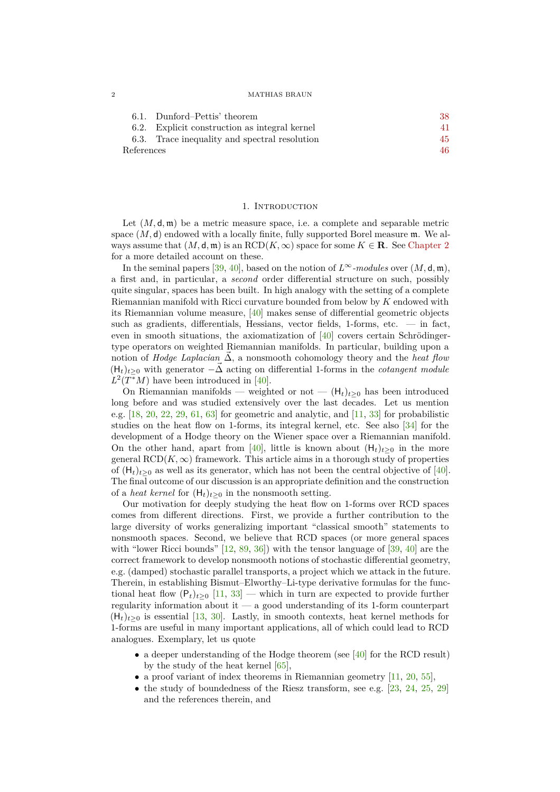## 2 MATHIAS BRAUN

|            | 6.1. Dunford–Pettis' theorem                  | 38  |
|------------|-----------------------------------------------|-----|
|            | 6.2. Explicit construction as integral kernel | 41. |
|            | 6.3. Trace inequality and spectral resolution | 45  |
| References |                                               | 46. |

## 1. INTRODUCTION

<span id="page-1-0"></span>Let  $(M, \mathsf{d}, \mathfrak{m})$  be a metric measure space, i.e. a complete and separable metric space  $(M, d)$  endowed with a locally finite, fully supported Borel measure  $m$ . We always assume that  $(M, \mathsf{d}, \mathfrak{m})$  is an  $\text{RCD}(K, \infty)$  space for some  $K \in \mathbb{R}$ . See [Chapter 2](#page-7-0) for a more detailed account on these.

In the seminal papers [\[39,](#page-47-0) [40\]](#page-47-1), based on the notion of  $L^{\infty}$ *-modules* over  $(M, d, m)$ , a first and, in particular, a *second* order differential structure on such, possibly quite singular, spaces has been built. In high analogy with the setting of a complete Riemannian manifold with Ricci curvature bounded from below by *K* endowed with its Riemannian volume measure, [\[40\]](#page-47-1) makes sense of differential geometric objects such as gradients, differentials, Hessians, vector fields, 1-forms, etc. — in fact, even in smooth situations, the axiomatization of  $[40]$  covers certain Schrödingertype operators on weighted Riemannian manifolds. In particular, building upon a notion of *Hodge Laplacian*  $\Delta$ , a nonsmooth cohomology theory and the *heat flow*  $(H_t)_{t>0}$  with generator  $-\vec{\Delta}$  acting on differential 1-forms in the *cotangent module*  $L^2(T^*M)$  have been introduced in [\[40\]](#page-47-1).

On Riemannian manifolds — weighted or not —  $(H_t)_{t>0}$  has been introduced long before and was studied extensively over the last decades. Let us mention e.g.  $[18, 20, 22, 29, 61, 63]$  $[18, 20, 22, 29, 61, 63]$  $[18, 20, 22, 29, 61, 63]$  $[18, 20, 22, 29, 61, 63]$  $[18, 20, 22, 29, 61, 63]$  $[18, 20, 22, 29, 61, 63]$  $[18, 20, 22, 29, 61, 63]$  $[18, 20, 22, 29, 61, 63]$  $[18, 20, 22, 29, 61, 63]$  $[18, 20, 22, 29, 61, 63]$  for geometric and analytic, and  $[11, 33]$  $[11, 33]$  for probabilistic studies on the heat flow on 1-forms, its integral kernel, etc. See also [\[34\]](#page-47-4) for the development of a Hodge theory on the Wiener space over a Riemannian manifold. On the other hand, apart from [\[40\]](#page-47-1), little is known about  $(H_t)_{t>0}$  in the more general  $\text{RCD}(K,\infty)$  framework. This article aims in a thorough study of properties of  $(H_t)_{t>0}$  as well as its generator, which has not been the central objective of [\[40\]](#page-47-1). The final outcome of our discussion is an appropriate definition and the construction of a *heat kernel* for  $(H_t)_{t>0}$  in the nonsmooth setting.

Our motivation for deeply studying the heat flow on 1-forms over RCD spaces comes from different directions. First, we provide a further contribution to the large diversity of works generalizing important "classical smooth" statements to nonsmooth spaces. Second, we believe that RCD spaces (or more general spaces with "lower Ricci bounds" [\[12,](#page-46-5) [89,](#page-48-1) [36\]](#page-47-5)) with the tensor language of [\[39,](#page-47-0) [40\]](#page-47-1) are the correct framework to develop nonsmooth notions of stochastic differential geometry, e.g. (damped) stochastic parallel transports, a project which we attack in the future. Therein, in establishing Bismut–Elworthy–Li-type derivative formulas for the functional heat flow  $(P_t)_{t\geq0}$  [\[11,](#page-46-4) [33\]](#page-47-3) — which in turn are expected to provide further regularity information about it — a good understanding of its 1-form counterpart  $(H<sub>t</sub>)<sub>t>0</sub>$  is essential [\[13,](#page-46-6) [30\]](#page-46-7). Lastly, in smooth contexts, heat kernel methods for 1-forms are useful in many important applications, all of which could lead to RCD analogues. Exemplary, let us quote

- a deeper understanding of the Hodge theorem (see [\[40\]](#page-47-1) for the RCD result) by the study of the heat kernel [\[65\]](#page-48-2),
- a proof variant of index theorems in Riemannian geometry  $[11, 20, 55]$  $[11, 20, 55]$  $[11, 20, 55]$  $[11, 20, 55]$ ,
- the study of boundedness of the Riesz transform, see e.g.  $[23, 24, 25, 29]$  $[23, 24, 25, 29]$  $[23, 24, 25, 29]$  $[23, 24, 25, 29]$  $[23, 24, 25, 29]$  $[23, 24, 25, 29]$ and the references therein, and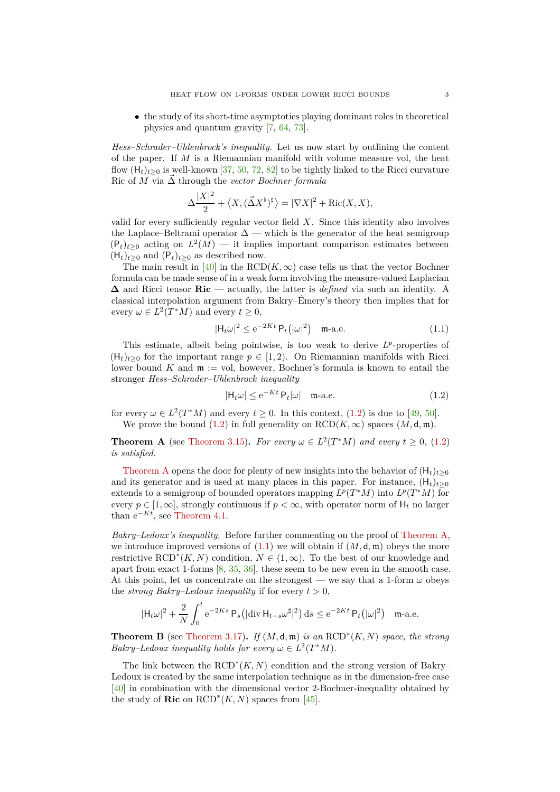• the study of its short-time asymptotics playing dominant roles in theoretical physics and quantum gravity [\[7,](#page-46-11) [64,](#page-48-3) [73\]](#page-48-4).

*Hess–Schrader–Uhlenbrock's inequality.* Let us now start by outlining the content of the paper. If *M* is a Riemannian manifold with volume measure vol, the heat flow  $(H_t)_{t>0}$  is well-known [\[37,](#page-47-7) [50,](#page-47-8) [72,](#page-48-5) [82\]](#page-48-6) to be tightly linked to the Ricci curvature Ric of  $\overline{M}$  via  $\overrightarrow{\Delta}$  through the *vector Bochner formula* 

$$
\Delta \frac{|X|^2}{2} + \langle X, (\vec{\Delta}X^{\flat})^{\sharp} \rangle = |\nabla X|^2 + \text{Ric}(X, X),
$$

valid for every sufficiently regular vector field *X*. Since this identity also involves the Laplace–Beltrami operator  $\Delta$  — which is the generator of the heat semigroup  $(P_t)_{t\geq 0}$  acting on  $L^2(M)$  — it implies important comparison estimates between  $(H_t)_{t>0}$  and  $(P_t)_{t>0}$  as described now.

The main result in [\[40\]](#page-47-1) in the RCD( $K, \infty$ ) case tells us that the vector Bochner formula can be made sense of in a weak form involving the measure-valued Laplacian **∆** and Ricci tensor **Ric** — actually, the latter is *defined* via such an identity. A classical interpolation argument from Bakry–Émery's theory then implies that for every  $\omega \in L^2(T^*M)$  and every  $t \geq 0$ ,

<span id="page-2-2"></span>
$$
|\mathsf{H}_{t}\omega|^{2} \le e^{-2Kt} \mathsf{P}_{t}(|\omega|^{2}) \quad \text{m-a.e.} \tag{1.1}
$$

This estimate, albeit being pointwise, is too weak to derive  $L^p$ -properties of  $(H_t)_{t>0}$  for the important range  $p \in [1,2)$ . On Riemannian manifolds with Ricci lower bound  $K$  and  $\mathfrak{m} := \text{vol}$ , however, Bochner's formula is known to entail the stronger *Hess–Schrader–Uhlenbrock inequality*

<span id="page-2-0"></span>
$$
|\mathsf{H}_{t}\omega| \le e^{-Kt} \, \mathsf{P}_{t}|\omega| \quad \text{m-a.e.} \tag{1.2}
$$

for every  $\omega \in L^2(T^*M)$  and every  $t \ge 0$ . In this context, [\(1.2\)](#page-2-0) is due to [\[49,](#page-47-9) [50\]](#page-47-8). We prove the bound [\(1.2\)](#page-2-0) in full generality on  $RCD(K, \infty)$  spaces  $(M, d, m)$ .

<span id="page-2-1"></span>**Theorem A** (see [Theorem 3.15\)](#page-19-1). *For every*  $\omega \in L^2(T^*M)$  *and every*  $t \geq 0$ , [\(1.2\)](#page-2-0) *is satisfied.*

[Theorem A](#page-2-1) opens the door for plenty of new insights into the behavior of  $(H_t)_{t>0}$ and its generator and is used at many places in this paper. For instance,  $(H_t)_{t>0}$ extends to a semigroup of bounded operators mapping  $L^p(T^*M)$  into  $L^p(T^*M)$  for every  $p \in [1,\infty]$ , strongly continuous if  $p < \infty$ , with operator norm of  $H_t$  no larger than  $e^{-Kt}$ , see [Theorem 4.1.](#page-21-1)

*Bakry–Ledoux's inequality.* Before further commenting on the proof of [Theorem A,](#page-2-1) we introduce improved versions of  $(1.1)$  we will obtain if  $(M, d, \mathfrak{m})$  obeys the more restrictive  $\text{RCD}^*(K, N)$  condition,  $N \in (1, \infty)$ . To the best of our knowledge and apart from exact 1-forms [\[8,](#page-46-12) [35,](#page-47-10) [36\]](#page-47-5), these seem to be new even in the smooth case. At this point, let us concentrate on the strongest — we say that a 1-form  $\omega$  obeys the *strong Bakry–Ledoux inequality* if for every  $t > 0$ ,

$$
|\mathsf{H}_t\omega|^2 + \frac{2}{N}\int_0^t e^{-2Ks}\,\mathsf{P}_s\big(|\mathrm{div}\,\mathsf{H}_{t-s}\omega^{\sharp}|^2\big)\,\mathrm{d}s \le e^{-2Kt}\,\mathsf{P}_t\big(|\omega|^2\big) \quad \text{m-a.e.}
$$

<span id="page-2-3"></span>**Theorem B** (see [Theorem 3.17\)](#page-19-2). *If*  $(M, d, m)$  *is an*  $RCD^*(K, N)$  *space, the strong Bakry–Ledoux inequality holds for every*  $\omega \in L^2(T^*M)$ *.* 

The link between the  $\text{RCD}^*(K, N)$  condition and the strong version of Bakry– Ledoux is created by the same interpolation technique as in the dimension-free case [\[40\]](#page-47-1) in combination with the dimensional vector 2-Bochner-inequality obtained by the study of **Ric** on  $\text{RCD}^*(K, N)$  spaces from [\[45\]](#page-47-11).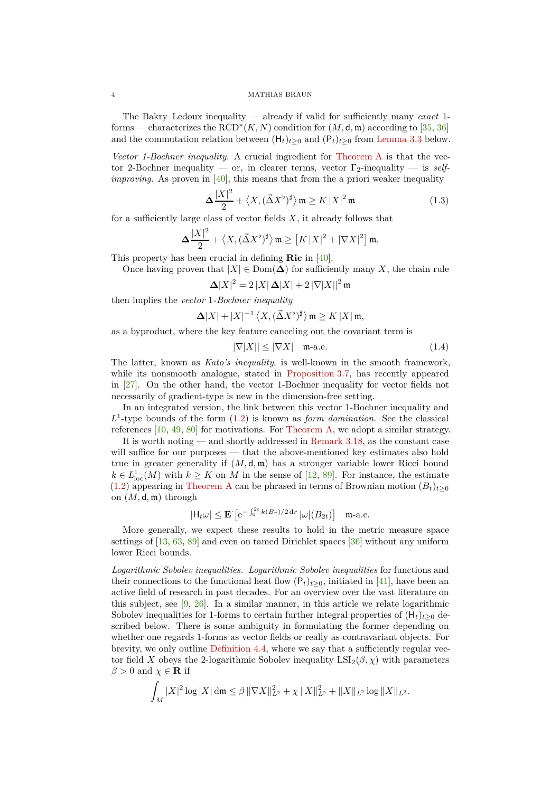#### 4 MATHIAS BRAUN

The Bakry–Ledoux inequality — already if valid for sufficiently many *exact* 1 forms — characterizes the  $\text{RCD}^*(K, N)$  condition for  $(M, \mathsf{d}, \mathfrak{m})$  according to [\[35,](#page-47-10) [36\]](#page-47-5) and the commutation relation between  $(H_t)_{t>0}$  and  $(P_t)_{t>0}$  from [Lemma 3.3](#page-15-2) below.

*Vector 1-Bochner inequality.* A crucial ingredient for [Theorem A](#page-2-1) is that the vector 2-Bochner inequality — or, in clearer terms, vector Γ2-inequality — is *selfimproving*. As proven in [\[40\]](#page-47-1), this means that from the a priori weaker inequality

$$
\Delta \frac{|X|^2}{2} + \langle X, (\vec{\Delta}X^{\flat})^{\sharp} \rangle \mathfrak{m} \ge K |X|^2 \mathfrak{m}
$$
 (1.3)

for a sufficiently large class of vector fields  $X$ , it already follows that

$$
\Delta \frac{|X|^2}{2} + \left\langle X, (\vec{\Delta}X^{\flat})^{\sharp} \right\rangle \mathfrak{m} \geq \left[ K |X|^2 + |\nabla X|^2 \right] \mathfrak{m},
$$

This property has been crucial in defining **Ric** in [\[40\]](#page-47-1).

Once having proven that  $|X| \in \text{Dom}(\Delta)$  for sufficiently many X, the chain rule

$$
\Delta |X|^2 = 2 |X| \Delta |X| + 2 |\nabla |X||^2 \mathfrak{m}
$$

then implies the *vector* 1*-Bochner inequality*

$$
\Delta |X|+|X|^{-1}\left\langle X,(\vec{\Delta}X^{\flat})^{\sharp}\right\rangle \mathfrak{m}\geq K\left|X\right|\mathfrak{m},
$$

as a byproduct, where the key feature canceling out the covariant term is

<span id="page-3-0"></span>
$$
|\nabla|X|| \le |\nabla X| \quad \text{m-a.e.} \tag{1.4}
$$

The latter, known as *Kato's inequality*, is well-known in the smooth framework, while its nonsmooth analogue, stated in [Proposition 3.7,](#page-16-1) has recently appeared in [\[27\]](#page-46-13). On the other hand, the vector 1-Bochner inequality for vector fields not necessarily of gradient-type is new in the dimension-free setting.

In an integrated version, the link between this vector 1-Bochner inequality and  $L^1$ -type bounds of the form  $(1.2)$  is known as *form domination*. See the classical references [\[10,](#page-46-14) [49,](#page-47-9) [80\]](#page-48-7) for motivations. For [Theorem A,](#page-2-1) we adopt a similar strategy.

It is worth noting — and shortly addressed in [Remark 3.18,](#page-20-2) as the constant case will suffice for our purposes — that the above-mentioned key estimates also hold true in greater generality if  $(M, d, \mathfrak{m})$  has a stronger variable lower Ricci bound  $k \in L^1_{loc}(M)$  with  $k \geq K$  on M in the sense of [\[12,](#page-46-5) [89\]](#page-48-1). For instance, the estimate [\(1.2\)](#page-2-0) appearing in [Theorem A](#page-2-1) can be phrased in terms of Brownian motion  $(B_t)_{t\geq 0}$ on (*M,* d*,* m) through

$$
|\mathsf{H}_t \omega| \le \mathbf{E} \left[ e^{-\int_0^{2t} k(B_r)/2 \, \mathrm{d}r} \left| \omega \right| (B_{2t}) \right] \quad \text{m-a.e.}
$$

 $201$ 

More generally, we expect these results to hold in the metric measure space settings of [\[13,](#page-46-6) [63,](#page-48-0) [89\]](#page-48-1) and even on tamed Dirichlet spaces [\[36\]](#page-47-5) without any uniform lower Ricci bounds.

*Logarithmic Sobolev inequalities. Logarithmic Sobolev inequalities* for functions and their connections to the functional heat flow  $(P_t)_{t>0}$ , initiated in [\[41\]](#page-47-12), have been an active field of research in past decades. For an overview over the vast literature on this subject, see [\[9,](#page-46-15) [26\]](#page-46-16). In a similar manner, in this article we relate logarithmic Sobolev inequalities for 1-forms to certain further integral properties of  $(H_t)_{t>0}$  described below. There is some ambiguity in formulating the former depending on whether one regards 1-forms as vector fields or really as contravariant objects. For brevity, we only outline [Definition 4.4,](#page-21-2) where we say that a sufficiently regular vector field *X* obeys the 2-logarithmic Sobolev inequality  $LSI_2(\beta, \chi)$  with parameters  $\beta > 0$  and  $\chi \in \mathbf{R}$  if

$$
\int_M |X|^2 \log |X| \, \mathrm{d}\mathfrak{m} \leq \beta \, \|\nabla X\|_{L^2}^2 + \chi \, \|X\|_{L^2}^2 + \|X\|_{L^2} \log \|X\|_{L^2}.
$$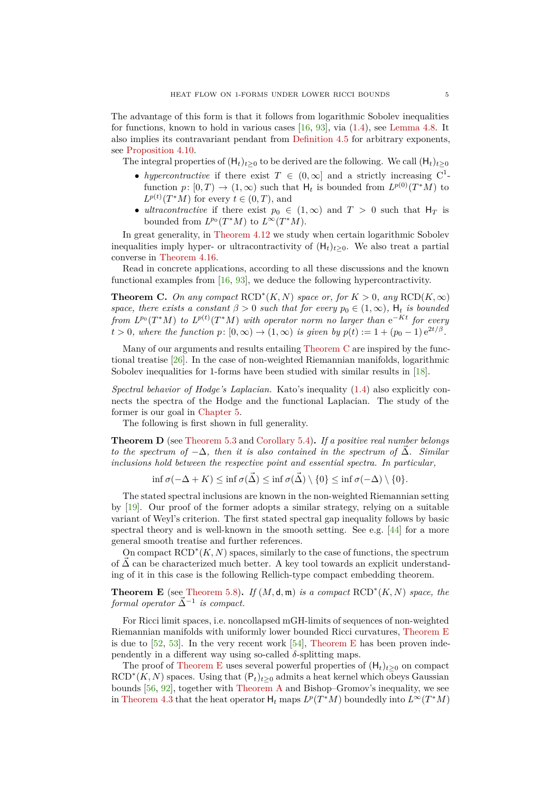The advantage of this form is that it follows from logarithmic Sobolev inequalities for functions, known to hold in various cases [\[16,](#page-46-17) [93\]](#page-49-0), via [\(1.4\)](#page-3-0), see [Lemma 4.8.](#page-22-0) It also implies its contravariant pendant from [Definition 4.5](#page-22-1) for arbitrary exponents, see [Proposition 4.10.](#page-23-0)

The integral properties of  $(H_t)_{t>0}$  to be derived are the following. We call  $(H_t)_{t>0}$ 

- *hypercontractive* if there exist  $T \in (0, \infty]$  and a strictly increasing  $C^1$ function  $p: [0, T) \to (1, \infty)$  such that  $H_t$  is bounded from  $L^{p(0)}(T^*M)$  to  $L^{p(t)}(T^*M)$  for every  $t \in (0, T)$ , and
- *ultracontractive* if there exist  $p_0 \in (1,\infty)$  and  $T > 0$  such that  $H_T$  is bounded from  $L^{p_0}(T^*M)$  to  $L^{\infty}(T^*M)$ .

In great generality, in [Theorem 4.12](#page-25-0) we study when certain logarithmic Sobolev inequalities imply hyper- or ultracontractivity of  $(H_t)_{t>0}$ . We also treat a partial converse in [Theorem 4.16.](#page-27-1)

Read in concrete applications, according to all these discussions and the known functional examples from [\[16,](#page-46-17) [93\]](#page-49-0), we deduce the following hypercontractivity.

<span id="page-4-0"></span>**Theorem C.** On any compact  $\text{RCD}^*(K, N)$  space or, for  $K > 0$ , any  $\text{RCD}(K, \infty)$ *space, there exists a constant*  $\beta > 0$  *such that for every*  $p_0 \in (1, \infty)$ *,*  $H_t$  *is bounded from*  $L^{p_0}(T^*M)$  *to*  $L^{p(t)}(T^*M)$  *with operator norm no larger than*  $e^{-Kt}$  *for every*  $t > 0$ , where the function  $p: [0, \infty) \to (1, \infty)$  is given by  $p(t) := 1 + (p_0 - 1) e^{2t/\beta}$ .

Many of our arguments and results entailing [Theorem C](#page-4-0) are inspired by the functional treatise [\[26\]](#page-46-16). In the case of non-weighted Riemannian manifolds, logarithmic Sobolev inequalities for 1-forms have been studied with similar results in [\[18\]](#page-46-0).

*Spectral behavior of Hodge's Laplacian.* Kato's inequality [\(1.4\)](#page-3-0) also explicitly connects the spectra of the Hodge and the functional Laplacian. The study of the former is our goal in [Chapter 5.](#page-27-0)

The following is first shown in full generality.

<span id="page-4-2"></span>**Theorem D** (see [Theorem 5.3](#page-28-1) and [Corollary 5.4\)](#page-29-0)**.** *If a positive real number belongs to the spectrum of*  $-\Delta$ *, then it is also contained in the spectrum of*  $\overline{\Delta}$ *. Similar inclusions hold between the respective point and essential spectra. In particular,*

 $\inf \sigma(-\Delta + K) \leq \inf \sigma(\vec{\Delta}) \leq \inf \sigma(\vec{\Delta}) \setminus \{0\} \leq \inf \sigma(-\Delta) \setminus \{0\}.$ 

The stated spectral inclusions are known in the non-weighted Riemannian setting by [\[19\]](#page-46-18). Our proof of the former adopts a similar strategy, relying on a suitable variant of Weyl's criterion. The first stated spectral gap inequality follows by basic spectral theory and is well-known in the smooth setting. See e.g. [\[44\]](#page-47-13) for a more general smooth treatise and further references.

On compact  $\text{RCD}^*(K, N)$  spaces, similarly to the case of functions, the spectrum of  $\Delta$  can be characterized much better. A key tool towards an explicit understanding of it in this case is the following Rellich-type compact embedding theorem.

<span id="page-4-1"></span>**Theorem E** (see [Theorem 5.8\)](#page-30-1). *If*  $(M, d, m)$  *is a compact*  $\text{RCD}^*(K, N)$  *space, the*  $$ 

For Ricci limit spaces, i.e. noncollapsed mGH-limits of sequences of non-weighted Riemannian manifolds with uniformly lower bounded Ricci curvatures, [Theorem E](#page-4-1) is due to  $[52, 53]$  $[52, 53]$ . In the very recent work  $[54]$ , [Theorem E](#page-4-1) has been proven independently in a different way using so-called  $\delta$ -splitting maps.

The proof of [Theorem E](#page-4-1) uses several powerful properties of  $(H_t)_{t>0}$  on compact  $RCD^*(K, N)$  spaces. Using that  $(P_t)_{t\geq 0}$  admits a heat kernel which obeys Gaussian bounds [\[56,](#page-47-17) [92\]](#page-48-8), together with [Theorem A](#page-2-1) and Bishop–Gromov's inequality, we see in [Theorem 4.3](#page-21-3) that the heat operator  $H_t$  maps  $L^p(T^*M)$  boundedly into  $L^\infty(T^*M)$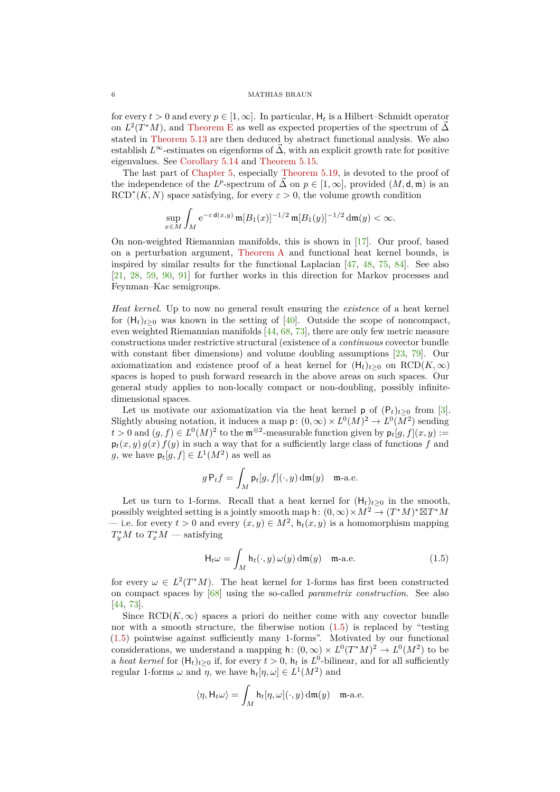## 6 MATHIAS BRAUN

for every  $t > 0$  and every  $p \in [1, \infty]$ . In particular,  $H_t$  is a Hilbert–Schmidt operator on  $L^2(T^*M)$ , and [Theorem E](#page-4-1) as well as expected properties of the spectrum of  $\vec{\Delta}$ stated in [Theorem 5.13](#page-31-0) are then deduced by abstract functional analysis. We also establish  $L^{\infty}$ -estimates on eigenforms of  $\tilde{\Delta}$ , with an explicit growth rate for positive eigenvalues. See [Corollary 5.14](#page-32-1) and [Theorem 5.15.](#page-32-2)

The last part of [Chapter 5,](#page-27-0) especially [Theorem 5.19,](#page-33-0) is devoted to the proof of the independence of the *L*<sup>*p*</sup>-spectrum of  $\vec{\Delta}$  on  $p \in [1, \infty]$ , provided  $(M, \mathsf{d}, \mathfrak{m})$  is an  $RCD^*(K, N)$  space satisfying, for every  $\varepsilon > 0$ , the volume growth condition

$$
\sup_{x \in M} \int_M e^{-\varepsilon d(x,y)} \, \mathfrak{m}[B_1(x)]^{-1/2} \, \mathfrak{m}[B_1(y)]^{-1/2} \, \mathrm{d}\mathfrak{m}(y) < \infty.
$$

On non-weighted Riemannian manifolds, this is shown in [\[17\]](#page-46-19). Our proof, based on a perturbation argument, [Theorem A](#page-2-1) and functional heat kernel bounds, is inspired by similar results for the functional Laplacian [\[47,](#page-47-18) [48,](#page-47-19) [75,](#page-48-9) [84\]](#page-48-10). See also [\[21,](#page-46-20) [28,](#page-46-21) [59,](#page-47-20) [90,](#page-48-11) [91\]](#page-48-12) for further works in this direction for Markov processes and Feynman–Kac semigroups.

*Heat kernel.* Up to now no general result ensuring the *existence* of a heat kernel for  $(H_t)_{t>0}$  was known in the setting of [\[40\]](#page-47-1). Outside the scope of noncompact, even weighted Riemannian manifolds [\[44,](#page-47-13) [68,](#page-48-13) [73\]](#page-48-4), there are only few metric measure constructions under restrictive structural (existence of a *continuous* covector bundle with constant fiber dimensions) and volume doubling assumptions [\[23,](#page-46-8) [79\]](#page-48-14). Our axiomatization and existence proof of a heat kernel for  $(H_t)_{t>0}$  on  $RCD(K,\infty)$ spaces is hoped to push forward research in the above areas on such spaces. Our general study applies to non-locally compact or non-doubling, possibly infinitedimensional spaces.

Let us motivate our axiomatization via the heat kernel  $p$  of  $(P_t)_{t\geq 0}$  from [\[3\]](#page-45-1). Slightly abusing notation, it induces a map  $p: (0, \infty) \times L^0(M)^2 \to L^0(M^2)$  sending  $t > 0$  and  $(g, f) \in L^0(M)^2$  to the m<sup>⊗2</sup>-measurable function given by  $p_t[g, f](x, y) :=$  $p_t(x, y) g(x) f(y)$  in such a way that for a sufficiently large class of functions f and *g*, we have  $\mathsf{p}_t[g, f] \in L^1(M^2)$  as well as

$$
g P_t f = \int_M \mathsf{p}_t[g, f](\cdot, y) \, \mathrm{d}\mathfrak{m}(y) \quad \mathfrak{m}\text{-a.e.}
$$

Let us turn to 1-forms. Recall that a heat kernel for  $(H_t)_{t>0}$  in the smooth, possibly weighted setting is a jointly smooth map h:  $(0, \infty) \times M^2 \to (T^*M)^* \boxtimes T^*M$ — i.e. for every  $t > 0$  and every  $(x, y) \in M^2$ ,  $h_t(x, y)$  is a homomorphism mapping  $T_y^*M$  to  $T_x^*M$  — satisfying

<span id="page-5-0"></span>
$$
\mathsf{H}_{t}\omega = \int_{M} \mathsf{h}_{t}(\cdot, y) \,\omega(y) \,\mathrm{d}\mathfrak{m}(y) \quad \mathfrak{m}\text{-a.e.} \tag{1.5}
$$

for every  $\omega \in L^2(T^*M)$ . The heat kernel for 1-forms has first been constructed on compact spaces by [\[68\]](#page-48-13) using the so-called *parametrix construction*. See also [\[44,](#page-47-13) [73\]](#page-48-4).

Since  $RCD(K, \infty)$  spaces a priori do neither come with any covector bundle nor with a smooth structure, the fiberwise notion [\(1.5\)](#page-5-0) is replaced by "testing [\(1.5\)](#page-5-0) pointwise against sufficiently many 1-forms". Motivated by our functional considerations, we understand a mapping h:  $(0, \infty) \times L^0(T^*M)^2 \to L^0(M^2)$  to be a *heat kernel* for  $(H_t)_{t\geq0}$  if, for every  $t>0$ ,  $h_t$  is  $L^0$ -bilinear, and for all sufficiently regular 1-forms  $\omega$  and  $\eta$ , we have  $h_t[\eta, \omega] \in L^1(M^2)$  and

$$
\langle \eta, \mathsf{H}_t \omega \rangle = \int_M \mathsf{h}_t[\eta, \omega](\cdot, y) \, \mathrm{d}\mathfrak{m}(y) \quad \mathfrak{m}\text{-a.e.}
$$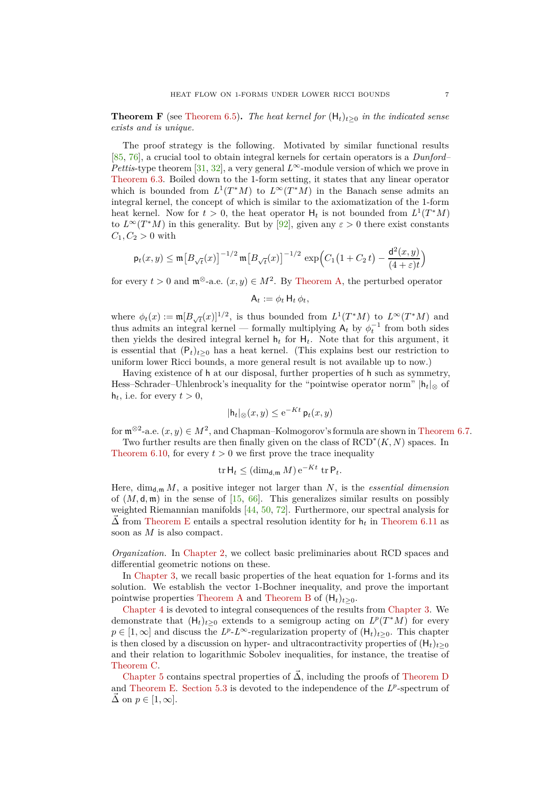<span id="page-6-0"></span>**Theorem F** (see [Theorem 6.5\)](#page-40-1). The heat kernel for  $(H_t)_{t\geq0}$  in the indicated sense *exists and is unique.*

The proof strategy is the following. Motivated by similar functional results [\[85,](#page-48-15) [76\]](#page-48-16), a crucial tool to obtain integral kernels for certain operators is a *Dunford– Pettis*-type theorem [\[31,](#page-46-22) [32\]](#page-46-23), a very general  $L^{\infty}$ -module version of which we prove in [Theorem 6.3.](#page-37-2) Boiled down to the 1-form setting, it states that any linear operator which is bounded from  $L^1(T^*M)$  to  $L^\infty(T^*M)$  in the Banach sense admits an integral kernel, the concept of which is similar to the axiomatization of the 1-form heat kernel. Now for  $t > 0$ , the heat operator  $H_t$  is not bounded from  $L^1(T^*M)$ to  $L^{\infty}(T^*M)$  in this generality. But by [\[92\]](#page-48-8), given any  $\varepsilon > 0$  there exist constants  $C_1, C_2 > 0$  with

$$
\mathsf{p}_t(x,y) \le \mathfrak{m}\!\left[B_{\sqrt{t}}(x)\right]^{-1/2} \mathfrak{m}\!\left[B_{\sqrt{t}}(x)\right]^{-1/2} \, \exp\!\left(C_1\!\left(1+C_2\,t\right)-\frac{\mathsf{d}^2(x,y)}{(4+\varepsilon)t}\right)
$$

for every  $t > 0$  and  $\mathfrak{m}^{\otimes}$ -a.e.  $(x, y) \in M^2$ . By [Theorem A,](#page-2-1) the perturbed operator

$$
A_t := \phi_t H_t \phi_t,
$$

where  $\phi_t(x) := \mathfrak{m}[B_{\sqrt{t}}(x)]^{1/2}$ , is thus bounded from  $L^1(T^*M)$  to  $L^{\infty}(T^*M)$  and thus admits an integral kernel — formally multiplying  $A_t$  by  $\phi_t^{-1}$  from both sides then yields the desired integral kernel  $h_t$  for  $H_t$ . Note that for this argument, it is essential that  $(P_t)_{t>0}$  has a heat kernel. (This explains best our restriction to uniform lower Ricci bounds, a more general result is not available up to now.)

Having existence of h at our disposal, further properties of h such as symmetry, Hess–Schrader–Uhlenbrock's inequality for the "pointwise operator norm"  $|h_t|_{\otimes}$  of  $h_t$ , i.e. for every  $t > 0$ ,

$$
|\mathsf{h}_t|_{\otimes}(x,y) \leq e^{-Kt} \mathsf{p}_t(x,y)
$$

for  $\mathfrak{m}^{\otimes 2}$ -a.e.  $(x, y) \in M^2$ , and Chapman–Kolmogorov's formula are shown in [Theorem 6.7.](#page-42-0)

Two further results are then finally given on the class of RCD<sup>∗</sup> (*K, N*) spaces. In [Theorem 6.10,](#page-44-1) for every  $t > 0$  we first prove the trace inequality

$$
\operatorname{tr} \mathsf{H}_t \leq (\dim_{\mathsf{d},\mathfrak{m}} M) e^{-Kt} \operatorname{tr} \mathsf{P}_t.
$$

Here,  $\dim_{\mathbf{d},\mathfrak{m}} M$ , a positive integer not larger than N, is the *essential dimension* of  $(M, \mathsf{d}, \mathfrak{m})$  in the sense of [\[15,](#page-46-24) [66\]](#page-48-17). This generalizes similar results on possibly weighted Riemannian manifolds [\[44,](#page-47-13) [50,](#page-47-8) [72\]](#page-48-5). Furthermore, our spectral analysis for  $\Delta$  from [Theorem E](#page-4-1) entails a spectral resolution identity for  $h_t$  in [Theorem 6.11](#page-45-2) as soon as *M* is also compact.

*Organization.* In [Chapter 2,](#page-7-0) we collect basic preliminaries about RCD spaces and differential geometric notions on these.

In [Chapter 3,](#page-15-0) we recall basic properties of the heat equation for 1-forms and its solution. We establish the vector 1-Bochner inequality, and prove the important pointwise properties [Theorem A](#page-2-1) and [Theorem B](#page-2-3) of  $(H_t)_{t>0}$ .

[Chapter 4](#page-20-0) is devoted to integral consequences of the results from [Chapter 3.](#page-15-0) We demonstrate that  $(H_t)_{t\geq 0}$  extends to a semigroup acting on  $L^p(T^*M)$  for every  $p \in [1,\infty]$  and discuss the  $L^p \text{-} L^\infty$ -regularization property of  $(\mathsf{H}_t)_{t\geq 0}$ . This chapter is then closed by a discussion on hyper- and ultracontractivity properties of  $(H_t)_{t>0}$ and their relation to logarithmic Sobolev inequalities, for instance, the treatise of [Theorem C.](#page-4-0)

[Chapter 5](#page-27-0) contains spectral properties of  $\vec{\Delta}$ , including the proofs of [Theorem D](#page-4-2) and [Theorem E.](#page-4-1) [Section 5.3](#page-32-0) is devoted to the independence of the  $L^p$ -spectrum of  $\overrightarrow{\Delta}$  on  $p \in [1, \infty]$ .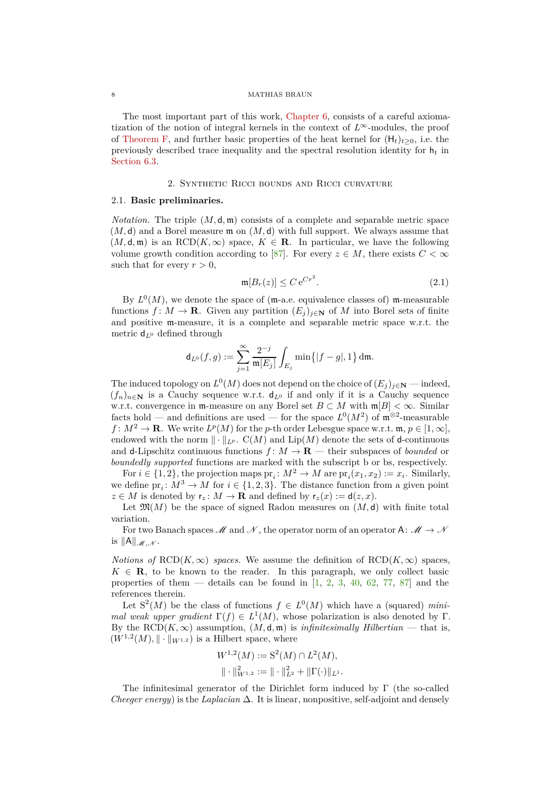## 8 MATHIAS BRAUN

The most important part of this work, [Chapter 6,](#page-37-0) consists of a careful axiomatization of the notion of integral kernels in the context of *L*∞-modules, the proof of [Theorem F,](#page-6-0) and further basic properties of the heat kernel for  $(H_t)_{t>0}$ , i.e. the previously described trace inequality and the spectral resolution identity for h*<sup>t</sup>* in [Section 6.3.](#page-44-0)

#### 2. Synthetic Ricci bounds and Ricci curvature

## <span id="page-7-1"></span><span id="page-7-0"></span>2.1. **Basic preliminaries.**

*Notation.* The triple  $(M, \mathsf{d}, \mathfrak{m})$  consists of a complete and separable metric space  $(M, d)$  and a Borel measure  $m$  on  $(M, d)$  with full support. We always assume that  $(M, \mathsf{d}, \mathfrak{m})$  is an RCD $(K, \infty)$  space,  $K \in \mathbb{R}$ . In particular, we have the following volume growth condition according to [\[87\]](#page-48-18). For every  $z \in M$ , there exists  $C < \infty$ such that for every  $r > 0$ ,

<span id="page-7-2"></span>
$$
\mathfrak{m}[B_r(z)] \le C e^{Cr^2}.
$$
\n(2.1)

By  $L^0(M)$ , we denote the space of (m-a.e. equivalence classes of) m-measurable functions  $f: M \to \mathbf{R}$ . Given any partition  $(E_i)_{i \in \mathbf{N}}$  of M into Borel sets of finite and positive m-measure, it is a complete and separable metric space w.r.t. the metric d*<sup>L</sup>*<sup>0</sup> defined through

$$
\mathrm{d}_{L^0}(f,g):=\sum_{j=1}^\infty\frac{2^{-j}}{\mathfrak m[E_j]}\int_{E_j}\min\bigl\{|f-g|,1\bigr\}\,\mathrm{d}\mathfrak m.
$$

The induced topology on  $L^0(M)$  does not depend on the choice of  $(E_j)_{j\in\mathbb{N}}$  — indeed,  $(f_n)_{n\in\mathbb{N}}$  is a Cauchy sequence w.r.t.  $d_{L^0}$  if and only if it is a Cauchy sequence w.r.t. convergence in m-measure on any Borel set  $B \subset M$  with  $\mathfrak{m}[B] < \infty$ . Similar facts hold — and definitions are used — for the space  $L^0(M^2)$  of  $\mathfrak{m}^{\otimes 2}$ -measurable  $f: M^2 \to \mathbf{R}$ . We write  $L^p(M)$  for the *p*-th order Lebesgue space w.r.t. m,  $p \in [1, \infty]$ , endowed with the norm  $\|\cdot\|_{L^p}$ .  $C(M)$  and  $Lip(M)$  denote the sets of d-continuous and **d**-Lipschitz continuous functions  $f: M \to \mathbf{R}$  — their subspaces of *bounded* or *boundedly supported* functions are marked with the subscript b or bs, respectively.

For  $i \in \{1, 2\}$ , the projection maps  $\text{pr}_i: M^2 \to M$  are  $\text{pr}_i(x_1, x_2) := x_i$ . Similarly, we define  $pr_i: M^3 \to M$  for  $i \in \{1, 2, 3\}$ . The distance function from a given point  $z \in M$  is denoted by  $\mathsf{r}_z \colon M \to \mathbf{R}$  and defined by  $\mathsf{r}_z(x) := \mathsf{d}(z, x)$ .

Let  $\mathfrak{M}(M)$  be the space of signed Radon measures on  $(M, d)$  with finite total variation.

For two Banach spaces  $\mathcal M$  and  $\mathcal N$ , the operator norm of an operator A:  $\mathcal M\to\mathcal N$ is  $\|A\|_{\mathcal{M},\mathcal{N}}$ .

*Notions of*  $RCD(K, \infty)$  *spaces.* We assume the definition of  $RCD(K, \infty)$  spaces,  $K \in \mathbf{R}$ , to be known to the reader. In this paragraph, we only collect basic properties of them — details can be found in  $[1, 2, 3, 40, 62, 77, 87]$  $[1, 2, 3, 40, 62, 77, 87]$  $[1, 2, 3, 40, 62, 77, 87]$  $[1, 2, 3, 40, 62, 77, 87]$  $[1, 2, 3, 40, 62, 77, 87]$  $[1, 2, 3, 40, 62, 77, 87]$  $[1, 2, 3, 40, 62, 77, 87]$  $[1, 2, 3, 40, 62, 77, 87]$  $[1, 2, 3, 40, 62, 77, 87]$  $[1, 2, 3, 40, 62, 77, 87]$  $[1, 2, 3, 40, 62, 77, 87]$  $[1, 2, 3, 40, 62, 77, 87]$  and the references therein.

Let  $S^2(M)$  be the class of functions  $f \in L^0(M)$  which have a (squared) *minimal weak upper gradient*  $\Gamma(f) \in L^1(M)$ , whose polarization is also denoted by Γ. By the  $\text{RCD}(K,\infty)$  assumption,  $(M,\mathsf{d},\mathfrak{m})$  is *infinitesimally Hilbertian* — that is,  $(W^{1,2}(M), \|\cdot\|_{W^{1,2}})$  is a Hilbert space, where

$$
W^{1,2}(M) := \mathcal{S}^2(M) \cap L^2(M),
$$
  

$$
\|\cdot\|_{W^{1,2}}^2 := \|\cdot\|_{L^2}^2 + \|\Gamma(\cdot)\|_{L^1}.
$$

The infinitesimal generator of the Dirichlet form induced by  $\Gamma$  (the so-called *Cheeger energy*) is the *Laplacian* ∆. It is linear, nonpositive, self-adjoint and densely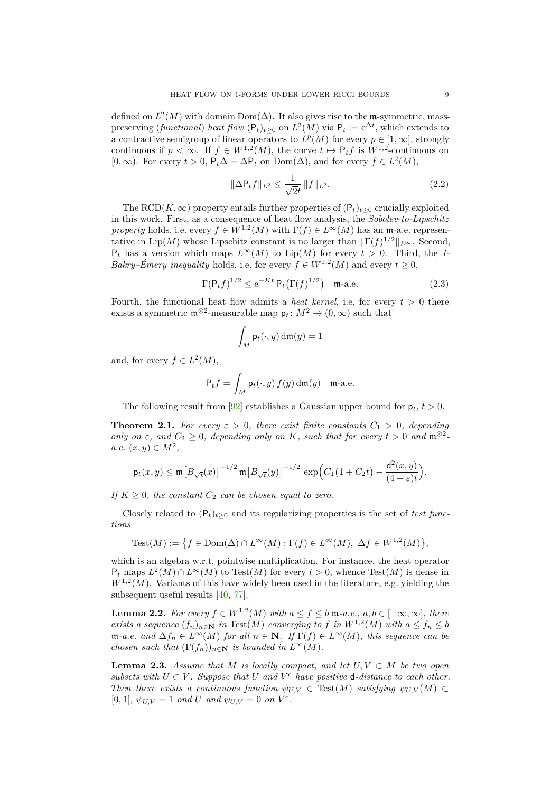defined on  $L^2(M)$  with domain  $Dom(\Delta)$ . It also gives rise to the m-symmetric, masspreserving (*functional*) *heat flow*  $(P_t)_{t\geq 0}$  on  $L^2(M)$  via  $P_t := e^{\Delta t}$ , which extends to a contractive semigroup of linear operators to  $L^p(M)$  for every  $p \in [1,\infty]$ , strongly continuous if  $p < \infty$ . If  $f \in W^{1,2}(M)$ , the curve  $t \mapsto P_t f$  is  $W^{1,2}$ -continuous on  $[0, ∞)$ . For every  $t > 0$ ,  $P_t \Delta = \Delta P_t$  on  $Dom(\Delta)$ , and for every  $f \in L^2(M)$ ,

<span id="page-8-1"></span>
$$
\|\Delta \mathsf{P}_t f\|_{L^2} \le \frac{1}{\sqrt{2}t} \|f\|_{L^2}.
$$
\n(2.2)

The RCD( $K, \infty$ ) property entails further properties of  $(P_t)_{t>0}$  crucially exploited in this work. First, as a consequence of heat flow analysis, the *Sobolev-to-Lipschitz property* holds, i.e. every  $f \in W^{1,2}(M)$  with  $\Gamma(f) \in L^{\infty}(M)$  has an m-a.e. representative in Lip(*M*) whose Lipschitz constant is no larger than  $\|\Gamma(f)^{1/2}\|_{L^{\infty}}$ . Second,  $P_t$  has a version which maps  $L^\infty(M)$  to  $Lip(M)$  for every  $t > 0$ . Third, the *1*-*Bakry–Émery inequality* holds, i.e. for every  $f \in W^{1,2}(M)$  and every  $t \geq 0$ ,

$$
\Gamma(\mathsf{P}_t f)^{1/2} \le e^{-Kt} \, \mathsf{P}_t \big( \Gamma(f)^{1/2} \big) \quad \text{m-a.e.} \tag{2.3}
$$

Fourth, the functional heat flow admits a *heat kernel*, i.e. for every  $t > 0$  there exists a symmetric  $\mathfrak{m}^{\otimes 2}$ -measurable map  $\mathsf{p}_t \colon M^2 \to (0, \infty)$  such that

$$
\int_M \mathsf{p}_t(\cdot,y) \, \mathrm{d}\mathfrak{m}(y) = 1
$$

and, for every  $f \in L^2(M)$ ,

$$
\mathsf{P}_t f = \int_M \mathsf{p}_t(\cdot, y) f(y) \, \mathrm{d}\mathfrak{m}(y) \quad \text{m-a.e.}
$$

The following result from [\[92\]](#page-48-8) establishes a Gaussian upper bound for  $p_t$ ,  $t > 0$ .

<span id="page-8-2"></span>**Theorem 2.1.** For every  $\varepsilon > 0$ , there exist finite constants  $C_1 > 0$ , depending *only on*  $\varepsilon$ *, and*  $C_2 \geq 0$ *, depending only on K, such that for every*  $t > 0$  *and*  $\mathfrak{m}^{\otimes 2}$ *a.e.*  $(x, y) \in M^2$ ,

$$
\mathsf{p}_t(x,y)\le \mathfrak{m}\!\left[B_{\sqrt{t}}(x)\right]^{-1/2}\mathfrak{m}\!\left[B_{\sqrt{t}}(y)\right]^{-1/2}\,\exp\!\left(C_1\!\left(1+C_2t\right)-\frac{\mathsf{d}^2(x,y)}{(4+\varepsilon)t}\right)\!.
$$

*If*  $K \geq 0$ *, the constant*  $C_2$  *can be chosen equal to zero.* 

Closely related to  $(P_t)_{t>0}$  and its regularizing properties is the set of *test functions*

Test(M) := {
$$
f \in \text{Dom}(\Delta) \cap L^{\infty}(M) : \Gamma(f) \in L^{\infty}(M), \Delta f \in W^{1,2}(M)
$$
},

which is an algebra w.r.t. pointwise multiplication. For instance, the heat operator  $P_t$  maps  $L^2(M) \cap L^\infty(M)$  to Test $(M)$  for every  $t > 0$ , whence Test $(M)$  is dense in  $W^{1,2}(M)$ . Variants of this have widely been used in the literature, e.g. yielding the subsequent useful results [\[40,](#page-47-1) [77\]](#page-48-19).

<span id="page-8-0"></span>**Lemma 2.2.** *For every*  $f \in W^{1,2}(M)$  *with*  $a \le f \le b$  **m**-a.e.,  $a, b \in [-\infty, \infty]$ *, there exists a sequence*  $(f_n)_{n \in \mathbb{N}}$  *in* Test $(M)$  *converging to*  $f$  *in*  $W^{1,2}(M)$  *with*  $a \le f_n \le b$  $\mathfrak{m}\text{-}a.e.$  and  $\Delta f_n \in L^{\infty}(M)$  *for all*  $n \in \mathbb{N}$ *. If*  $\Gamma(f) \in L^{\infty}(M)$ *, this sequence can be chosen such that*  $(\Gamma(f_n))_{n\in\mathbb{N}}$  *is bounded in*  $L^{\infty}(M)$ *.* 

**Lemma 2.3.** *Assume that*  $M$  *is locally compact, and let*  $U, V \subset M$  *be two open subsets with*  $U \subset V$ *. Suppose that*  $U$  *and*  $V^c$  *have positive* **d**-distance to each other. *Then there exists a continuous function*  $\psi_{UV} \in \text{Test}(M)$  *satisfying*  $\psi_{UV}(M) \subset$  $[0,1], \psi_{U,V} = 1 \text{ and } U \text{ and } \psi_{U,V} = 0 \text{ on } V^c.$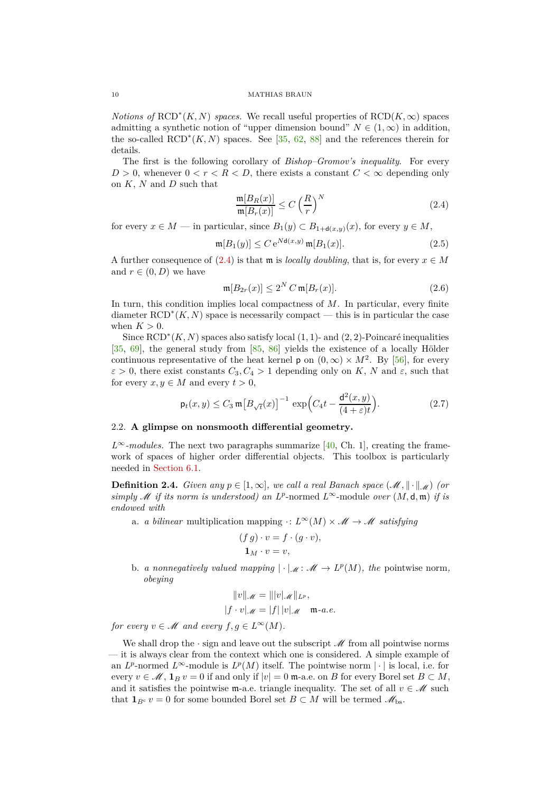*Notions of*  $\text{RCD}^*(K, N)$  *spaces.* We recall useful properties of  $\text{RCD}(K, \infty)$  spaces admitting a synthetic notion of "upper dimension bound"  $N \in (1,\infty)$  in addition, the so-called  $\text{RCD}^*(K, N)$  spaces. See [\[35,](#page-47-10) [62,](#page-47-21) [88\]](#page-48-20) and the references therein for details.

The first is the following corollary of *Bishop–Gromov's inequality*. For every  $D > 0$ , whenever  $0 < r < R < D$ , there exists a constant  $C < \infty$  depending only on *K*, *N* and *D* such that

<span id="page-9-2"></span><span id="page-9-1"></span>
$$
\frac{\mathfrak{m}[B_R(x)]}{\mathfrak{m}[B_r(x)]} \le C \left(\frac{R}{r}\right)^N \tag{2.4}
$$

for every  $x \in M$  — in particular, since  $B_1(y) \subset B_{1+\mathsf{d}(x,y)}(x)$ , for every  $y \in M$ ,

$$
\mathfrak{m}[B_1(y)] \le C e^{N\mathsf{d}(x,y)} \mathfrak{m}[B_1(x)]. \tag{2.5}
$$

A further consequence of [\(2.4\)](#page-9-1) is that **m** is *locally doubling*, that is, for every  $x \in M$ and  $r \in (0, D)$  we have

<span id="page-9-4"></span>
$$
\mathfrak{m}[B_{2r}(x)] \le 2^N C \mathfrak{m}[B_r(x)].\tag{2.6}
$$

In turn, this condition implies local compactness of *M*. In particular, every finite diameter RCD<sup>∗</sup> (*K, N*) space is necessarily compact — this is in particular the case when  $K > 0$ .

Since RCD<sup>∗</sup> (*K, N*) spaces also satisfy local (1*,* 1)- and (2*,* 2)-Poincaré inequalities [\[35,](#page-47-10) [69\]](#page-48-21), the general study from [\[85,](#page-48-15) [86\]](#page-48-22) yields the existence of a locally Hölder continuous representative of the heat kernel **p** on  $(0, \infty) \times M^2$ . By [\[56\]](#page-47-17), for every  $\varepsilon > 0$ , there exist constants  $C_3, C_4 > 1$  depending only on *K*, *N* and  $\varepsilon$ , such that for every  $x, y \in M$  and every  $t > 0$ ,

$$
\mathsf{p}_t(x,y) \le C_3 \,\mathfrak{m} \big[ B_{\sqrt{t}}(x) \big]^{-1} \, \exp\Big( C_4 t - \frac{\mathsf{d}^2(x,y)}{(4+\varepsilon)t} \Big). \tag{2.7}
$$

## <span id="page-9-0"></span>2.2. **A glimpse on nonsmooth differential geometry.**

 $L^{\infty}$ *-modules.* The next two paragraphs summarize [\[40,](#page-47-1) Ch. 1], creating the framework of spaces of higher order differential objects. This toolbox is particularly needed in [Section 6.1.](#page-37-1)

**Definition 2.4.** *Given any*  $p \in [1, \infty]$ *, we call a real Banach space* ( $\mathcal{M}$ ,  $\|\cdot\|$  $\mathcal{M}$ ) *(or simply*  $\mathcal M$  *if its norm is understood) an L<sup>p</sup>*-normed  $L^\infty$ -module *over*  $(M, \mathsf{d}, \mathfrak{m})$  *if is endowed with*

a. *a bilinear* multiplication mapping  $\cdot: L^{\infty}(M) \times M \rightarrow M$  satisfying

<span id="page-9-3"></span>
$$
(f g) \cdot v = f \cdot (g \cdot v),
$$
  

$$
\mathbf{1}_M \cdot v = v,
$$

b. *a nonnegatively valued mapping*  $|\cdot|_{\mathcal{M}}: \mathcal{M} \to L^p(M)$ , the pointwise norm, *obeying*

$$
||v||_{\mathscr{M}} = |||v|_{\mathscr{M}}||_{L^{p}},
$$
  

$$
|f \cdot v|_{\mathscr{M}} = |f| |v|_{\mathscr{M}} \quad m \text{-} a.e.
$$

*for every*  $v \in M$  *and every*  $f, g \in L^{\infty}(M)$ *.* 

We shall drop the  $\cdot$  sign and leave out the subscript  $\mathcal M$  from all pointwise norms — it is always clear from the context which one is considered. A simple example of an  $L^p$ -normed  $L^\infty$ -module is  $L^p(M)$  itself. The pointwise norm  $|\cdot|$  is local, i.e. for every  $v \in \mathcal{M}$ ,  $\mathbf{1}_B v = 0$  if and only if  $|v| = 0$  m-a.e. on *B* for every Borel set  $B \subset M$ , and it satisfies the pointwise m-a.e. triangle inequality. The set of all  $v \in \mathcal{M}$  such that  $\mathbf{1}_{B^c} v = 0$  for some bounded Borel set  $B \subset M$  will be termed  $\mathscr{M}_{bs}$ .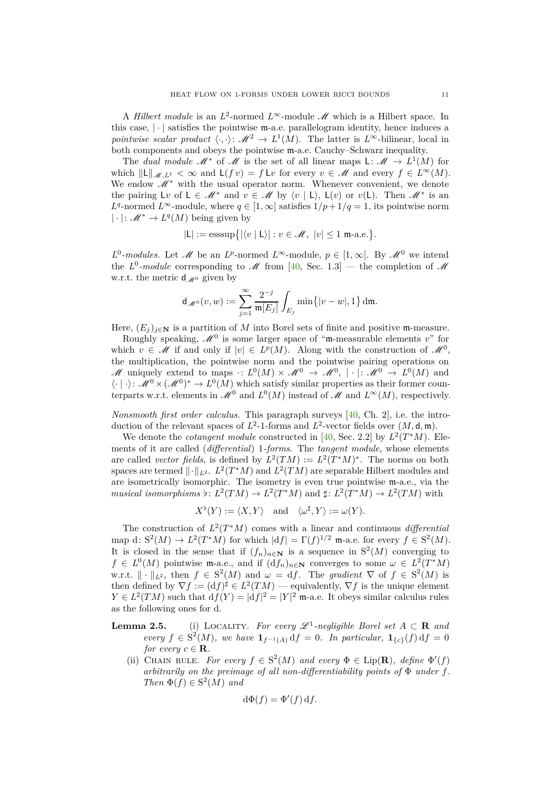A *Hilbert module* is an  $L^2$ -normed  $L^{\infty}$ -module  $M$  which is a Hilbert space. In this case,  $|\cdot|$  satisfies the pointwise  $m$ -a.e. parallelogram identity, hence induces a *pointwise scalar product*  $\langle \cdot, \cdot \rangle : \mathcal{M}^2 \to L^1(M)$ . The latter is  $L^{\infty}$ -bilinear, local in both components and obeys the pointwise m-a.e. Cauchy–Schwarz inequality.

The *dual module*  $M^*$  of  $M$  is the set of all linear maps L:  $M \rightarrow L^1(M)$  for which  $\|\mathsf{L}\|_{\mathscr{M}, L^1} < \infty$  and  $\mathsf{L}(f v) = f \mathsf{L} v$  for every  $v \in \mathscr{M}$  and every  $f \in L^\infty(M)$ . We endow  $M^*$  with the usual operator norm. Whenever convenient, we denote the pairing  $\mathsf{L}v$  of  $\mathsf{L} \in \mathscr{M}^*$  and  $v \in \mathscr{M}$  by  $\langle v | \mathsf{L} \rangle$ ,  $\mathsf{L}(v)$  or  $v(\mathsf{L})$ . Then  $\mathscr{M}^*$  is an *L*<sup>q</sup>-normed *L*∞-module, where  $q \in [1, \infty]$  satisfies  $1/p + 1/q = 1$ , its pointwise norm |  $·$ |: *M*<sup>\*</sup> → *L*<sup>*q*</sup>(*M*) being given by

$$
|\mathsf{L}|:=\mathrm{esssup}\big\{|\langle v\mid \mathsf{L}\rangle|:v\in\mathscr{M},\ |v|\leq 1\ \text{m-a.e.}\big\}.
$$

*L*<sup>0</sup>-modules. Let *M* be an *L*<sup>*p*</sup>-normed *L*<sup>∞</sup>-module,  $p \in [1, \infty]$ . By *M*<sup>0</sup> we intend the  $L^0$ -module corresponding to  $\mathscr M$  from [\[40,](#page-47-1) Sec. 1.3] — the completion of  $\mathscr M$ w.r.t. the metric  $d_{\mathscr{M}^0}$  given by

$$
\mathrm{d}_{\mathscr{M}^0}(v,w):=\sum_{j=1}^\infty\frac{2^{-j}}{\mathfrak m[E_j]}\int_{E_j}\min\bigl\{|v-w|,1\bigr\}\,\mathrm{d}\mathfrak m.
$$

Here,  $(E_j)_{j\in\mathbb{N}}$  is a partition of *M* into Borel sets of finite and positive m-measure.

Roughly speaking,  $\mathscr{M}^0$  is some larger space of "m-measurable elements  $v$ " for which  $v \in \mathcal{M}$  if and only if  $|v| \in L^p(M)$ . Along with the construction of  $\mathcal{M}^0$ , the multiplication, the pointwise norm and the pointwise pairing operations on M uniquely extend to maps  $\cdot: L^0(M) \times \mathcal{M}^0 \to \mathcal{M}^0$ ,  $|\cdot|: \mathcal{M}^0 \to L^0(M)$  and  $\langle \cdot | \cdot \rangle: \mathcal{M}^0 \times (\mathcal{M}^0)^* \to L^0(M)$  which satisfy similar properties as their former counterparts w.r.t. elements in  $\mathscr{M}^0$  and  $L^0(M)$  instead of  $\mathscr{M}$  and  $L^\infty(M)$ , respectively.

*Nonsmooth first order calculus.* This paragraph surveys [\[40,](#page-47-1) Ch. 2], i.e. the introduction of the relevant spaces of  $L^2$ -1-forms and  $L^2$ -vector fields over  $(M, \mathsf{d}, \mathfrak{m})$ .

We denote the *cotangent module* constructed in [\[40,](#page-47-1) Sec. 2.2] by  $L^2(T^*M)$ . Elements of it are called (*differential*) 1*-forms*. The *tangent module*, whose elements are called *vector fields*, is defined by  $L^2(TM) := L^2(T^*M)^*$ . The norms on both spaces are termed  $\|\cdot\|_{L^2}$ .  $L^2(T^*M)$  and  $L^2(TM)$  are separable Hilbert modules and are isometrically isomorphic. The isometry is even true pointwise m-a.e., via the  $musical~isomorphisms~\flat\colon L^2(TM) \to L^2(T^*M) \text{ and } \sharp\colon L^2(T^*M) \to L^2(TM) \text{ with }$ 

$$
X^{\flat}(Y) := \langle X, Y \rangle \quad \text{and} \quad \langle \omega^{\sharp}, Y \rangle := \omega(Y).
$$

The construction of  $L^2(T^*M)$  comes with a linear and continuous *differential* map d:  $S^2(M) \to L^2(T^*M)$  for which  $|df| = \Gamma(f)^{1/2}$  m-a.e. for every  $f \in S^2(M)$ . It is closed in the sense that if  $(f_n)_{n \in \mathbb{N}}$  is a sequence in  $S^2(M)$  converging to  $f \in L^0(M)$  pointwise m-a.e., and if  $(df_n)_{n \in \mathbb{N}}$  converges to some  $\omega \in L^2(T^*M)$ w.r.t.  $\|\cdot\|_{L^2}$ , then  $f \in S^2(M)$  and  $\omega = df$ . The *gradient*  $\nabla$  of  $f \in S^2(M)$  is then defined by  $\nabla f := (df)^{\sharp} \in L^2(TM)$  — equivalently,  $\nabla f$  is the unique element  $Y \in L^2(TM)$  such that  $df(Y) = |df|^2 = |Y|^2$  m-a.e. It obeys similar calculus rules as the following ones for d.

**Lemma 2.5.** (i) LOCALITY. For every  $\mathscr{L}^1$ -negligible Borel set  $A \subset \mathbb{R}$  and *every*  $f \in S^2(M)$ *, we have*  $\mathbf{1}_{f^{-1}(A)} df = 0$ *. In particular,*  $\mathbf{1}_{\{c\}}(f) df = 0$ *for every*  $c \in \mathbf{R}$ *.* 

(ii) CHAIN RULE. *For every*  $f \in S^2(M)$  *and every*  $\Phi \in \text{Lip}(\mathbf{R})$ *, define*  $\Phi'(f)$ *arbitrarily on the preimage of all non-differentiability points of* Φ *under f. Then*  $\Phi(f) \in S^2(M)$  *and* 

$$
\mathrm{d}\Phi(f) = \Phi'(f) \,\mathrm{d}f.
$$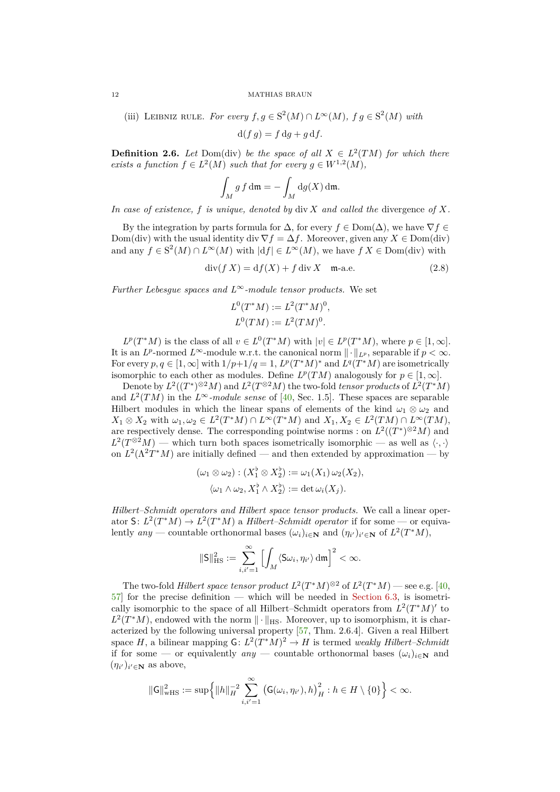(iii) LEIBNIZ RULE. For every 
$$
f, g \in S^2(M) \cap L^{\infty}(M)
$$
,  $f g \in S^2(M)$  with

 $d(f q) = f dq + q df.$ 

**Definition 2.6.** *Let* Dom(div) *be the space of all*  $X \in L^2(TM)$  *for which there exists a function*  $f \in L^2(M)$  *such that for every*  $g \in W^{1,2}(M)$ *,* 

$$
\int_M g f \, \mathrm{d}\mathfrak{m} = -\int_M \mathrm{d}g(X) \, \mathrm{d}\mathfrak{m}.
$$

*In case of existence, f is unique, denoted by* div *X and called the* divergence *of X.*

By the integration by parts formula for  $\Delta$ , for every  $f \in \text{Dom}(\Delta)$ , we have  $\nabla f \in$ Dom(div) with the usual identity div  $\nabla f = \Delta f$ . Moreover, given any  $X \in \text{Dom}(\text{div})$ and any  $f \in S^2(M) \cap L^{\infty}(M)$  with  $|df| \in L^{\infty}(M)$ , we have  $f X \in \text{Dom}(\text{div})$  with

 $\text{div}(f X) = \text{d}f(X) + f \text{div} X$  m-a.e. (2.8)

*Further Lebesgue spaces and L*∞*-module tensor products.* We set

$$
L^{0}(T^{*}M) := L^{2}(T^{*}M)^{0},
$$
  

$$
L^{0}(TM) := L^{2}(TM)^{0}.
$$

 $L^p(T^*M)$  is the class of all  $v \in L^0(T^*M)$  with  $|v| \in L^p(T^*M)$ , where  $p \in [1, \infty]$ . It is an *L*<sup>*p*</sup>-normed *L*<sup>∞</sup>-module w.r.t. the canonical norm  $\|\cdot\|_{L^p}$ , separable if  $p < \infty$ . For every  $p, q \in [1, \infty]$  with  $1/p+1/q = 1$ ,  $L^p(T^*M)^*$  and  $L^q(T^*M)$  are isometrically isomorphic to each other as modules. Define  $L^p(TM)$  analogously for  $p \in [1, \infty]$ .

Denote by  $L^2((T^*)^{\otimes 2}M)$  and  $L^2(T^{\otimes 2}M)$  the two-fold *tensor products* of  $L^2(T^*M)$ and  $L^2(TM)$  in the  $L^{\infty}$ *-module sense* of [\[40,](#page-47-1) Sec. 1.5]. These spaces are separable Hilbert modules in which the linear spans of elements of the kind  $\omega_1 \otimes \omega_2$  and  $X_1 \otimes X_2$  with  $\omega_1, \omega_2 \in L^2(T^*M) \cap L^\infty(T^*M)$  and  $X_1, X_2 \in L^2(TM) \cap L^\infty(TM)$ , are respectively dense. The corresponding pointwise norms : on  $L^2((T^*)^{\otimes 2}M)$  and  $L^2(T^{\otimes 2}M)$  — which turn both spaces isometrically isomorphic — as well as  $\langle \cdot, \cdot \rangle$ on  $L^2(\Lambda^2T^*M)$  are initially defined — and then extended by approximation — by

$$
(\omega_1 \otimes \omega_2) : (X_1^{\flat} \otimes X_2^{\flat}) := \omega_1(X_1) \omega_2(X_2),
$$
  

$$
\langle \omega_1 \wedge \omega_2, X_1^{\flat} \wedge X_2^{\flat} \rangle := \det \omega_i(X_j).
$$

*Hilbert–Schmidt operators and Hilbert space tensor products.* We call a linear operator S:  $L^2(T^*M) \to L^2(T^*M)$  a *Hilbert–Schmidt operator* if for some — or equivalently  $any$  — countable orthonormal bases  $(\omega_i)_{i \in \mathbb{N}}$  and  $(\eta_{i'})_{i' \in \mathbb{N}}$  of  $L^2(T^*M)$ ,

$$
\|\mathsf{S}\|_{\mathrm{HS}}^2 := \sum_{i,i'=1}^\infty \Bigl[ \int_M \langle \mathsf{S} \omega_i, \eta_{i'} \rangle \, \mathrm{d}\mathfrak{m} \Bigr]^2 < \infty.
$$

The two-fold *Hilbert space tensor product*  $L^2(T^*M)^{\otimes 2}$  of  $L^2(T^*M)$  — see e.g. [\[40,](#page-47-1)  $57$  for the precise definition — which will be needed in [Section 6.3,](#page-44-0) is isometrically isomorphic to the space of all Hilbert–Schmidt operators from  $L^2(T^*M)'$  to  $L^2(T^*M)$ , endowed with the norm  $\|\cdot\|_{\text{HS}}$ . Moreover, up to isomorphism, it is characterized by the following universal property [\[57,](#page-47-22) Thm. 2.6.4]. Given a real Hilbert space *H*, a bilinear mapping  $G: L^2(T^*M)^2 \to H$  is termed *weakly Hilbert–Schmidt* if for some — or equivalently  $any$  — countable orthonormal bases  $(\omega_i)_{i \in \mathbb{N}}$  and  $(\eta_{i'})_{i' \in \mathbf{N}}$  as above,

$$
\|\mathsf{G}\|_{\mathrm{wHS}}^2 := \sup \Biggl\{ \|h\|_{H}^{-2} \sum_{i,i'=1}^{\infty} \bigl(\mathsf{G}(\omega_i,\eta_{i'}),h\bigr)_{H}^{2} : h \in H \setminus \{0\} \Biggr\} < \infty.
$$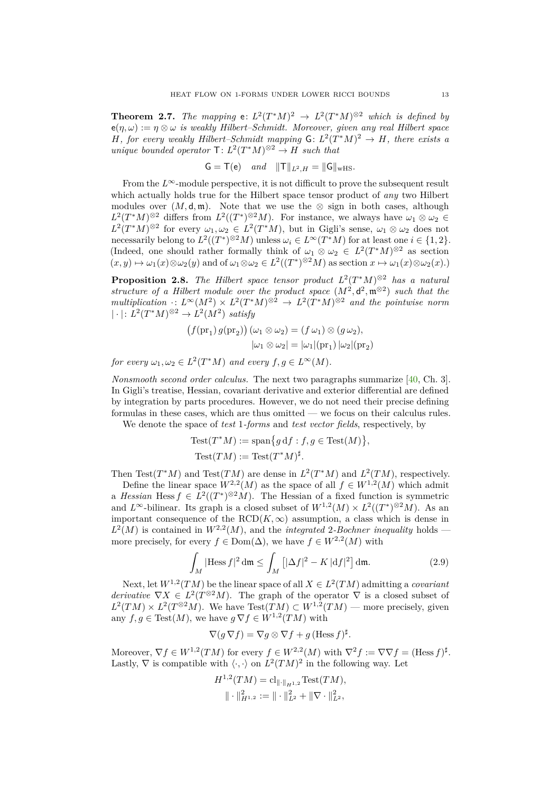<span id="page-12-0"></span>**Theorem 2.7.** *The mapping* **e**:  $L^2(T^*M)^2 \rightarrow L^2(T^*M)^{\otimes 2}$  *which is defined by*  $e(n, \omega) := \eta \otimes \omega$  *is weakly Hilbert–Schmidt. Moreover, given any real Hilbert space H*, for every weakly Hilbert–Schmidt mapping  $G: L^2(T^*M)^2 \to H$ , there exists a *unique bounded operator*  $\mathsf{T}: L^2(T^*M)^{\otimes 2} \to H$  *such that* 

$$
G = T(e)
$$
 and  $||T||_{L^2,H} = ||G||_{wHS}$ .

From the  $L^\infty$ -module perspective, it is not difficult to prove the subsequent result which actually holds true for the Hilbert space tensor product of *any* two Hilbert modules over  $(M, \mathsf{d}, \mathfrak{m})$ . Note that we use the ⊗ sign in both cases, although  $L^2(T^*M)^{\otimes 2}$  differs from  $L^2((T^*)^{\otimes 2}M)$ . For instance, we always have  $\omega_1 \otimes \omega_2 \in$  $L^2(T^*M)^{\otimes 2}$  for every  $\omega_1, \omega_2 \in L^2(T^*M)$ , but in Gigli's sense,  $\omega_1 \otimes \omega_2$  does not necessarily belong to  $L^2((T^*)^{\otimes 2}M)$  unless  $\omega_i \in L^{\infty}(T^*M)$  for at least one  $i \in \{1,2\}$ . (Indeed, one should rather formally think of  $\omega_1 \otimes \omega_2 \in L^2(T^*M)^{\otimes 2}$  as section  $(x, y) \mapsto \omega_1(x) \otimes \omega_2(y)$  and of  $\omega_1 \otimes \omega_2 \in L^2((T^*)^{\otimes 2}M)$  as section  $x \mapsto \omega_1(x) \otimes \omega_2(x)$ .)

<span id="page-12-1"></span>**Proposition 2.8.** *The Hilbert space tensor product L*<sup>2</sup> (*T* <sup>∗</sup>*M*) <sup>⊗</sup><sup>2</sup> *has a natural structure of a Hilbert module over the product space*  $(M^2, d^2, m^{\otimes 2})$  *such that the*  $multiplication: L^{\infty}(M^2) \times L^2(T^*M)^{\otimes 2} \to L^2(T^*M)^{\otimes 2}$  and the pointwise norm  $|\cdot|: L^2(T^*M)^{\otimes 2} \to L^2(M^2)$  *satisfy* 

$$
(f(\text{pr}_1) g(\text{pr}_2)) (\omega_1 \otimes \omega_2) = (f \omega_1) \otimes (g \omega_2),
$$
  

$$
|\omega_1 \otimes \omega_2| = |\omega_1| (\text{pr}_1) |\omega_2| (\text{pr}_2)
$$

*for every*  $\omega_1, \omega_2 \in L^2(T^*M)$  *and every*  $f, g \in L^{\infty}(M)$ *.* 

*Nonsmooth second order calculus.* The next two paragraphs summarize [\[40,](#page-47-1) Ch. 3]. In Gigli's treatise, Hessian, covariant derivative and exterior differential are defined by integration by parts procedures. However, we do not need their precise defining formulas in these cases, which are thus omitted — we focus on their calculus rules.

We denote the space of *test* 1*-forms* and *test vector fields*, respectively, by

Test
$$
(T^*M) := \text{span}\{g \, df : f, g \in \text{Test}(M)\},
$$
  
Test $(TM) := \text{Test}(T^*M)^{\sharp}.$ 

Then Test( $T^*M$ ) and Test( $TM$ ) are dense in  $L^2(T^*M)$  and  $L^2(TM)$ , respectively.

Define the linear space  $W^{2,2}(M)$  as the space of all  $f \in W^{1,2}(M)$  which admit a *Hessian* Hess  $f \in L^2((T^*)^{\otimes 2}M)$ . The Hessian of a fixed function is symmetric and  $L^{\infty}$ -bilinear. Its graph is a closed subset of  $W^{1,2}(M) \times L^2((T^*)^{\otimes 2}M)$ . As an important consequence of the  $RCD(K, \infty)$  assumption, a class which is dense in  $L^2(M)$  is contained in  $W^{2,2}(M)$ , and the *integrated* 2*-Bochner inequality* holds more precisely, for every  $f \in \text{Dom}(\Delta)$ , we have  $f \in W^{2,2}(M)$  with

$$
\int_M |\text{Hess } f|^2 \, \mathrm{d}\mathfrak{m} \le \int_M \left[ |\Delta f|^2 - K \, |\mathrm{d} f|^2 \right] \, \mathrm{d}\mathfrak{m}.\tag{2.9}
$$

Next, let  $W^{1,2}(TM)$  be the linear space of all  $X \in L^2(TM)$  admitting a *covariant derivative*  $\nabla X \in L^2(T^{\otimes 2}M)$ . The graph of the operator  $\nabla$  is a closed subset of  $L^2(TM) \times L^2(T^{\otimes 2}M)$ . We have  $Test(TM) \subset W^{1,2}(TM)$  — more precisely, given any  $f, g \in Test(M)$ , we have  $g \nabla f \in W^{1,2}(TM)$  with

$$
\nabla(g\,\nabla f) = \nabla g \otimes \nabla f + g \,(\text{Hess}\,f)^{\sharp}.
$$

Moreover,  $\nabla f \in W^{1,2}(TM)$  for every  $f \in W^{2,2}(M)$  with  $\nabla^2 f := \nabla \nabla f = (\text{Hess } f)^{\sharp}$ . Lastly,  $\nabla$  is compatible with  $\langle \cdot, \cdot \rangle$  on  $L^2(TM)^2$  in the following way. Let

$$
H^{1,2}(TM) = \mathrm{cl}_{\|\cdot\|_{H^{1,2}}} \mathrm{Test}(TM),
$$

$$
\|\cdot\|_{H^{1,2}}^2 := \|\cdot\|_{L^2}^2 + \|\nabla \cdot\|_{L^2}^2,
$$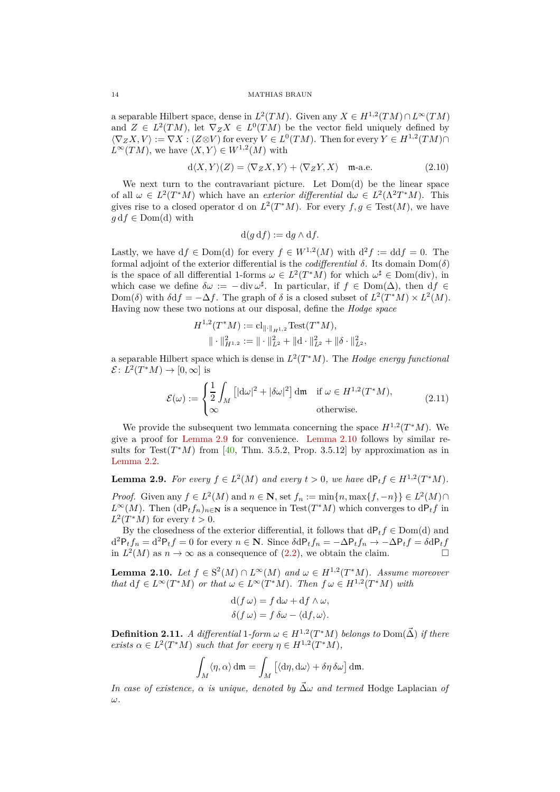a separable Hilbert space, dense in  $L^2(TM)$ . Given any  $X \in H^{1,2}(TM) \cap L^{\infty}(TM)$ and  $Z \in L^2(TM)$ , let  $\nabla_Z X \in L^0(TM)$  be the vector field uniquely defined by  $\langle \nabla_Z X, V \rangle := \nabla X : (Z \otimes V)$  for every  $V \in L^0(TM)$ . Then for every  $Y \in H^{1,2}(TM) \cap$  $L^{\infty}(TM)$ , we have  $\langle X, Y \rangle \in W^{1,2}(M)$  with

$$
d\langle X, Y \rangle(Z) = \langle \nabla_Z X, Y \rangle + \langle \nabla_Z Y, X \rangle \quad \text{m-a.e.} \tag{2.10}
$$

We next turn to the contravariant picture. Let  $Dom(d)$  be the linear space of all  $\omega \in L^2(T^*M)$  which have an *exterior differential*  $d\omega \in L^2(\Lambda^2T^*M)$ . This gives rise to a closed operator d on  $L^2(T^*M)$ . For every  $f, g \in Test(M)$ , we have  $q df \in Dom(d)$  with

<span id="page-13-3"></span>
$$
\mathrm{d}(g\,\mathrm{d}f) := \mathrm{d}g \wedge \mathrm{d}f.
$$

Lastly, we have  $df \in Dom(d)$  for every  $f \in W^{1,2}(M)$  with  $d^2 f := dd f = 0$ . The formal adjoint of the exterior differential is the *codifferential δ*. Its domain Dom(*δ*) is the space of all differential 1-forms  $\omega \in L^2(T^*M)$  for which  $\omega^{\sharp} \in \text{Dom}(\text{div})$ , in which case we define  $\delta \omega := -\text{div} \omega^{\sharp}$ . In particular, if  $f \in \text{Dom}(\Delta)$ , then  $df \in$ Dom(*δ*) with  $\delta df = -\Delta f$ . The graph of *δ* is a closed subset of  $L^2(T^*M) \times L^2(M)$ . Having now these two notions at our disposal, define the *Hodge space*

<span id="page-13-2"></span>
$$
H^{1,2}(T^*M) := \mathrm{cl}_{\|\cdot\|_{H^{1,2}}} \mathrm{Test}(T^*M),
$$

$$
\|\cdot\|_{H^{1,2}}^2 := \|\cdot\|_{L^2}^2 + \|\mathrm{d}\cdot\|_{L^2}^2 + \|\delta\cdot\|_{L^2}^2,
$$

a separable Hilbert space which is dense in *L* 2 (*T* <sup>∗</sup>*M*). The *Hodge energy functional*  $\mathcal{E}: L^2(T^*M) \to [0, \infty]$  is

$$
\mathcal{E}(\omega) := \begin{cases} \frac{1}{2} \int_M \left[ |\mathrm{d}\omega|^2 + |\delta\omega|^2 \right] \mathrm{d}\mathfrak{m} & \text{if } \omega \in H^{1,2}(T^*M), \\ \infty & \text{otherwise.} \end{cases} \tag{2.11}
$$

We provide the subsequent two lemmata concerning the space  $H^{1,2}(T^*M)$ . We give a proof for [Lemma 2.9](#page-13-0) for convenience. [Lemma 2.10](#page-13-1) follows by similar results for  $Test(T^*M)$  from [\[40,](#page-47-1) Thm. 3.5.2, Prop. 3.5.12] by approximation as in [Lemma 2.2.](#page-8-0)

<span id="page-13-0"></span>**Lemma 2.9.** *For every*  $f \in L^2(M)$  *and every*  $t > 0$ *, we have*  $dP_t f \in H^{1,2}(T^*M)$ *.* 

*Proof.* Given any  $f \in L^2(M)$  and  $n \in \mathbb{N}$ , set  $f_n := \min\{n, \max\{f, -n\}\} \in L^2(M) \cap$  $L^{\infty}(M)$ . Then  $(dP_tf_n)_{n\in\mathbb{N}}$  is a sequence in Test $(T^*M)$  which converges to  $dP_tf$  in  $L^2(T^*M)$  for every  $t > 0$ .

By the closedness of the exterior differential, it follows that  $dP_t f \in Dom(d)$  and  $d^2P_tf_n = d^2P_tf = 0$  for every  $n \in \mathbb{N}$ . Since  $\delta dP_tf_n = -\Delta P_tf_n \to -\Delta P_tf = \delta dP_tf_n$ in  $L^2(M)$  as  $n \to \infty$  as a consequence of [\(2.2\)](#page-8-1), we obtain the claim.

<span id="page-13-1"></span>**Lemma 2.10.** *Let*  $f \in S^2(M) \cap L^\infty(M)$  *and*  $\omega \in H^{1,2}(T^*M)$ *. Assume moreover that*  $df \in L^{\infty}(T^{*}M)$  *or that*  $\omega \in L^{\infty}(T^{*}M)$ *. Then*  $f \omega \in H^{1,2}(T^{*}M)$  *with* 

$$
d(f \omega) = f d\omega + df \wedge \omega,
$$
  

$$
\delta(f \omega) = f \delta \omega - \langle df, \omega \rangle.
$$

**Definition 2.11.** *A differential*  $1$ *-form*  $\omega \in H^{1,2}(T^*M)$  *belongs to*  $\text{Dom}(\vec{\Delta})$  *if there*  $exists \alpha \in L^2(T^*M) \text{ such that for every } \eta \in H^{1,2}(T^*M),$ 

$$
\int_M \langle \eta, \alpha \rangle \, \mathrm{d}\mathfrak{m} = \int_M \left[ \langle \mathrm{d}\eta, \mathrm{d}\omega \rangle + \delta\eta \, \delta\omega \right] \mathrm{d}\mathfrak{m}.
$$

*In case of existence, α is unique, denoted by* Δ $\omega$  *and termed* Hodge Laplacian *of ω.*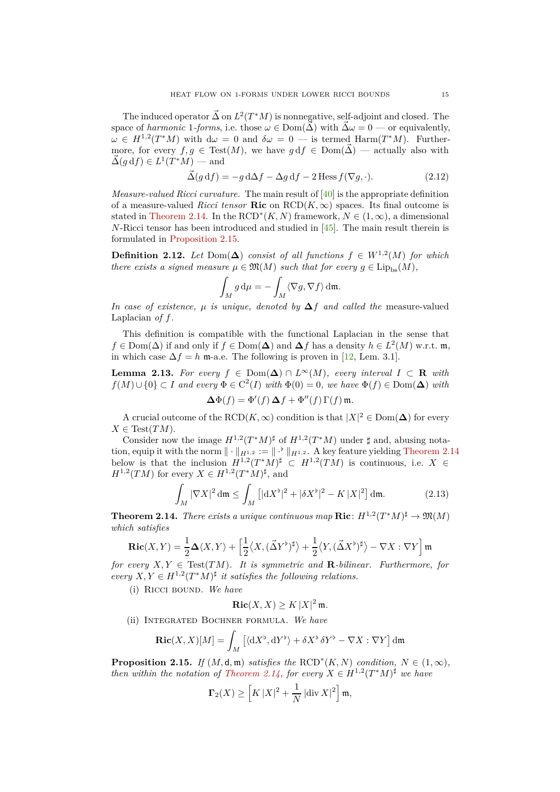The induced operator  $\vec{\Delta}$  on  $L^2(T^*M)$  is nonnegative, self-adjoint and closed. The space of *harmonic* 1*-forms*, i.e. those  $\omega \in \text{Dom}(\vec{\Delta})$  with  $\vec{\Delta}\omega = 0$  — or equivalently,  $\omega \in H^{1,2}(T^*M)$  with  $d\omega = 0$  and  $\delta\omega = 0$  — is termed Harm $(T^*M)$ . Furthermore, for every  $f, g \in Test(M)$ , we have  $g df \in Dom(\vec{\Delta})$  — actually also with  $\vec{\Delta}(g \, df) \in L^1(T^*M)$  — and

$$
\vec{\Delta}(g \, df) = -g \, d\Delta f - \Delta g \, df - 2 \operatorname{Hess} f(\nabla g, \cdot). \tag{2.12}
$$

*Measure-valued Ricci curvature.* The main result of [\[40\]](#page-47-1) is the appropriate definition of a measure-valued *Ricci tensor* **Ric** on  $RCD(K,\infty)$  spaces. Its final outcome is stated in [Theorem 2.14.](#page-14-0) In the RCD<sup>\*</sup> $(K, N)$  framework,  $N \in (1, \infty)$ , a dimensional *N*-Ricci tensor has been introduced and studied in [\[45\]](#page-47-11). The main result therein is formulated in [Proposition 2.15.](#page-14-1)

**Definition 2.12.** *Let* Dom( $\Delta$ ) *consist of all functions*  $f \in W^{1,2}(M)$  *for which there exists a signed measure*  $\mu \in \mathfrak{M}(M)$  *such that for every*  $g \in \text{Lip}_{\text{bs}}(M)$ *,* 

<span id="page-14-2"></span>
$$
\int_M g \, \mathrm{d}\mu = -\int_M \langle \nabla g, \nabla f \rangle \, \mathrm{d}\mathfrak{m}.
$$

*In case of existence,*  $\mu$  *is unique, denoted by*  $\Delta f$  *and called the* measure-valued Laplacian *of f.*

This definition is compatible with the functional Laplacian in the sense that *f* ∈ Dom( $\Delta$ ) if and only if *f* ∈ Dom( $\Delta$ ) and  $\Delta$ *f* has a density *h* ∈ *L*<sup>2</sup>(*M*) w.r.t. m, in which case  $\Delta f = h$  m-a.e. The following is proven in [\[12,](#page-46-5) Lem. 3.1].

<span id="page-14-4"></span>**Lemma 2.13.** For every  $f \in Dom(\Delta) \cap L^{\infty}(M)$ , every interval  $I \subset \mathbb{R}$  with  $f(M) \cup \{0\} \subset I$  *and every*  $\Phi \in C^2(I)$  *with*  $\Phi(0) = 0$ *, we have*  $\Phi(f) \in \text{Dom}(\Delta)$  *with* 

$$
\Delta \Phi(f) = \Phi'(f) \, \Delta f + \Phi''(f) \, \Gamma(f) \, \mathfrak{m}.
$$

A crucial outcome of the  $\text{RCD}(K,\infty)$  condition is that  $|X|^2 \in \text{Dom}(\Delta)$  for every  $X \in Test(TM)$ .

Consider now the image  $H^{1,2}(T^*M)^{\sharp}$  of  $H^{1,2}(T^*M)$  under  $\sharp$  and, abusing notation, equip it with the norm  $\|\cdot\|_{H^{1,2}} := \|\cdot^{\flat}\|_{H^{1,2}}$ . A key feature yielding [Theorem 2.14](#page-14-0) below is that the inclusion  $H^{1,2}(T^*M)^{\sharp} \subset H^{1,2}(TM)$  is continuous, i.e.  $X \in$  $H^{1,2}(TM)$  for every  $X \in H^{1,2}(T^*M)^{\sharp}$ , and

$$
\int_M |\nabla X|^2 \, \mathrm{d}\mathfrak{m} \le \int_M \left[ |\mathrm{d}X^\flat|^2 + |\delta X^\flat|^2 - K |X|^2 \right] \, \mathrm{d}\mathfrak{m}.\tag{2.13}
$$

<span id="page-14-0"></span>**Theorem 2.14.** *There exists a unique continuous map*  $\text{Ric}: H^{1,2}(T^*M)^{\sharp} \to \mathfrak{M}(M)$ *which satisfies*

$$
\mathrm{\mathbf{Ric}}(X,Y)=\frac{1}{2}\mathbf{\Delta}\langle X,Y\rangle+\Big[\frac{1}{2}\big\langle X,(\vec{\Delta}Y^\flat)^\sharp\big\rangle+\frac{1}{2}\big\langle Y,(\vec{\Delta}X^\flat)^\sharp\big\rangle-\nabla X:\nabla Y\Big]\,\mathfrak{m}
$$

*for every*  $X, Y \in Test(TM)$ *. It is symmetric and* **R***-bilinear. Furthermore, for*  $every\ X, Y \in H^{1,2}(T^*M)^{\sharp}$  *it satisfies the following relations.* 

(i) Ricci bound. *We have*

<span id="page-14-3"></span>
$$
\mathbf{Ric}(X,X) \geq K |X|^2 \, \mathfrak{m}.
$$

(ii) Integrated Bochner formula. *We have*

$$
\operatorname{Ric}(X, X)[M] = \int_M \left[ \langle \mathrm{d}X^\flat, \mathrm{d}Y^\flat \rangle + \delta X^\flat \, \delta Y^\flat - \nabla X : \nabla Y \right] \mathrm{d}\mathfrak{m}
$$

<span id="page-14-1"></span>**Proposition 2.15.** *If*  $(M, \mathsf{d}, \mathfrak{m})$  *satisfies the*  $\text{RCD}^*(K, N)$  *condition,*  $N \in (1, \infty)$ *, then within the notation of [Theorem 2.14,](#page-14-0) for every*  $X \in H^{1,2}(T^*M)^{\sharp}$  *we have* 

$$
\mathbf{\Gamma}_2(X) \ge \left[ K \, |X|^2 + \frac{1}{N} \, |{\rm div}\, X|^2 \right] \mathfrak{m},
$$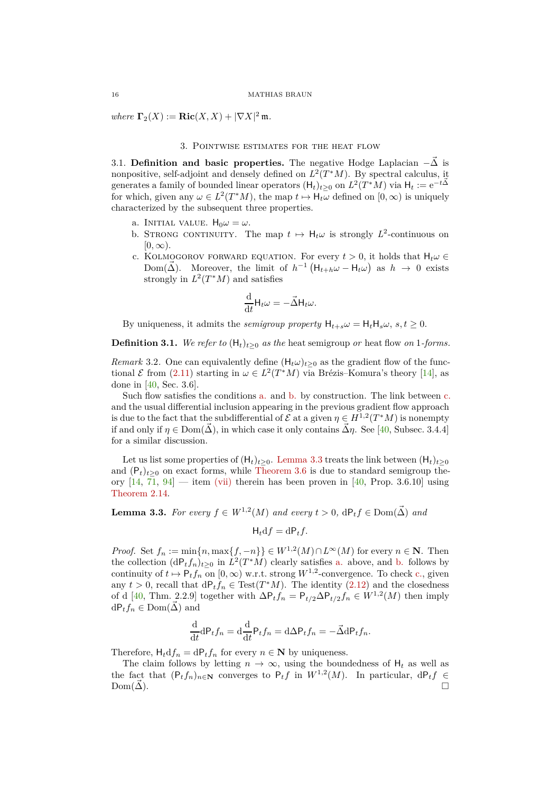<span id="page-15-0"></span> $where \space \space \Gamma_2(X) := \textbf{Ric}(X,X) + |\nabla X|^2 \, \mathfrak{m}.$ 

## 3. Pointwise estimates for the heat flow

<span id="page-15-1"></span>3.1. **Definition and basic properties.** The negative Hodge Laplacian  $-\vec{\Delta}$  is nonpositive, self-adjoint and densely defined on  $L^2(T^*M)$ . By spectral calculus, it generates a family of bounded linear operators  $(H_t)_{t\geq0}$  on  $L^2(T^*M)$  via  $H_t := e^{-t\vec{\Delta}}$ for which, given any  $\omega \in L^2(T^*M)$ , the map  $t \mapsto H_t\omega$  defined on  $[0, \infty)$  is uniquely characterized by the subsequent three properties.

- <span id="page-15-4"></span><span id="page-15-3"></span>a. INITIAL VALUE.  $H_0 \omega = \omega$ .
- b. STRONG CONTINUITY. The map  $t \mapsto H_t \omega$  is strongly  $L^2$ -continuous on  $[0, \infty)$ .
- <span id="page-15-5"></span>c. KOLMOGOROV FORWARD EQUATION. For every  $t > 0$ , it holds that  $H_t \omega \in$ Dom( $\vec{\Delta}$ ). Moreover, the limit of  $h^{-1} \left( H_{t+h} \omega - H_t \omega \right)$  as  $h \to 0$  exists strongly in  $L^2(T^*M)$  and satisfies

$$
\frac{\mathrm{d}}{\mathrm{d}t}\mathsf{H}_t\omega=-\vec{\Delta}\mathsf{H}_t\omega.
$$

By uniqueness, it admits the *semigroup property*  $H_{t+s}\omega = H_tH_s\omega$ ,  $s,t \geq 0$ .

**Definition 3.1.** We refer to  $(H_t)_{t>0}$  as the heat semigroup *or* heat flow *on* 1*-forms*.

*Remark* 3.2. One can equivalently define  $(H_t \omega)_{t>0}$  as the gradient flow of the functional  $\mathcal E$  from [\(2.11\)](#page-13-2) starting in  $\omega \in L^2(T^*M)$  via Brézis–Komura's theory [\[14\]](#page-46-25), as done in [\[40,](#page-47-1) Sec. 3.6].

Such flow satisfies the conditions [a.](#page-15-3) and [b.](#page-15-4) by construction. The link between [c.](#page-15-5) and the usual differential inclusion appearing in the previous gradient flow approach is due to the fact that the subdifferential of  $\mathcal E$  at a given  $\eta \in H^{1,2}(T^*M)$  is nonempty if and only if  $\eta \in \text{Dom}(\vec{\Delta})$ , in which case it only contains  $\vec{\Delta}\eta$ . See [\[40,](#page-47-1) Subsec. 3.4.4] for a similar discussion.

Let us list some properties of  $(H_t)_{t>0}$ . [Lemma 3.3](#page-15-2) treats the link between  $(H_t)_{t>0}$ and  $(P_t)_{t\geq0}$  on exact forms, while [Theorem 3.6](#page-16-2) is due to standard semigroup theory  $[14, 71, 94]$  $[14, 71, 94]$  $[14, 71, 94]$  $[14, 71, 94]$  — item [\(vii\)](#page-16-3) therein has been proven in [\[40,](#page-47-1) Prop. 3.6.10] using [Theorem 2.14.](#page-14-0)

<span id="page-15-2"></span>**Lemma 3.3.** *For every*  $f \in W^{1,2}(M)$  *and every*  $t > 0$ ,  $dP_t f \in Dom(\vec{\Delta})$  *and* 

$$
H_t df = dP_t f.
$$

*Proof.* Set  $f_n := \min\{n, \max\{f, -n\}\}\in W^{1,2}(M)\cap L^{\infty}(M)$  for every  $n \in \mathbb{N}$ . Then the collection  $(dP_tf_n)_{t\geq 0}$  in  $L^2(T^*M)$  clearly satisfies [a.](#page-15-3) above, and [b.](#page-15-4) follows by continuity of  $t \mapsto P_t f_n$  on  $[0, \infty)$  w.r.t. strong  $W^{1,2}$ -convergence. To check [c.,](#page-15-5) given any  $t > 0$ , recall that  $dP_t f_n \in Test(T^*M)$ . The identity [\(2.12\)](#page-14-2) and the closedness of d [\[40,](#page-47-1) Thm. 2.2.9] together with  $\Delta P_t f_n = P_{t/2} \Delta P_{t/2} f_n \in W^{1,2}(M)$  then imply  $dP_t f_n \in Dom(\Delta)$  and

$$
\frac{\mathrm{d}}{\mathrm{d}t} \mathrm{d} \mathsf{P}_t f_n = \mathrm{d} \frac{\mathrm{d}}{\mathrm{d}t} \mathsf{P}_t f_n = \mathrm{d} \Delta \mathsf{P}_t f_n = -\vec{\Delta} \mathrm{d} \mathsf{P}_t f_n.
$$

Therefore,  $H_t df_n = dP_t f_n$  for every  $n \in \mathbb{N}$  by uniqueness.

The claim follows by letting  $n \to \infty$ , using the boundedness of  $H_t$  as well as the fact that  $(P_t f_n)_{n \in \mathbb{N}}$  converges to  $P_t f$  in  $W^{1,2}(M)$ . In particular,  $dP_t f \in$  $\text{Dom}(\vec{\Delta}).$   $\Box$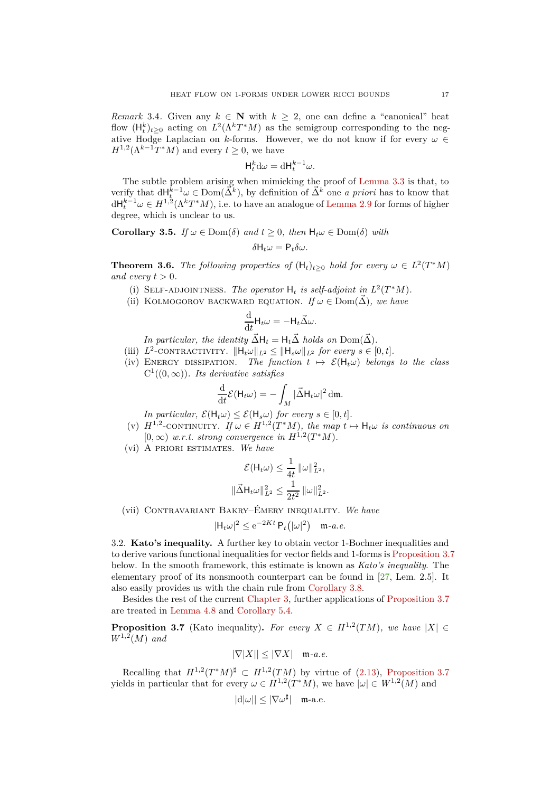*Remark* 3.4. Given any  $k \in \mathbb{N}$  with  $k \geq 2$ , one can define a "canonical" heat flow  $(H_t^k)_{t\geq 0}$  acting on  $L^2(\Lambda^k T^*M)$  as the semigroup corresponding to the negative Hodge Laplacian on *k*-forms. However, we do not know if for every  $\omega \in$  $H^{1,2}(\Lambda^{k-1}T^*M)$  and every  $t \geq 0$ , we have

$$
\mathsf{H}_t^k \mathrm{d} \omega = \mathrm{d} \mathsf{H}_t^{k-1} \omega.
$$

The subtle problem arising when mimicking the proof of [Lemma 3.3](#page-15-2) is that, to verify that  $dH_t^{\bar{k}-1}\omega \in \text{Dom}(\vec{\Delta}^k)$ , by definition of  $\vec{\Delta}^k$  one *a priori* has to know that  $dH_t^{k-1}\omega \in H^{1,2}(\Lambda^k T^*M)$ , i.e. to have an analogue of [Lemma 2.9](#page-13-0) for forms of higher degree, which is unclear to us.

<span id="page-16-4"></span>**Corollary 3.5.** *If*  $\omega \in \text{Dom}(\delta)$  *and*  $t \geq 0$ *, then*  $H_t \omega \in \text{Dom}(\delta)$  *with* 

$$
\delta H_t \omega = P_t \delta \omega.
$$

<span id="page-16-2"></span>**Theorem 3.6.** *The following properties of*  $(H_t)_{t\geq 0}$  *hold for every*  $\omega \in L^2(T^*M)$ *and every*  $t > 0$ *.* 

- (i) SELF-ADJOINTNESS. The operator  $H_t$  is self-adjoint in  $L^2(T^*M)$ .
- (ii) KOLMOGOROV BACKWARD EQUATION. *If*  $\omega \in \text{Dom}(\vec{\Delta})$ , we have

$$
\frac{\mathrm{d}}{\mathrm{d}t}\mathsf{H}_t\omega = -\mathsf{H}_t\vec{\Delta}\omega.
$$

*In particular, the identity*  $\vec{\Delta}H_t = H_t\vec{\Delta}$  *holds on*  $Dom(\vec{\Delta})$ *.* 

- (iii)  $L^2$ -CONTRACTIVITY.  $||H_t\omega||_{L^2} \le ||H_s\omega||_{L^2}$  *for every*  $s \in [0, t]$ *.*
- (iv) ENERGY DISSIPATION. The function  $t \mapsto \mathcal{E}(H_t\omega)$  belongs to the class  $C^1((0,\infty))$ *. Its derivative satisfies*

$$
\frac{\mathrm{d}}{\mathrm{d}t}\mathcal{E}(\mathsf{H}_{t}\omega) = -\int_{M} |\vec{\Delta}\mathsf{H}_{t}\omega|^{2} \,\mathrm{d}\mathfrak{m}.
$$

*In particular,*  $\mathcal{E}(\mathsf{H}_t\omega) \leq \mathcal{E}(\mathsf{H}_s\omega)$  *for every*  $s \in [0, t]$ *.* 

- (v)  $H^{1,2}$ -CONTINUITY. If  $\omega \in H^{1,2}(T^*M)$ , the map  $t \mapsto H_t\omega$  is continuous on  $[0, \infty)$  *w.r.t. strong convergence in*  $H^{1,2}(T^*M)$ *.*
- (vi) A priori estimates. *We have*

$$
\mathcal{E}(\mathsf{H}_{t}\omega) \leq \frac{1}{4t} \|\omega\|_{L^{2}}^{2},
$$
  

$$
\|\vec{\Delta}\mathsf{H}_{t}\omega\|_{L^{2}}^{2} \leq \frac{1}{2t^{2}} \|\omega\|_{L^{2}}^{2}.
$$

<span id="page-16-3"></span>(vii) Contravariant Bakry–Émery inequality. *We have*

$$
|\mathsf{H}_t \omega|^2 \le e^{-2Kt} \, \mathsf{P}_t(|\omega|^2) \quad \mathfrak{m}\text{-}a.e.
$$

<span id="page-16-0"></span>3.2. **Kato's inequality.** A further key to obtain vector 1-Bochner inequalities and to derive various functional inequalities for vector fields and 1-forms is [Proposition 3.7](#page-16-1) below. In the smooth framework, this estimate is known as *Kato's inequality*. The elementary proof of its nonsmooth counterpart can be found in [\[27,](#page-46-13) Lem. 2.5]. It also easily provides us with the chain rule from [Corollary 3.8.](#page-17-1)

Besides the rest of the current [Chapter 3,](#page-15-0) further applications of [Proposition 3.7](#page-16-1) are treated in [Lemma 4.8](#page-22-0) and [Corollary 5.4.](#page-29-0)

<span id="page-16-1"></span>**Proposition 3.7** (Kato inequality). *For every*  $X \in H^{1,2}(TM)$ , we have  $|X| \in$  $W^{1,2}(M)$  *and* 

$$
|\nabla |X|| \leq |\nabla X| \quad \text{m-}a.e.
$$

Recalling that  $H^{1,2}(T^*M)^{\sharp} \subset H^{1,2}(TM)$  by virtue of [\(2.13\)](#page-14-3), [Proposition 3.7](#page-16-1) yields in particular that for every  $\omega \in H^{1,2}(T^*M)$ , we have  $|\omega| \in W^{1,2}(M)$  and

$$
|d|\omega|| \le |\nabla \omega^{\sharp}| \quad \text{m-a.e.}
$$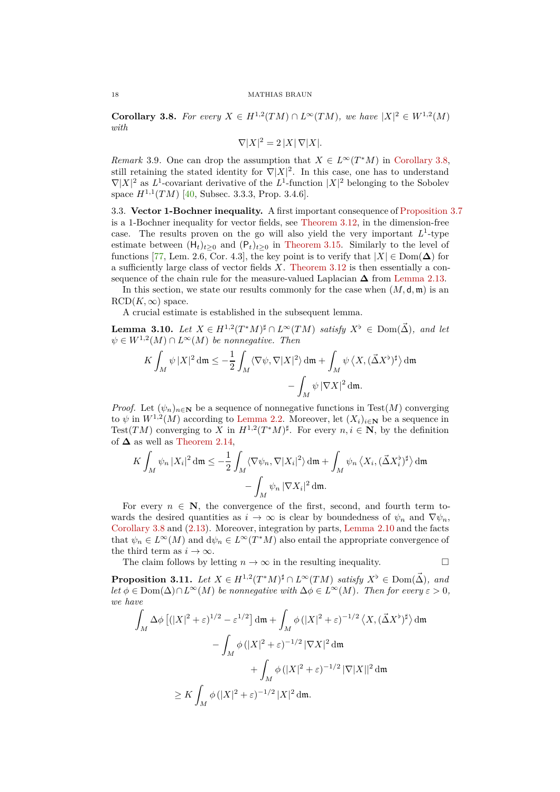<span id="page-17-1"></span>**Corollary 3.8.** For every  $X \in H^{1,2}(TM) \cap L^{\infty}(TM)$ , we have  $|X|^2 \in W^{1,2}(M)$ *with*

$$
\nabla |X|^2 = 2 |X| \nabla |X|.
$$

*Remark* 3.9. One can drop the assumption that  $X \in L^{\infty}(T^{*}M)$  in [Corollary 3.8,](#page-17-1) still retaining the stated identity for  $\nabla |X|^2$ . In this case, one has to understand  $\nabla |X|^2$  as  $L^1$ -covariant derivative of the  $L^1$ -function  $|X|^2$  belonging to the Sobolev space  $H^{1,1}(TM)$  [\[40,](#page-47-1) Subsec. 3.3.3, Prop. 3.4.6].

<span id="page-17-0"></span>3.3. **Vector 1-Bochner inequality.** A first important consequence of [Proposition 3.7](#page-16-1) is a 1-Bochner inequality for vector fields, see [Theorem 3.12,](#page-18-1) in the dimension-free case. The results proven on the go will also yield the very important  $L^1$ -type estimate between  $(H_t)_{t\geq 0}$  and  $(P_t)_{t\geq 0}$  in [Theorem 3.15.](#page-19-1) Similarly to the level of functions [\[77,](#page-48-19) Lem. 2.6, Cor. 4.3], the key point is to verify that  $|X| \in \text{Dom}(\Delta)$  for a sufficiently large class of vector fields *X*. [Theorem 3.12](#page-18-1) is then essentially a consequence of the chain rule for the measure-valued Laplacian  $\Delta$  from [Lemma 2.13.](#page-14-4)

In this section, we state our results commonly for the case when  $(M, \mathsf{d}, \mathfrak{m})$  is an  $RCD(K, \infty)$  space.

A crucial estimate is established in the subsequent lemma.

<span id="page-17-2"></span>**Lemma 3.10.** *Let*  $X \in H^{1,2}(T^*M)^{\sharp} \cap L^{\infty}(TM)$  *satisfy*  $X^{\flat} \in \text{Dom}(\vec{\Delta})$ *, and let*  $\psi \in W^{1,2}(M) \cap L^{\infty}(M)$  *be nonnegative. Then* 

$$
K \int_M \psi |X|^2 \, \mathrm{d}\mathfrak{m} \le -\frac{1}{2} \int_M \langle \nabla \psi, \nabla |X|^2 \rangle \, \mathrm{d}\mathfrak{m} + \int_M \psi \, \langle X, (\vec{\Delta} X^{\flat})^{\sharp} \rangle \, \mathrm{d}\mathfrak{m}
$$

$$
- \int_M \psi \, |\nabla X|^2 \, \mathrm{d}\mathfrak{m}.
$$

*Proof.* Let  $(\psi_n)_{n\in\mathbb{N}}$  be a sequence of nonnegative functions in Test(*M*) converging to  $\psi$  in  $W^{1,2}(M)$  according to [Lemma 2.2.](#page-8-0) Moreover, let  $(X_i)_{i\in\mathbb{N}}$  be a sequence in Test(*TM*) converging to *X* in  $H^{1,2}(T^*M)^{\sharp}$ . For every  $n, i \in \mathbb{N}$ , by the definition of  $\Delta$  as well as [Theorem 2.14,](#page-14-0)

$$
K\int_M \psi_n |X_i|^2 \, \mathrm{d}\mathfrak{m} \le -\frac{1}{2} \int_M \langle \nabla \psi_n, \nabla |X_i|^2 \rangle \, \mathrm{d}\mathfrak{m} + \int_M \psi_n \left\langle X_i, (\vec{\Delta} X_i^{\flat})^{\sharp} \right\rangle \mathrm{d}\mathfrak{m} - \int_M \psi_n |\nabla X_i|^2 \, \mathrm{d}\mathfrak{m}.
$$

For every  $n \in \mathbb{N}$ , the convergence of the first, second, and fourth term towards the desired quantities as  $i \to \infty$  is clear by boundedness of  $\psi_n$  and  $\nabla \psi_n$ , [Corollary 3.8](#page-17-1) and [\(2.13\)](#page-14-3). Moreover, integration by parts, [Lemma 2.10](#page-13-1) and the facts that  $\psi_n \in L^{\infty}(M)$  and  $d\psi_n \in L^{\infty}(T^*M)$  also entail the appropriate convergence of the third term as  $i \to \infty$ .

The claim follows by letting  $n \to \infty$  in the resulting inequality.

<span id="page-17-3"></span>**Proposition 3.11.** *Let*  $X \in H^{1,2}(T^*M)^{\sharp} \cap L^{\infty}(TM)$  *satisfy*  $X^{\flat} \in \text{Dom}(\vec{\Delta})$ *, and let*  $\phi \in \text{Dom}(\Delta) \cap L^{\infty}(M)$  *be nonnegative with*  $\Delta \phi \in L^{\infty}(M)$ *. Then for every*  $\varepsilon > 0$ *, we have*

$$
\int_M \Delta \phi \left[ (|X|^2 + \varepsilon)^{1/2} - \varepsilon^{1/2} \right] \mathrm{d}\mathfrak{m} + \int_M \phi \left( |X|^2 + \varepsilon \right)^{-1/2} \left\langle X, (\vec{\Delta} X^{\flat})^{\sharp} \right\rangle \mathrm{d}\mathfrak{m}
$$

$$
- \int_M \phi \left( |X|^2 + \varepsilon \right)^{-1/2} |\nabla X|^2 \mathrm{d}\mathfrak{m}
$$

$$
+ \int_M \phi \left( |X|^2 + \varepsilon \right)^{-1/2} |\nabla |X||^2 \mathrm{d}\mathfrak{m}
$$

$$
\geq K \int_M \phi \left( |X|^2 + \varepsilon \right)^{-1/2} |X|^2 \mathrm{d}\mathfrak{m}.
$$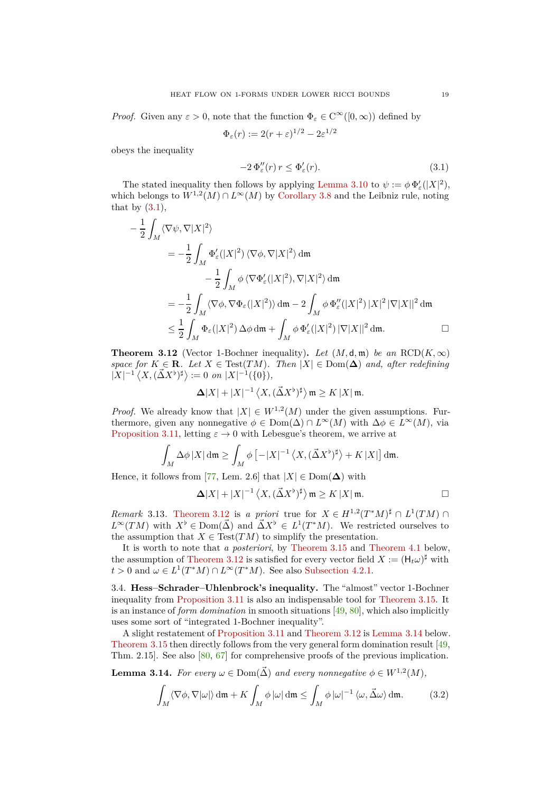*Proof.* Given any  $\varepsilon > 0$ , note that the function  $\Phi_{\varepsilon} \in C^{\infty}([0,\infty))$  defined by

$$
\Phi_{\varepsilon}(r) := 2(r+\varepsilon)^{1/2} - 2\varepsilon^{1/2}
$$

obeys the inequality

<span id="page-18-2"></span>
$$
-2\,\Phi_{\varepsilon}''(r)\,r\leq\Phi_{\varepsilon}'(r). \tag{3.1}
$$

The stated inequality then follows by applying [Lemma 3.10](#page-17-2) to  $\psi := \phi \Phi_{\varepsilon}'(|X|^2)$ , which belongs to  $W^{1,2}(M) \cap L^\infty(M)$  by [Corollary 3.8](#page-17-1) and the Leibniz rule, noting that by  $(3.1)$ ,

$$
-\frac{1}{2} \int_M \langle \nabla \psi, \nabla |X|^2 \rangle
$$
  
\n
$$
= -\frac{1}{2} \int_M \Phi_{\varepsilon}'(|X|^2) \langle \nabla \phi, \nabla |X|^2 \rangle dm
$$
  
\n
$$
-\frac{1}{2} \int_M \phi \langle \nabla \Phi_{\varepsilon}'(|X|^2), \nabla |X|^2 \rangle dm
$$
  
\n
$$
= -\frac{1}{2} \int_M \langle \nabla \phi, \nabla \Phi_{\varepsilon}(|X|^2) \rangle dm - 2 \int_M \phi \Phi_{\varepsilon}''(|X|^2) |X|^2 |\nabla |X||^2 dm
$$
  
\n
$$
\leq \frac{1}{2} \int_M \Phi_{\varepsilon}(|X|^2) \Delta \phi dm + \int_M \phi \Phi_{\varepsilon}'(|X|^2) |\nabla |X||^2 dm.
$$

<span id="page-18-1"></span>**Theorem 3.12** (Vector 1-Bochner inequality). Let  $(M, d, m)$  be an  $RCD(K, \infty)$ *space for*  $K \in \mathbf{R}$ *. Let*  $X \in Test(TM)$ *. Then*  $|X| \in Dom(\Delta)$  *and, after redefining*  $|X|^{-1} \langle X, (\vec{\Delta}X^{\flat})^{\sharp} \rangle := 0$  *on*  $|X|^{-1}(\{0\}),$ 

$$
\Delta |X|+|X|^{-1}\left\langle X,(\vec{\Delta}X^{\flat})^{\sharp}\right\rangle \mathfrak m\geq K\left|X\right|\mathfrak m.
$$

*Proof.* We already know that  $|X| \in W^{1,2}(M)$  under the given assumptions. Furthermore, given any nonnegative  $\phi \in \text{Dom}(\Delta) \cap L^{\infty}(M)$  with  $\Delta \phi \in L^{\infty}(M)$ , via [Proposition 3.11,](#page-17-3) letting  $\varepsilon \to 0$  with Lebesgue's theorem, we arrive at

$$
\int_M \Delta \phi |X| \, \mathrm{d}\mathfrak{m} \ge \int_M \phi \left[ -|X|^{-1} \left\langle X, (\vec{\Delta} X^{\flat})^{\sharp} \right\rangle + K |X| \right] \, \mathrm{d}\mathfrak{m}.
$$

Hence, it follows from [\[77,](#page-48-19) Lem. 2.6] that  $|X| \in \text{Dom}(\Delta)$  with

$$
\Delta |X| + |X|^{-1} \left\langle X, (\vec{\Delta} X^{\flat})^{\sharp} \right\rangle \mathfrak{m} \ge K |X| \mathfrak{m}.
$$

*Remark* 3.13*.* [Theorem 3.12](#page-18-1) is *a priori* true for  $X \in H^{1,2}(T^*M)^{\sharp} \cap L^1(TM) \cap$  $L^{\infty}(TM)$  with  $X^{\flat} \in \text{Dom}(\vec{\Delta})$  and  $\vec{\Delta}X^{\flat} \in L^{1}(T^{*}M)$ . We restricted ourselves to the assumption that  $X \in Test(TM)$  to simplify the presentation.

It is worth to note that *a posteriori*, by [Theorem 3.15](#page-19-1) and [Theorem 4.1](#page-21-1) below, the assumption of [Theorem 3.12](#page-18-1) is satisfied for every vector field  $X := (\mathsf{H}_t \omega)^{\sharp}$  with  $t > 0$  and  $\omega \in L^1(T^*M) \cap L^\infty(T^*M)$ . See also [Subsection 4.2.1.](#page-22-2)

<span id="page-18-0"></span>3.4. **Hess–Schrader–Uhlenbrock's inequality.** The "almost" vector 1-Bochner inequality from [Proposition 3.11](#page-17-3) is also an indispensable tool for [Theorem 3.15.](#page-19-1) It is an instance of *form domination* in smooth situations [\[49,](#page-47-9) [80\]](#page-48-7), which also implicitly uses some sort of "integrated 1-Bochner inequality".

A slight restatement of [Proposition 3.11](#page-17-3) and [Theorem 3.12](#page-18-1) is [Lemma 3.14](#page-18-3) below. [Theorem 3.15](#page-19-1) then directly follows from the very general form domination result [\[49,](#page-47-9) Thm. 2.15]. See also [\[80,](#page-48-7) [67\]](#page-48-24) for comprehensive proofs of the previous implication.

<span id="page-18-3"></span>**Lemma 3.14.** For every  $\omega \in \text{Dom}(\vec{\Delta})$  and every nonnegative  $\phi \in W^{1,2}(M)$ ,

<span id="page-18-4"></span>
$$
\int_M \langle \nabla \phi, \nabla | \omega | \rangle \, \mathrm{d}\mathfrak{m} + K \int_M \phi \, |\omega| \, \mathrm{d}\mathfrak{m} \le \int_M \phi \, |\omega|^{-1} \, \langle \omega, \vec{\Delta} \omega \rangle \, \mathrm{d}\mathfrak{m}.\tag{3.2}
$$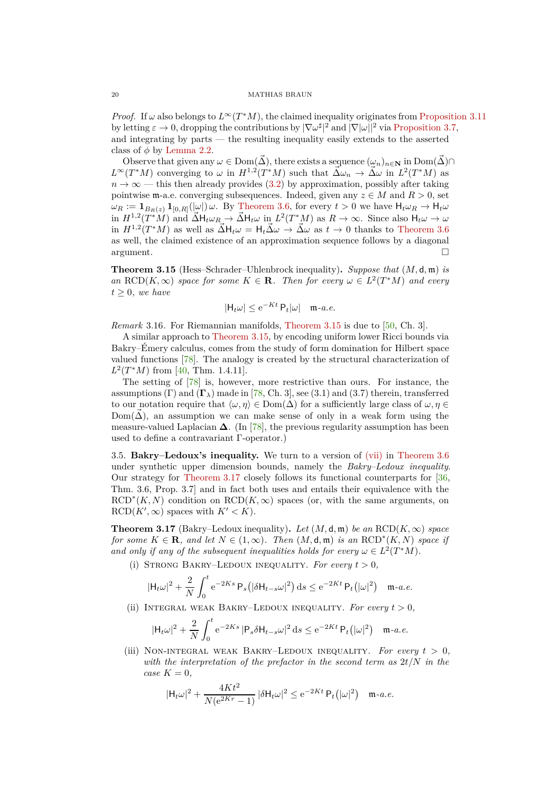*Proof.* If  $\omega$  also belongs to  $L^{\infty}(T^*M)$ , the claimed inequality originates from [Proposition 3.11](#page-17-3) by letting  $\varepsilon \to 0$ , dropping the contributions by  $|\nabla \omega^{\sharp}|^2$  and  $|\nabla |\omega||^2$  via [Proposition 3.7,](#page-16-1) and integrating by parts — the resulting inequality easily extends to the asserted class of  $\phi$  by [Lemma 2.2.](#page-8-0)

Observe that given any  $\omega \in \text{Dom}(\vec{\Delta})$ , there exists a sequence  $(\omega_n)_{n \in \mathbb{N}}$  in  $\text{Dom}(\vec{\Delta}) \cap$  $L^{\infty}(T^*M)$  converging to  $\omega$  in  $H^{1,2}(T^*M)$  such that  $\vec{\Delta}\omega_n \to \vec{\Delta}\omega$  in  $L^2(T^*M)$  as  $n \to \infty$  — this then already provides [\(3.2\)](#page-18-4) by approximation, possibly after taking pointwise **m**-a.e. converging subsequences. Indeed, given any  $z \in M$  and  $R > 0$ , set  $\omega_R := \mathbf{1}_{B_R(z)} \mathbf{1}_{[0,R]}(\omega)$  *ω*. By [Theorem 3.6,](#page-16-2) for every  $t > 0$  we have  $H_t \omega_R \to H_t \omega$ in  $H^{1,2}(T^*M)$  and  $\overrightarrow{\Delta}H_t\omega_{R}\rightarrow \overrightarrow{\Delta}H_t\omega$  in  $L^2(T^*M)$  as  $R\rightarrow \infty$ . Since also  $H_t\omega\rightarrow \omega$ in  $H^{1,2}(T^*M)$  as well as  $\vec{\Delta}H_t\omega = H_t\vec{\Delta}\omega \rightarrow \vec{\Delta}\omega$  as  $t \rightarrow 0$  thanks to [Theorem 3.6](#page-16-2) as well, the claimed existence of an approximation sequence follows by a diagonal argument.

<span id="page-19-1"></span>**Theorem 3.15** (Hess–Schrader–Uhlenbrock inequality)**.** *Suppose that* (*M,* d*,* m) *is an*  $\text{RCD}(K, \infty)$  *space for some*  $K \in \mathbf{R}$ *. Then for every*  $\omega \in L^2(T^*M)$  *and every*  $t \geq 0$ *, we have* 

$$
|\mathsf{H}_t \omega| \le e^{-Kt} \, \mathsf{P}_t |\omega| \quad \mathfrak{m}\text{-}a.e.
$$

*Remark* 3.16. For Riemannian manifolds, [Theorem 3.15](#page-19-1) is due to [\[50,](#page-47-8) Ch. 3].

A similar approach to [Theorem 3.15,](#page-19-1) by encoding uniform lower Ricci bounds via Bakry–Émery calculus, comes from the study of form domination for Hilbert space valued functions [\[78\]](#page-48-25). The analogy is created by the structural characterization of  $L^2(T^*M)$  from [\[40,](#page-47-1) Thm. 1.4.11].

The setting of [\[78\]](#page-48-25) is, however, more restrictive than ours. For instance, the assumptions (Γ) and  $(\Gamma_\lambda)$  made in [\[78,](#page-48-25) Ch. 3], see (3.1) and (3.7) therein, transferred to our notation require that  $\langle \omega, \eta \rangle \in \text{Dom}(\Delta)$  for a sufficiently large class of  $\omega, \eta \in$ Dom( $\Delta$ ), an assumption we can make sense of only in a weak form using the measure-valued Laplacian  $\Delta$ . (In [\[78\]](#page-48-25), the previous regularity assumption has been used to define a contravariant Γ-operator.)

<span id="page-19-0"></span>3.5. **Bakry–Ledoux's inequality.** We turn to a version of [\(vii\)](#page-16-3) in [Theorem 3.6](#page-16-2) under synthetic upper dimension bounds, namely the *Bakry–Ledoux inequality*. Our strategy for [Theorem 3.17](#page-19-2) closely follows its functional counterparts for [\[36,](#page-47-5) Thm. 3.6, Prop. 3.7] and in fact both uses and entails their equivalence with the  $RCD^*(K, N)$  condition on  $RCD(K, \infty)$  spaces (or, with the same arguments, on  $RCD(K', \infty)$  spaces with  $K' < K$ ).

<span id="page-19-2"></span>**Theorem 3.17** (Bakry–Ledoux inequality). Let  $(M, \mathsf{d}, \mathfrak{m})$  be an RCD $(K, \infty)$  space *for some*  $K \in \mathbf{R}$ *, and let*  $N \in (1, \infty)$ *. Then*  $(M, \mathsf{d}, \mathfrak{m})$  *is an*  $\text{RCD}^*(K, N)$  *space if and only if any of the subsequent inequalities holds for every*  $\omega \in L^2(T^*M)$ .

<span id="page-19-3"></span>(i) STRONG BAKRY–LEDOUX INEQUALITY. For every  $t > 0$ ,

$$
|\mathsf{H}_t \omega|^2 + \frac{2}{N} \int_0^t e^{-2Ks} \, \mathsf{P}_s\big(|\delta \mathsf{H}_{t-s} \omega|^2\big) \, \mathrm{d} s \le e^{-2Kt} \, \mathsf{P}_t\big(|\omega|^2\big) \quad \mathfrak{m}\text{-}a.e.
$$

<span id="page-19-4"></span>(ii) INTEGRAL WEAK BAKRY–LEDOUX INEQUALITY. For every  $t > 0$ ,

$$
|\mathsf{H}_{t}\omega|^{2} + \frac{2}{N} \int_{0}^{t} e^{-2Ks} |\mathsf{P}_{s}\delta \mathsf{H}_{t-s}\omega|^{2} \, \mathrm{d}s \le e^{-2Kt} \, \mathsf{P}_{t}(|\omega|^{2}) \quad \mathfrak{m}\text{-}a.e.
$$

<span id="page-19-5"></span>(iii) NON-INTEGRAL WEAK BAKRY–LEDOUX INEQUALITY. For every  $t > 0$ , *with the interpretation of the prefactor in the second term as* 2*t/N in the case*  $K = 0$ *,* 

$$
|\mathsf{H}_{t}\omega|^{2} + \frac{4Kt^{2}}{N(e^{2Kr} - 1)} |\delta \mathsf{H}_{t}\omega|^{2} \le e^{-2Kt} \, \mathsf{P}_{t}(|\omega|^{2}) \quad \text{m-a.e.}
$$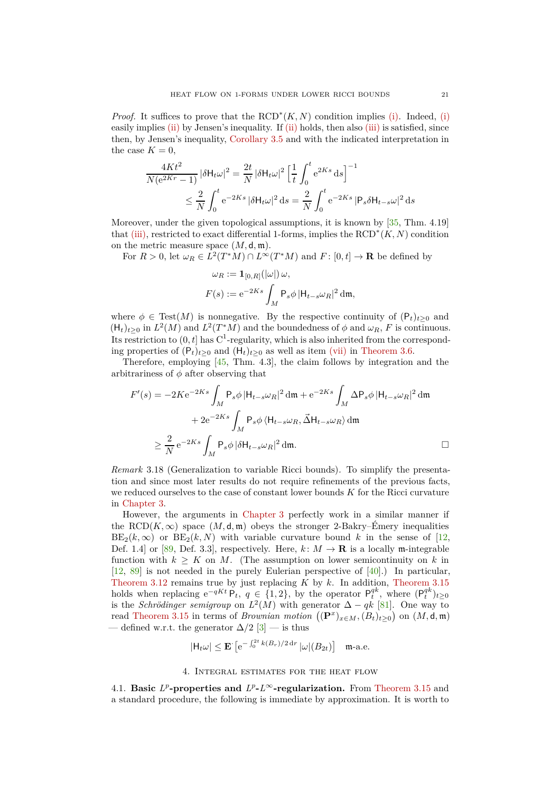*Proof.* It suffices to prove that the  $\text{RCD}^*(K, N)$  condition implies [\(i\).](#page-19-3) Indeed, [\(i\)](#page-19-3) easily implies [\(ii\)](#page-19-4) by Jensen's inequality. If (ii) holds, then also [\(iii\)](#page-19-5) is satisfied, since then, by Jensen's inequality, [Corollary 3.5](#page-16-4) and with the indicated interpretation in the case  $K = 0$ ,

$$
\frac{4Kt^2}{N(e^{2Kr}-1)}|\delta H_t\omega|^2 = \frac{2t}{N}|\delta H_t\omega|^2 \left[\frac{1}{t}\int_0^t e^{2Ks} ds\right]^{-1}
$$
  

$$
\leq \frac{2}{N}\int_0^t e^{-2Ks}|\delta H_t\omega|^2 ds = \frac{2}{N}\int_0^t e^{-2Ks}|\mathsf{P}_s\delta H_{t-s}\omega|^2 ds
$$

Moreover, under the given topological assumptions, it is known by [\[35,](#page-47-10) Thm. 4.19] that [\(iii\),](#page-19-5) restricted to exact differential 1-forms, implies the RCD<sup>∗</sup> (*K, N*) condition on the metric measure space (*M,* d*,* m).

For  $R > 0$ , let  $\omega_R \in L^2(T^*M) \cap L^\infty(T^*M)$  and  $F: [0, t] \to \mathbf{R}$  be defined by

$$
\omega_R := \mathbf{1}_{[0,R]}(|\omega|) \omega,
$$
  

$$
F(s) := e^{-2Ks} \int_M \mathsf{P}_s \phi \, |\mathsf{H}_{t-s} \omega_R|^2 \, \mathrm{d}\mathfrak{m},
$$

where  $\phi \in Test(M)$  is nonnegative. By the respective continuity of  $(P_t)_{t\geq 0}$  and  $(H_t)_{t\geq0}$  in  $L^2(M)$  and  $L^2(T^*M)$  and the boundedness of  $\phi$  and  $\omega_R$ , *F* is continuous. Its restriction to  $(0, t]$  has  $C^1$ -regularity, which is also inherited from the corresponding properties of  $(P_t)_{t>0}$  and  $(H_t)_{t>0}$  as well as item [\(vii\)](#page-16-3) in [Theorem 3.6.](#page-16-2)

Therefore, employing [\[45,](#page-47-11) Thm. 4.3], the claim follows by integration and the arbitrariness of *φ* after observing that

$$
F'(s) = -2Ke^{-2Ks} \int_M \mathsf{P}_s \phi \, |\mathsf{H}_{t-s}\omega_R|^2 \, \mathrm{d}\mathfrak{m} + e^{-2Ks} \int_M \Delta \mathsf{P}_s \phi \, |\mathsf{H}_{t-s}\omega_R|^2 \, \mathrm{d}\mathfrak{m}
$$

$$
+ 2e^{-2Ks} \int_M \mathsf{P}_s \phi \, \langle \mathsf{H}_{t-s}\omega_R, \vec{\Delta}\mathsf{H}_{t-s}\omega_R \rangle \, \mathrm{d}\mathfrak{m}
$$

$$
\geq \frac{2}{N} e^{-2Ks} \int_M \mathsf{P}_s \phi \, |\delta\mathsf{H}_{t-s}\omega_R|^2 \, \mathrm{d}\mathfrak{m}.
$$

<span id="page-20-2"></span>*Remark* 3.18 (Generalization to variable Ricci bounds)*.* To simplify the presentation and since most later results do not require refinements of the previous facts, we reduced ourselves to the case of constant lower bounds *K* for the Ricci curvature in [Chapter 3.](#page-15-0)

However, the arguments in [Chapter 3](#page-15-0) perfectly work in a similar manner if the RCD( $K, \infty$ ) space  $(M, d, \mathfrak{m})$  obeys the stronger 2-Bakry–Émery inequalities  $BE_2(k,\infty)$  or  $BE_2(k,N)$  with variable curvature bound k in the sense of [\[12,](#page-46-5) Def. 1.4] or [\[89,](#page-48-1) Def. 3.3], respectively. Here,  $k: M \to \mathbf{R}$  is a locally m-integrable function with  $k \geq K$  on M. (The assumption on lower semicontinuity on k in [\[12,](#page-46-5) [89\]](#page-48-1) is not needed in the purely Eulerian perspective of [\[40\]](#page-47-1).) In particular, [Theorem 3.12](#page-18-1) remains true by just replacing *K* by *k*. In addition, [Theorem 3.15](#page-19-1) holds when replacing  $e^{-qKt} P_t$ ,  $q \in \{1, 2\}$ , by the operator  $P_t^{qk}$ , where  $(P_t^{qk})_{t\geq 0}$ is the *Schrödinger semigroup* on  $L^2(M)$  with generator  $\Delta - qk$  [\[81\]](#page-48-26). One way to read [Theorem 3.15](#page-19-1) in terms of *Brownian motion*  $((\mathbf{P}^x)_{x \in M}, (B_t)_{t \geq 0})$  on  $(M, \mathsf{d}, \mathfrak{m})$ — defined w.r.t. the generator  $\Delta/2$  [\[3\]](#page-45-1) — is thus

$$
|\mathsf{H}_t \omega| \le \mathbf{E} \left[ e^{-\int_0^{2t} k(B_r)/2 dr} |\omega|(B_{2t}) \right] \quad \text{m-a.e.}
$$

## 4. Integral estimates for the heat flow

<span id="page-20-1"></span><span id="page-20-0"></span>4.1. **Basic**  $L^p$ -properties and  $L^p$ - $L^\infty$ -regularization. From [Theorem 3.15](#page-19-1) and a standard procedure, the following is immediate by approximation. It is worth to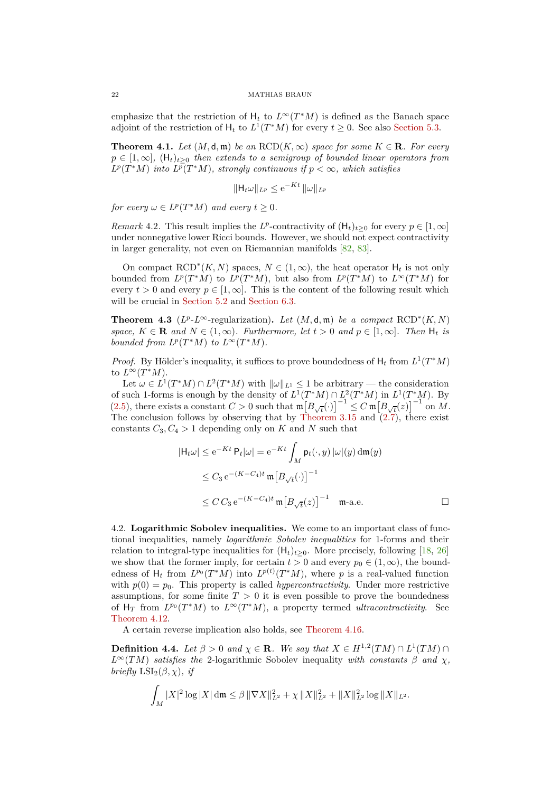emphasize that the restriction of  $H_t$  to  $L^\infty(T^*M)$  is defined as the Banach space adjoint of the restriction of  $H_t$  to  $L^1(T^*M)$  for every  $t \ge 0$ . See also [Section 5.3.](#page-32-0)

<span id="page-21-1"></span>**Theorem 4.1.** *Let*  $(M, \mathsf{d}, \mathfrak{m})$  *be an*  $RCD(K, \infty)$  *space for some*  $K \in \mathbb{R}$ *. For every*  $p \in [1,\infty]$ ,  $(H_t)_{t>0}$  *then extends to a semigroup of bounded linear operators from*  $L^p(T^*M)$  *into*  $L^p(T^*M)$ *, strongly continuous if*  $p < \infty$ *, which satisfies* 

$$
\|\mathsf{H}_t\omega\|_{L^p} \leq e^{-Kt} \|\omega\|_{L^p}
$$

*for every*  $\omega \in L^p(T^*M)$  *and every*  $t \geq 0$ *.* 

*Remark* 4.2. This result implies the *L*<sup>*p*</sup>-contractivity of  $(H_t)_{t\geq0}$  for every  $p \in [1, \infty]$ under nonnegative lower Ricci bounds. However, we should not expect contractivity in larger generality, not even on Riemannian manifolds [\[82,](#page-48-6) [83\]](#page-48-27).

On compact  $\text{RCD}^*(K, N)$  spaces,  $N \in (1, \infty)$ , the heat operator  $H_t$  is not only bounded from  $L^p(T^*M)$  to  $L^p(T^*M)$ , but also from  $L^p(T^*M)$  to  $L^{\infty}(T^*M)$  for every  $t > 0$  and every  $p \in [1, \infty]$ . This is the content of the following result which will be crucial in [Section 5.2](#page-30-0) and [Section 6.3.](#page-44-0)

<span id="page-21-3"></span>**Theorem 4.3** ( $L^p L^{\infty}$ -regularization). *Let*  $(M, d, m)$  *be a compact* RCD<sup>\*</sup> $(K, N)$ *space,*  $K \in \mathbf{R}$  *and*  $N \in (1, \infty)$ *. Furthermore, let*  $t > 0$  *and*  $p \in [1, \infty)$ *. Then*  $H_t$  *is bounded from*  $L^p(T^*M)$  *to*  $L^\infty(T^*M)$ *.* 

*Proof.* By Hölder's inequality, it suffices to prove boundedness of  $H_t$  from  $L^1(T^*M)$ to  $L^\infty(T^*M)$ .

Let  $\omega \in L^1(T^*M) \cap L^2(T^*M)$  with  $\|\omega\|_{L^1} \leq 1$  be arbitrary — the consideration of such 1-forms is enough by the density of  $L^1(T^*M) \cap L^2(T^*M)$  in  $L^1(T^*M)$ . By  $(2.5)$ , there exists a constant  $C > 0$  such that  $\mathfrak{m}\left[\overline{B}_{\sqrt{t}}(\cdot)\right]^{-1} \leq C \mathfrak{m}\left[\overline{B}_{\sqrt{t}}(z)\right]^{-1}$  on M. The conclusion follows by observing that by [Theorem 3.15](#page-19-1) and  $(2.7)$ , there exist constants  $C_3, C_4 > 1$  depending only on *K* and *N* such that

$$
|\mathsf{H}_{t}\omega| \le e^{-Kt} \mathsf{P}_{t}|\omega| = e^{-Kt} \int_{M} \mathsf{p}_{t}(\cdot, y) |\omega|(y) \, d\mathfrak{m}(y)
$$
  

$$
\le C_{3} e^{-(K-C_{4})t} \mathfrak{m} [B_{\sqrt{t}}(\cdot)]^{-1}
$$
  

$$
\le C C_{3} e^{-(K-C_{4})t} \mathfrak{m} [B_{\sqrt{t}}(z)]^{-1} \mathfrak{m}\text{-a.e.} \square
$$

<span id="page-21-0"></span>4.2. **Logarithmic Sobolev inequalities.** We come to an important class of functional inequalities, namely *logarithmic Sobolev inequalities* for 1-forms and their relation to integral-type inequalities for  $(H_t)_{t>0}$ . More precisely, following [\[18,](#page-46-0) [26\]](#page-46-16) we show that the former imply, for certain  $t > 0$  and every  $p_0 \in (1, \infty)$ , the boundedness of  $H_t$  from  $L^{p_0}(T^*M)$  into  $L^{p(t)}(T^*M)$ , where p is a real-valued function with  $p(0) = p_0$ . This property is called *hypercontractivity*. Under more restrictive assumptions, for some finite  $T > 0$  it is even possible to prove the boundedness of  $H_T$  from  $L^{p_0}(T^*M)$  to  $L^{\infty}(T^*M)$ , a property termed *ultracontractivity*. See [Theorem 4.12.](#page-25-0)

A certain reverse implication also holds, see [Theorem 4.16.](#page-27-1)

<span id="page-21-2"></span>**Definition 4.4.** *Let*  $\beta > 0$  *and*  $\chi \in \mathbb{R}$ *. We say that*  $X \in H^{1,2}(TM) \cap L^1(TM) \cap L^2(TM)$ *L*<sup>∞</sup>(*TM*) *satisfies the* 2-logarithmic Sobolev inequality *with constants β and χ, briefly*  $LSI_2(\beta, \chi)$ *, if* 

$$
\int_M |X|^2 \log |X| \, \mathrm{d}\mathfrak{m} \leq \beta \, \|\nabla X\|_{L^2}^2 + \chi \, \|X\|_{L^2}^2 + \|X\|_{L^2}^2 \log \|X\|_{L^2}.
$$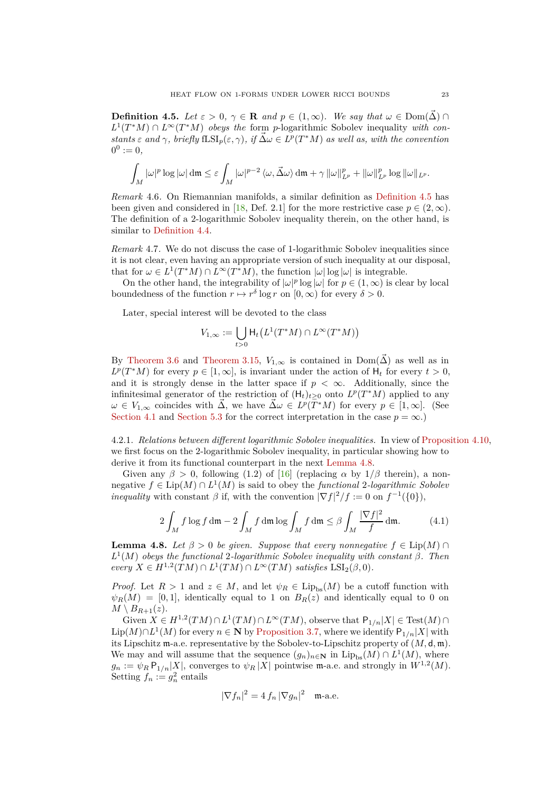<span id="page-22-1"></span>**Definition 4.5.** *Let*  $\varepsilon > 0$ ,  $\gamma \in \mathbb{R}$  *and*  $p \in (1, \infty)$ *. We say that*  $\omega \in \text{Dom}(\Delta) \cap \mathbb{R}$  $L^1(T^*M) \cap L^\infty(T^*M)$  *obeys the* form *p*-logarithmic Sobolev inequality *with con* $s$ *tants*  $\varepsilon$  *and*  $\gamma$ *, briefly*  $fLSI_p(\varepsilon, \gamma)$ *, if*  $\vec{\Delta}\omega \in L^p(T^*M)$  *as well as, with the convention*  $0^0 := 0,$ 

$$
\int_M |\omega|^p \log |\omega| \, \mathrm{d}\mathfrak{m} \leq \varepsilon \int_M |\omega|^{p-2} \, \langle \omega, \vec{\Delta} \omega \rangle \, \mathrm{d}\mathfrak{m} + \gamma \, \|\omega\|_{L^p}^p + \|\omega\|_{L^p}^p \log \|\omega\|_{L^p}.
$$

*Remark* 4.6*.* On Riemannian manifolds, a similar definition as [Definition 4.5](#page-22-1) has been given and considered in [\[18,](#page-46-0) Def. 2.1] for the more restrictive case  $p \in (2,\infty)$ . The definition of a 2-logarithmic Sobolev inequality therein, on the other hand, is similar to [Definition 4.4.](#page-21-2)

<span id="page-22-4"></span>*Remark* 4.7*.* We do not discuss the case of 1-logarithmic Sobolev inequalities since it is not clear, even having an appropriate version of such inequality at our disposal, that for  $\omega \in L^1(T^*M) \cap L^\infty(T^*M)$ , the function  $|\omega| \log |\omega|$  is integrable.

On the other hand, the integrability of  $|\omega|^p \log |\omega|$  for  $p \in (1, \infty)$  is clear by local boundedness of the function  $r \mapsto r^{\delta} \log r$  on  $[0, \infty)$  for every  $\delta > 0$ .

Later, special interest will be devoted to the class

$$
V_{1,\infty} := \bigcup_{t>0} \mathrm{H}_t\big(L^1(T^*M)\cap L^\infty(T^*M)\big)
$$

By [Theorem 3.6](#page-16-2) and [Theorem 3.15,](#page-19-1)  $V_{1,\infty}$  is contained in  $Dom(\vec{\Delta})$  as well as in  $L^p(T^*M)$  for every  $p \in [1,\infty]$ , is invariant under the action of  $H_t$  for every  $t > 0$ , and it is strongly dense in the latter space if  $p < \infty$ . Additionally, since the infinitesimal generator of the restriction of  $(H_t)_{t\geq0}$  onto  $L^p(T^*M)$  applied to any  $\omega \in V_{1,\infty}$  coincides with  $\vec{\Delta}$ , we have  $\vec{\Delta} \omega \in L^p(\overline{T^*}M)$  for every  $p \in [1,\infty]$ . (See [Section 4.1](#page-20-1) and [Section 5.3](#page-32-0) for the correct interpretation in the case  $p = \infty$ .)

<span id="page-22-2"></span>4.2.1. *Relations between different logarithmic Sobolev inequalities.* In view of [Proposition 4.10,](#page-23-0) we first focus on the 2-logarithmic Sobolev inequality, in particular showing how to derive it from its functional counterpart in the next [Lemma 4.8.](#page-22-0)

Given any  $\beta > 0$ , following (1.2) of [\[16\]](#page-46-17) (replacing  $\alpha$  by  $1/\beta$  therein), a nonnegative  $f$  ∈ Lip( $M$ ) ∩  $L^1(M)$  is said to obey the *functional* 2*-logarithmic Sobolev inequality* with constant  $\beta$  if, with the convention  $|\nabla f|^2/f := 0$  on  $f^{-1}(\{0\}),$ 

<span id="page-22-3"></span>
$$
2\int_M f \log f \, \mathrm{d}\mathfrak{m} - 2 \int_M f \, \mathrm{d}\mathfrak{m} \log \int_M f \, \mathrm{d}\mathfrak{m} \le \beta \int_M \frac{|\nabla f|^2}{f} \, \mathrm{d}\mathfrak{m}.\tag{4.1}
$$

<span id="page-22-0"></span>**Lemma 4.8.** *Let*  $\beta > 0$  *be given. Suppose that every nonnegative*  $f \in Lip(M) \cap$ *L* 1 (*M*) *obeys the functional* 2*-logarithmic Sobolev inequality with constant β. Then*  $\text{every } X \in H^{1,2}(TM) \cap L^1(TM) \cap L^{\infty}(TM) \text{ satisfies } \text{LSI}_2(\beta,0).$ 

*Proof.* Let  $R > 1$  and  $z \in M$ , and let  $\psi_R \in \text{Lip}_{bs}(M)$  be a cutoff function with  $\psi_R(M) = [0, 1]$ , identically equal to 1 on  $B_R(z)$  and identically equal to 0 on  $M \setminus B_{R+1}(z)$ .

Given  $X \in H^{1,2}(TM) \cap L^1(TM) \cap L^{\infty}(TM)$ , observe that  $P_{1/n}|X| \in Test(M) \cap$  $\text{Lip}(M) \cap L^1(M)$  for every *n* ∈ **N** by [Proposition 3.7,](#page-16-1) where we identify  $P_{1/n}|X|$  with its Lipschitz m-a.e. representative by the Sobolev-to-Lipschitz property of  $(M, d, m)$ . We may and will assume that the sequence  $(g_n)_{n\in\mathbb{N}}$  in  $\text{Lip}_{bs}(M) \cap L^1(M)$ , where  $g_n := \psi_R P_{1/n} |X|$ , converges to  $\psi_R |X|$  pointwise m-a.e. and strongly in  $W^{1,2}(M)$ . Setting  $f_n := g_n^2$  entails

$$
|\nabla f_n|^2 = 4 f_n |\nabla g_n|^2 \quad \text{m-a.e.}
$$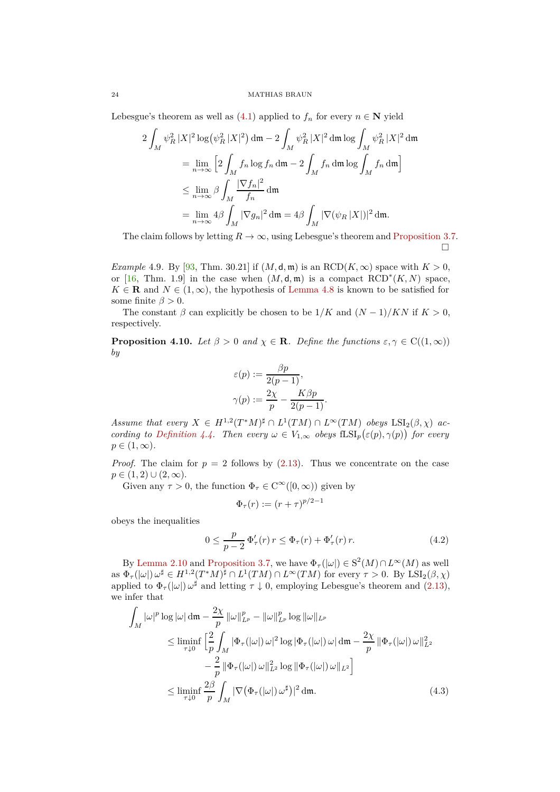#### 24 MATHIAS BRAUN

Lebesgue's theorem as well as  $(4.1)$  applied to  $f_n$  for every  $n \in \mathbb{N}$  yield

$$
2\int_M \psi_R^2 |X|^2 \log(\psi_R^2 |X|^2) \, \mathrm{d}\mathfrak{m} - 2\int_M \psi_R^2 |X|^2 \, \mathrm{d}\mathfrak{m} \log \int_M \psi_R^2 |X|^2 \, \mathrm{d}\mathfrak{m}
$$
  
\n
$$
= \lim_{n \to \infty} \left[ 2 \int_M f_n \log f_n \, \mathrm{d}\mathfrak{m} - 2 \int_M f_n \, \mathrm{d}\mathfrak{m} \log \int_M f_n \, \mathrm{d}\mathfrak{m} \right]
$$
  
\n
$$
\leq \lim_{n \to \infty} \beta \int_M \frac{|\nabla f_n|^2}{f_n} \, \mathrm{d}\mathfrak{m}
$$
  
\n
$$
= \lim_{n \to \infty} 4\beta \int_M |\nabla g_n|^2 \, \mathrm{d}\mathfrak{m} = 4\beta \int_M |\nabla (\psi_R |X|)|^2 \, \mathrm{d}\mathfrak{m}.
$$

The claim follows by letting  $R \to \infty$ , using Lebesgue's theorem and [Proposition 3.7.](#page-16-1)  $\Box$ 

<span id="page-23-3"></span>*Example* 4.9. By [\[93,](#page-49-0) Thm. 30.21] if  $(M, d, m)$  is an RCD( $K, \infty$ ) space with  $K > 0$ , or [\[16,](#page-46-17) Thm. 1.9] in the case when  $(M, \mathsf{d}, \mathfrak{m})$  is a compact  $RCD^*(K, N)$  space,  $K \in \mathbf{R}$  and  $N \in (1,\infty)$ , the hypothesis of [Lemma 4.8](#page-22-0) is known to be satisfied for some finite  $\beta > 0$ .

The constant  $\beta$  can explicitly be chosen to be  $1/K$  and  $(N-1)/KN$  if  $K > 0$ , respectively.

<span id="page-23-0"></span>**Proposition 4.10.** *Let*  $\beta > 0$  *and*  $\chi \in \mathbb{R}$ *. Define the functions*  $\varepsilon, \gamma \in C((1, \infty))$ *by*

$$
\varepsilon(p) := \frac{\beta p}{2(p-1)},
$$
  

$$
\gamma(p) := \frac{2\chi}{p} - \frac{K\beta p}{2(p-1)}.
$$

*Assume that every*  $X \in H^{1,2}(T^*M)^{\sharp} \cap L^1(TM) \cap L^{\infty}(TM)$  obeys  $LSI_2(\beta,\chi)$  ac-*cording to [Definition 4.4.](#page-21-2) Then every*  $\omega \in V_{1,\infty}$  *obeys*  $fLSI_p(\varepsilon(p), \gamma(p))$  *for every*  $p \in (1,\infty)$ .

*Proof.* The claim for  $p = 2$  follows by  $(2.13)$ . Thus we concentrate on the case  $p \in (1, 2) \cup (2, \infty).$ 

Given any  $\tau > 0$ , the function  $\Phi_{\tau} \in C^{\infty}([0, \infty))$  given by

<span id="page-23-2"></span><span id="page-23-1"></span>
$$
\Phi_{\tau}(r) := (r+\tau)^{p/2-1}
$$

obeys the inequalities

$$
0 \le \frac{p}{p-2} \, \Phi_{\tau}'(r) \, r \le \Phi_{\tau}(r) + \Phi_{\tau}'(r) \, r. \tag{4.2}
$$

By [Lemma 2.10](#page-13-1) and [Proposition 3.7,](#page-16-1) we have  $\Phi_{\tau}(|\omega|) \in S^2(M) \cap L^{\infty}(M)$  as well  $\alpha \in \Phi_{\tau}(|\omega|)$   $\omega^{\sharp} \in H^{1,2}(T^*M)^{\sharp} \cap L^1(TM) \cap L^{\infty}(TM)$  for every  $\tau > 0$ . By  $\text{LSI}_2(\beta, \chi)$ applied to  $\Phi_{\tau}(|\omega|) \omega^{\sharp}$  and letting  $\tau \downarrow 0$ , employing Lebesgue's theorem and [\(2.13\)](#page-14-3), we infer that

$$
\int_{M} |\omega|^{p} \log |\omega| \, d\mathfrak{m} - \frac{2\chi}{p} ||\omega||_{L^{p}}^{p} - ||\omega||_{L^{p}}^{p} \log ||\omega||_{L^{p}}
$$
\n
$$
\leq \liminf_{\tau \downarrow 0} \left[ \frac{2}{p} \int_{M} |\Phi_{\tau}(|\omega|) \, \omega|^{2} \log |\Phi_{\tau}(|\omega|) \, \omega| \, d\mathfrak{m} - \frac{2\chi}{p} \, ||\Phi_{\tau}(|\omega|) \, \omega||_{L^{2}}^{2} \right]
$$
\n
$$
- \frac{2}{p} ||\Phi_{\tau}(|\omega|) \, \omega||_{L^{2}}^{2} \log ||\Phi_{\tau}(|\omega|) \, \omega||_{L^{2}} \right]
$$
\n
$$
\leq \liminf_{\tau \downarrow 0} \frac{2\beta}{p} \int_{M} |\nabla (\Phi_{\tau}(|\omega|) \, \omega^{\sharp})|^{2} \, d\mathfrak{m}.
$$
\n(4.3)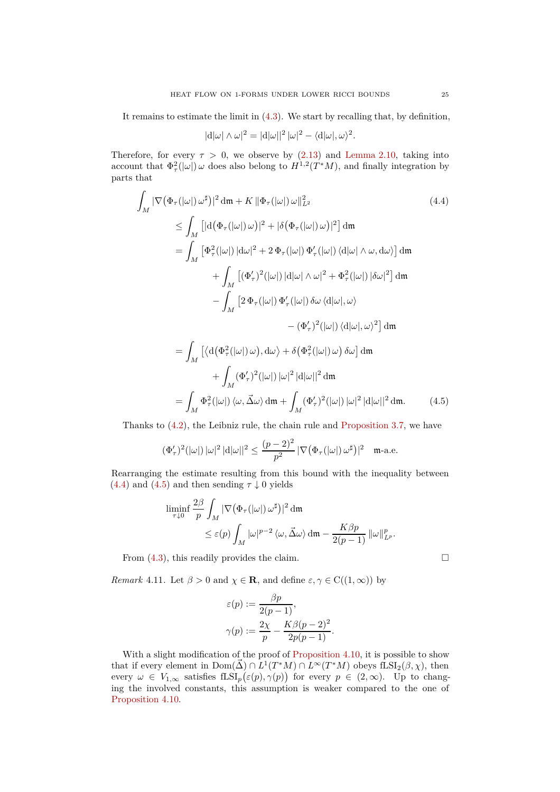It remains to estimate the limit in [\(4.3\)](#page-23-1). We start by recalling that, by definition,

<span id="page-24-0"></span>
$$
|\mathrm{d}|\omega| \wedge \omega|^2 = |\mathrm{d}|\omega||^2 |\omega|^2 - \langle \mathrm{d}|\omega|, \omega \rangle^2.
$$

Therefore, for every  $\tau > 0$ , we observe by [\(2.13\)](#page-14-3) and [Lemma 2.10,](#page-13-1) taking into account that  $\Phi^2_\tau(|\omega|)$  *ω* does also belong to  $H^{1,2}(T^*M)$ , and finally integration by parts that

$$
\int_{M} |\nabla (\Phi_{\tau}(|\omega|) \omega^{\sharp})|^{2} d\mathfrak{m} + K ||\Phi_{\tau}(|\omega|) \omega||_{L^{2}}^{2} \qquad (4.4)
$$
\n
$$
\leq \int_{M} [|\mathbf{d}(\Phi_{\tau}(|\omega|) \omega)|^{2} + |\delta(\Phi_{\tau}(|\omega|) \omega)|^{2}] d\mathfrak{m}
$$
\n
$$
= \int_{M} [\Phi_{\tau}^{2}(|\omega|) |d\omega|^{2} + 2 \Phi_{\tau}(|\omega|) \Phi_{\tau}'(|\omega|) \langle d|\omega| \wedge \omega, d\omega \rangle] d\mathfrak{m}
$$
\n
$$
+ \int_{M} [(\Phi_{\tau}')^{2}(|\omega|) |d|\omega| \wedge \omega|^{2} + \Phi_{\tau}^{2}(|\omega|) |\delta\omega|^{2}] d\mathfrak{m}
$$
\n
$$
- \int_{M} [2 \Phi_{\tau}(|\omega|) \Phi_{\tau}'(|\omega|) \delta\omega \langle d|\omega|, \omega \rangle
$$
\n
$$
- (\Phi_{\tau}')^{2}(|\omega|) \langle d|\omega|, \omega \rangle^{2}] d\mathfrak{m}
$$
\n
$$
= \int_{M} [\langle \mathbf{d}(\Phi_{\tau}^{2}(|\omega|) \omega), d\omega \rangle + \delta(\Phi_{\tau}^{2}(|\omega|) \omega) \delta\omega] d\mathfrak{m}
$$
\n
$$
+ \int_{M} (\Phi_{\tau}')^{2}(|\omega|) |\omega|^{2} |d|\omega||^{2} d\mathfrak{m}
$$
\n
$$
= \int_{M} \Phi_{\tau}^{2}(|\omega|) \langle \omega, \vec{\Delta} \omega \rangle d\mathfrak{m} + \int_{M} (\Phi_{\tau}')^{2}(|\omega|) |\omega|^{2} |d|\omega||^{2} d\mathfrak{m}.
$$
\n(4.5)

Thanks to [\(4.2\)](#page-23-2), the Leibniz rule, the chain rule and [Proposition 3.7,](#page-16-1) we have

$$
(\Phi_\tau')^2(|\omega|)\,|\omega|^2\,|\mathrm{d}|\omega||^2\leq \frac{(p-2)^2}{p^2}\,|\nabla\big(\Phi_\tau(|\omega|)\,\omega^\sharp\big)|^2\quad\text{m-a.e.}
$$

Rearranging the estimate resulting from this bound with the inequality between  $(4.4)$  and  $(4.5)$  and then sending  $\tau \downarrow 0$  yields

$$
\liminf_{\tau \downarrow 0} \frac{2\beta}{p} \int_M |\nabla (\Phi_\tau(|\omega|) \, \omega^\sharp)|^2 \, \mathrm{d}\mathfrak{m}
$$
\n
$$
\leq \varepsilon(p) \int_M |\omega|^{p-2} \, \langle \omega, \vec{\Delta} \omega \rangle \, \mathrm{d}\mathfrak{m} - \frac{K\beta p}{2(p-1)} \, \|\omega\|_{L^p}^p.
$$

From  $(4.3)$ , this readily provides the claim.

*Remark* 4.11*.* Let  $\beta > 0$  and  $\chi \in \mathbf{R}$ , and define  $\varepsilon, \gamma \in C((1, \infty))$  by

$$
\varepsilon(p) := \frac{\beta p}{2(p-1)},
$$
  

$$
\gamma(p) := \frac{2\chi}{p} - \frac{K\beta(p-2)^2}{2p(p-1)}.
$$

With a slight modification of the proof of [Proposition 4.10,](#page-23-0) it is possible to show that if every element in  $Dom(\vec{\Delta}) \cap L^{1}(T^{*}M) \cap L^{\infty}(T^{*}M)$  obeys fLSI<sub>2</sub>( $\beta, \chi$ ), then every  $\omega \in V_{1,\infty}$  satisfies  $fLSI_p(\varepsilon(p), \gamma(p))$  for every  $p \in (2,\infty)$ . Up to changing the involved constants, this assumption is weaker compared to the one of [Proposition 4.10.](#page-23-0)

<span id="page-24-1"></span>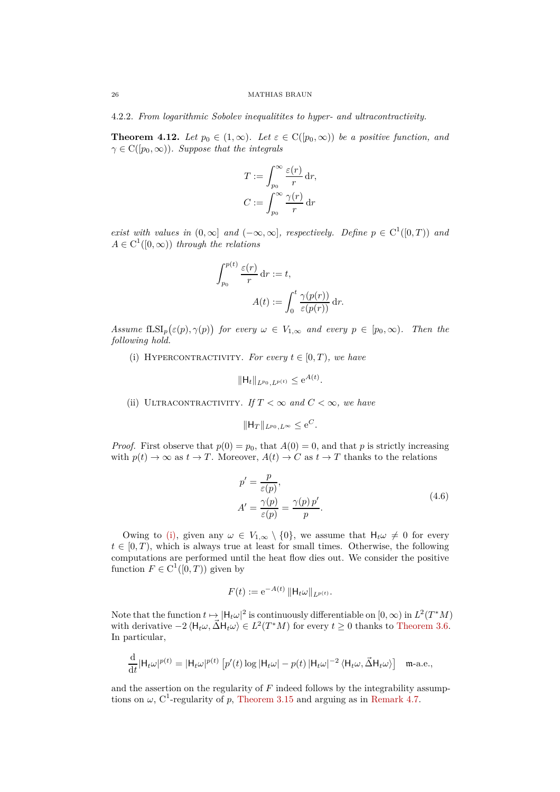4.2.2. *From logarithmic Sobolev inequalitites to hyper- and ultracontractivity.*

<span id="page-25-0"></span>**Theorem 4.12.** Let  $p_0 \in (1,\infty)$ . Let  $\varepsilon \in C([p_0,\infty))$  be a positive function, and  $\gamma \in C([p_0,\infty))$ *. Suppose that the integrals* 

$$
T := \int_{p_0}^{\infty} \frac{\varepsilon(r)}{r} dr,
$$

$$
C := \int_{p_0}^{\infty} \frac{\gamma(r)}{r} dr
$$

*exist with values in*  $(0, \infty]$  *and*  $(-\infty, \infty]$ *, respectively. Define*  $p \in C^1([0, T))$  *and*  $A \in C^1([0,\infty))$  *through the relations* 

$$
\int_{p_0}^{p(t)} \frac{\varepsilon(r)}{r} dr := t,
$$

$$
A(t) := \int_0^t \frac{\gamma(p(r))}{\varepsilon(p(r))} dr.
$$

<span id="page-25-1"></span> $Assume$   $\operatorname{fLSI}_p(\varepsilon(p), \gamma(p))$  *for every*  $\omega \in V_{1,\infty}$  *and every*  $p \in [p_0, \infty)$ *. Then the following hold.*

(i) HYPERCONTRACTIVITY. For every  $t \in [0, T)$ *, we have* 

$$
\|\mathsf{H}_t\|_{L^{p_0},L^{p(t)}} \leq e^{A(t)}.
$$

<span id="page-25-3"></span>(ii) ULTRACONTRACTIVITY. *If*  $T < \infty$  and  $C < \infty$ , we have

$$
\|\mathsf{H}_T\|_{L^{p_0},L^\infty} \leq \mathrm{e}^C.
$$

*Proof.* First observe that  $p(0) = p_0$ , that  $A(0) = 0$ , and that *p* is strictly increasing with  $p(t) \to \infty$  as  $t \to T$ . Moreover,  $A(t) \to C$  as  $t \to T$  thanks to the relations

<span id="page-25-2"></span>
$$
p' = \frac{p}{\varepsilon(p)},
$$
  
\n
$$
A' = \frac{\gamma(p)}{\varepsilon(p)} = \frac{\gamma(p) p'}{p}.
$$
\n(4.6)

Owing to [\(i\),](#page-25-1) given any  $\omega \in V_{1,\infty} \setminus \{0\}$ , we assume that  $H_t \omega \neq 0$  for every  $t \in [0, T)$ , which is always true at least for small times. Otherwise, the following computations are performed until the heat flow dies out. We consider the positive function  $F \in C^1([0, T))$  given by

$$
F(t) := e^{-A(t)} \| H_t \omega \|_{L^{p(t)}}.
$$

Note that the function  $t \mapsto |H_t\omega|^2$  is continuously differentiable on  $[0, \infty)$  in  $L^2(T^*M)$ with derivative  $-2 \langle H_t \omega, \vec{\Delta} H_t \omega \rangle \in L^2(T^*M)$  for every  $t \ge 0$  thanks to [Theorem 3.6.](#page-16-2) In particular,

$$
\frac{\mathrm{d}}{\mathrm{d}t}|\mathsf{H}_{t}\omega|^{p(t)} = |\mathsf{H}_{t}\omega|^{p(t)} \left[ p'(t) \log |\mathsf{H}_{t}\omega| - p(t) |\mathsf{H}_{t}\omega|^{-2} \langle \mathsf{H}_{t}\omega, \vec{\Delta}\mathsf{H}_{t}\omega \rangle \right] \quad \text{m-a.e.,}
$$

and the assertion on the regularity of *F* indeed follows by the integrability assumptions on  $\omega$ , C<sup>1</sup>-regularity of p, [Theorem 3.15](#page-19-1) and arguing as in [Remark 4.7.](#page-22-4)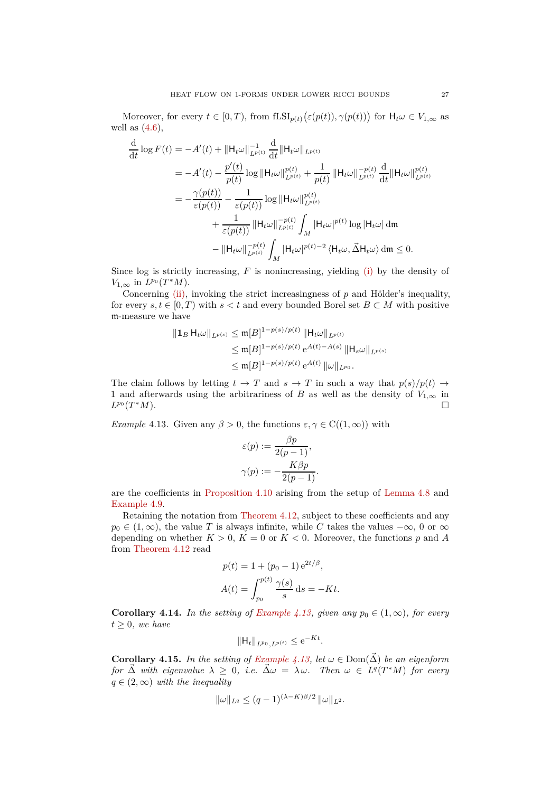Moreover, for every  $t \in [0, T)$ , from  $fLSI_{p(t)}(\varepsilon(p(t)), \gamma(p(t)))$  for  $H_t \omega \in V_{1, \infty}$  as well as  $(4.6)$ ,

$$
\frac{\mathrm{d}}{\mathrm{d}t} \log F(t) = -A'(t) + \| \mathsf{H}_t \omega \|_{L^{p(t)}}^{-1} \frac{\mathrm{d}}{\mathrm{d}t} \| \mathsf{H}_t \omega \|_{L^{p(t)}}
$$
\n
$$
= -A'(t) - \frac{p'(t)}{p(t)} \log \| \mathsf{H}_t \omega \|_{L^{p(t)}}^{p(t)} + \frac{1}{p(t)} \| \mathsf{H}_t \omega \|_{L^{p(t)}}^{-p(t)} \frac{\mathrm{d}}{\mathrm{d}t} \| \mathsf{H}_t \omega \|_{L^{p(t)}}^{p(t)}
$$
\n
$$
= -\frac{\gamma(p(t))}{\varepsilon(p(t))} - \frac{1}{\varepsilon(p(t))} \log \| \mathsf{H}_t \omega \|_{L^{p(t)}}^{p(t)}
$$
\n
$$
+ \frac{1}{\varepsilon(p(t))} \| \mathsf{H}_t \omega \|_{L^{p(t)}}^{-p(t)} \int_M | \mathsf{H}_t \omega|^{p(t)} \log | \mathsf{H}_t \omega | \mathrm{d}\mathfrak{m}
$$
\n
$$
- \| \mathsf{H}_t \omega \|_{L^{p(t)}}^{-p(t)} \int_M | \mathsf{H}_t \omega|^{p(t)-2} \langle \mathsf{H}_t \omega, \vec{\Delta} \mathsf{H}_t \omega \rangle \mathrm{d}\mathfrak{m} \le 0.
$$

Since log is strictly increasing, *F* is nonincreasing, yielding [\(i\)](#page-25-1) by the density of  $V_{1,\infty}$  in  $L^{p_0}(T^*M)$ .

Concerning [\(ii\),](#page-25-3) invoking the strict increasingness of *p* and Hölder's inequality, for every  $s, t \in [0, T)$  with  $s < t$  and every bounded Borel set  $B \subset M$  with positive m-measure we have

$$
\| \mathbf{1}_{B} \mathbf{H}_{t} \omega \|_{L^{p(s)}} \leq \mathfrak{m}[B]^{1-p(s)/p(t)} \left\| \mathbf{H}_{t} \omega \right\|_{L^{p(t)}}
$$
  

$$
\leq \mathfrak{m}[B]^{1-p(s)/p(t)} e^{A(t)-A(s)} \left\| \mathbf{H}_{s} \omega \right\|_{L^{p(s)}}
$$
  

$$
\leq \mathfrak{m}[B]^{1-p(s)/p(t)} e^{A(t)} \left\| \omega \right\|_{L^{p_0}}.
$$

The claim follows by letting  $t \to T$  and  $s \to T$  in such a way that  $p(s)/p(t) \to T$ 1 and afterwards using the arbitrariness of *B* as well as the density of  $V_{1,\infty}$  in  $I_{P^0}(T^*M)$ *L <sup>p</sup>*<sup>0</sup> (*T* <sup>∗</sup>*M*).

<span id="page-26-0"></span>*Example* 4.13*.* Given any  $\beta > 0$ , the functions  $\varepsilon, \gamma \in C((1, \infty))$  with

$$
\varepsilon(p) := \frac{\beta p}{2(p-1)},
$$

$$
\gamma(p) := -\frac{K\beta p}{2(p-1)}.
$$

are the coefficients in [Proposition 4.10](#page-23-0) arising from the setup of [Lemma 4.8](#page-22-0) and [Example 4.9.](#page-23-3)

Retaining the notation from [Theorem 4.12,](#page-25-0) subject to these coefficients and any  $p_0 \in (1, \infty)$ , the value *T* is always infinite, while *C* takes the values  $-\infty$ , 0 or  $\infty$ depending on whether  $K > 0$ ,  $K = 0$  or  $K < 0$ . Moreover, the functions p and A from [Theorem 4.12](#page-25-0) read

$$
p(t) = 1 + (p_0 - 1) e^{2t/\beta},
$$
  

$$
A(t) = \int_{p_0}^{p(t)} \frac{\gamma(s)}{s} ds = -Kt.
$$

<span id="page-26-1"></span>**Corollary 4.14.** *In the setting of [Example 4.13,](#page-26-0) given any*  $p_0 \in (1, \infty)$ *, for every*  $t \geq 0$ *, we have* 

$$
\|\mathsf{H}_t\|_{L^{p_0},L^{p(t)}} \le e^{-Kt}.
$$

**Corollary 4.15.** *In the setting of [Example 4.13,](#page-26-0) let*  $\omega \in \text{Dom}(\vec{\Delta})$  *be an eigenform*  $f \circ \overrightarrow{A}$  *with eigenvalue*  $\lambda \geq 0$ , *i.e.*  $\overrightarrow{\Delta} \omega = \lambda \omega$ *. Then*  $\omega \in L^q(T^*M)$  *for every*  $q \in (2,\infty)$  *with the inequality* 

$$
\|\omega\|_{L^q} \le (q-1)^{(\lambda-K)\beta/2} \|\omega\|_{L^2}.
$$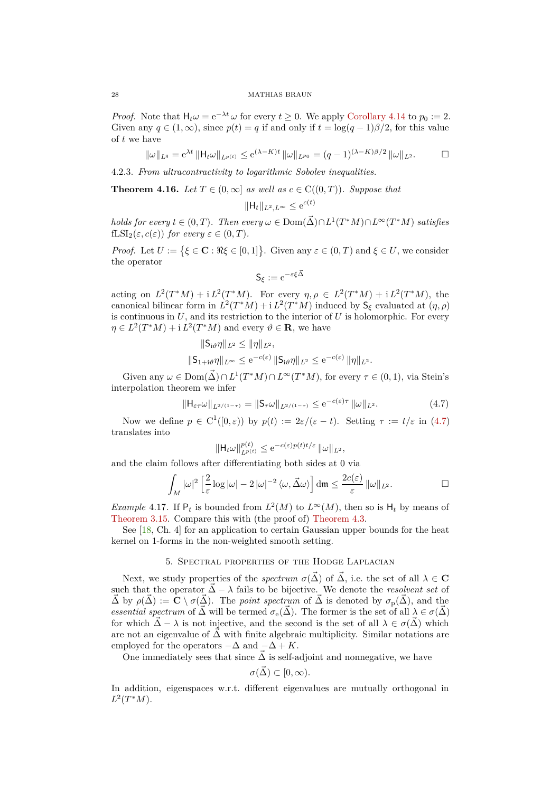## 28 MATHIAS BRAUN

*Proof.* Note that  $H_t \omega = e^{-\lambda t} \omega$  for every  $t \geq 0$ . We apply [Corollary 4.14](#page-26-1) to  $p_0 := 2$ . Given any  $q \in (1,\infty)$ , since  $p(t) = q$  if and only if  $t = \log(q-1)\beta/2$ , for this value of *t* we have

$$
\|\omega\|_{L^q} = e^{\lambda t} \|H_t \omega\|_{L^{p(t)}} \le e^{(\lambda - K)t} \|\omega\|_{L^{p_0}} = (q-1)^{(\lambda - K)\beta/2} \|\omega\|_{L^2}.
$$

4.2.3. *From ultracontractivity to logarithmic Sobolev inequalities.*

<span id="page-27-1"></span>**Theorem 4.16.** *Let*  $T \in (0, \infty]$  *as well as*  $c \in C((0, T))$ *. Suppose that* 

$$
\|\mathsf{H}_t\|_{L^2, L^\infty} \leq e^{c(t)}
$$

 $holds \, for \, every \, t \in (0, T)$ . Then every  $\omega \in \text{Dom}(\vec{\Delta}) \cap L^1(T^*M) \cap L^{\infty}(T^*M)$  satisfies  $fLSI_2(\varepsilon, c(\varepsilon))$  *for every*  $\varepsilon \in (0, T)$ *.* 

*Proof.* Let  $U := \{ \xi \in \mathbf{C} : \Re \xi \in [0,1] \}.$  Given any  $\varepsilon \in (0,T)$  and  $\xi \in U$ , we consider the operator

<span id="page-27-2"></span>
$$
\mathsf{S}_\xi := \mathrm{e}^{-\varepsilon \xi \vec{\Delta}}
$$

acting on  $L^2(T^*M) + i L^2(T^*M)$ . For every  $\eta, \rho \in L^2(T^*M) + i L^2(T^*M)$ , the canonical bilinear form in  $L^2(T^*M) + i L^2(T^*M)$  induced by  $S_\xi$  evaluated at  $(\eta, \rho)$ is continuous in  $U$ , and its restriction to the interior of  $U$  is holomorphic. For every  $\eta \in L^2(T^*M) + i L^2(T^*M)$  and every  $\vartheta \in \mathbf{R}$ , we have

$$
\|\mathsf{S}_{i\vartheta}\eta\|_{L^2} \le \|\eta\|_{L^2},
$$
  

$$
\|\mathsf{S}_{1+i\vartheta}\eta\|_{L^\infty} \le e^{-c(\varepsilon)} \|\mathsf{S}_{i\vartheta}\eta\|_{L^2} \le e^{-c(\varepsilon)} \|\eta\|_{L^2}.
$$

Given any  $\omega \in \text{Dom}(\vec{\Delta}) \cap L^1(T^*M) \cap L^\infty(T^*M)$ , for every  $\tau \in (0,1)$ , via Stein's interpolation theorem we infer

$$
\|\mathsf{H}_{\varepsilon\tau}\omega\|_{L^{2/(1-\tau)}} = \|\mathsf{S}_{\tau}\omega\|_{L^{2/(1-\tau)}} \leq e^{-c(\varepsilon)\tau} \|\omega\|_{L^{2}}.
$$
 (4.7)

Now we define  $p \in C^1([0,\varepsilon))$  by  $p(t) := 2\varepsilon/(\varepsilon - t)$ . Setting  $\tau := t/\varepsilon$  in [\(4.7\)](#page-27-2) translates into

$$
\|H_t\omega\|_{L^{p(t)}}^{p(t)} \le e^{-c(\varepsilon)p(t)t/\varepsilon} \|\omega\|_{L^2},
$$

and the claim follows after differentiating both sides at 0 via

$$
\int_M |\omega|^2 \left[ \frac{2}{\varepsilon} \log |\omega| - 2 |\omega|^{-2} \langle \omega, \vec{\Delta} \omega \rangle \right] \mathrm{d}\mathfrak{m} \leq \frac{2c(\varepsilon)}{\varepsilon} ||\omega||_{L^2}.
$$

*Example* 4.17. If  $P_t$  is bounded from  $L^2(M)$  to  $L^{\infty}(M)$ , then so is  $H_t$  by means of [Theorem 3.15.](#page-19-1) Compare this with (the proof of) [Theorem 4.3.](#page-21-3)

<span id="page-27-0"></span>See [\[18,](#page-46-0) Ch. 4] for an application to certain Gaussian upper bounds for the heat kernel on 1-forms in the non-weighted smooth setting.

## 5. Spectral properties of the Hodge Laplacian

Next, we study properties of the *spectrum*  $\sigma(\vec{\Delta})$  of  $\vec{\Delta}$ , i.e. the set of all  $\lambda \in \mathbf{C}$ such that the operator  $\vec{\Delta} - \lambda$  fails to be bijective. We denote the *resolvent set* of  $\vec{\Delta}$  by  $\rho(\vec{\Delta}) := \mathbf{C} \setminus \sigma(\vec{\Delta})$ . The *point spectrum* of  $\vec{\Delta}$  is denoted by  $\sigma_{p}(\vec{\Delta})$ , and the *essential spectrum* of  $\vec{\Delta}$  will be termed  $\sigma_e(\vec{\Delta})$ . The former is the set of all  $\lambda \in \sigma(\vec{\Delta})$ for which  $\tilde{\Delta} - \lambda$  is not injective, and the second is the set of all  $\lambda \in \sigma(\tilde{\Delta})$  which are not an eigenvalue of  $\Delta$  with finite algebraic multiplicity. Similar notations are employed for the operators  $-\Delta$  and  $-\Delta + K$ .

One immediately sees that since  $\Delta$  is self-adjoint and nonnegative, we have

$$
\sigma(\vec{\Delta}) \subset [0, \infty).
$$

In addition, eigenspaces w.r.t. different eigenvalues are mutually orthogonal in  $L^2(T^*M)$ .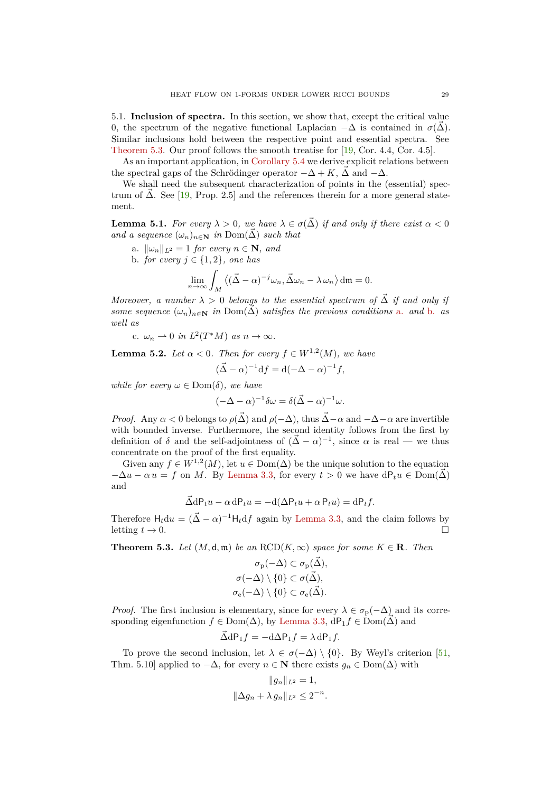<span id="page-28-0"></span>5.1. **Inclusion of spectra.** In this section, we show that, except the critical value 0, the spectrum of the negative functional Laplacian  $-\Delta$  is contained in  $\sigma(\vec{\Delta})$ . Similar inclusions hold between the respective point and essential spectra. See [Theorem 5.3.](#page-28-1) Our proof follows the smooth treatise for [\[19,](#page-46-18) Cor. 4.4, Cor. 4.5].

As an important application, in [Corollary 5.4](#page-29-0) we derive explicit relations between the spectral gaps of the Schrödinger operator  $-\Delta + K$ ,  $\vec{\Delta}$  and  $-\Delta$ .

We shall need the subsequent characterization of points in the (essential) spectrum of  $\Delta$ . See [[19,](#page-46-18) Prop. 2.5] and the references therein for a more general statement.

<span id="page-28-5"></span><span id="page-28-2"></span>**Lemma 5.1.** *For every*  $\lambda > 0$ , we have  $\lambda \in \sigma(\tilde{\Delta})$  *if and only if there exist*  $\alpha < 0$ *and a sequence*  $(\omega_n)_{n \in \mathbb{N}}$  *in* Dom $(\overrightarrow{\Delta})$  *such that* 

- <span id="page-28-3"></span>a.  $\|\omega_n\|_{L^2} = 1$  *for every*  $n \in \mathbf{N}$ *, and*
- b. *for every*  $j \in \{1, 2\}$ *, one has*

$$
\lim_{n \to \infty} \int_M \left\langle (\vec{\Delta} - \alpha)^{-j} \omega_n, \vec{\Delta} \omega_n - \lambda \omega_n \right\rangle dm = 0.
$$

<span id="page-28-6"></span>*Moreover, a number*  $\lambda > 0$  *belongs to the essential spectrum of*  $\tilde{\Delta}$  *if and only if some sequence*  $(\omega_n)_{n \in \mathbb{N}}$  *in* Dom( $\vec{\Delta}$ ) *satisfies the previous conditions* [a.](#page-28-2) *and* [b.](#page-28-3) *as well as*

c.  $\omega_n \rightharpoonup 0$  *in*  $L^2(T^*M)$  *as*  $n \to \infty$ *.* 

<span id="page-28-4"></span>**Lemma 5.2.** *Let*  $\alpha < 0$ *. Then for every*  $f \in W^{1,2}(M)$ *, we have* 

$$
(\vec{\Delta} - \alpha)^{-1} df = d(-\Delta - \alpha)^{-1} f,
$$

*while for every*  $\omega \in \text{Dom}(\delta)$ *, we have* 

$$
(-\Delta - \alpha)^{-1} \delta \omega = \delta (\vec{\Delta} - \alpha)^{-1} \omega.
$$

*Proof.* Any  $\alpha < 0$  belongs to  $\rho(\vec{\Delta})$  and  $\rho(-\Delta)$ , thus  $\vec{\Delta} - \alpha$  and  $-\Delta - \alpha$  are invertible with bounded inverse. Furthermore, the second identity follows from the first by definition of  $\delta$  and the self-adjointness of  $(\vec{\Delta} - \alpha)^{-1}$ , since  $\alpha$  is real — we thus concentrate on the proof of the first equality.

Given any  $f \in W^{1,2}(M)$ , let  $u \in \text{Dom}(\Delta)$  be the unique solution to the equation  $-\Delta u - \alpha u = f$  on *M*. By [Lemma 3.3,](#page-15-2) for every  $t > 0$  we have  $dP_t u \in Dom(\vec{\Delta})$ and

$$
\vec{\Delta} dP_t u - \alpha dP_t u = -d(\Delta P_t u + \alpha P_t u) = dP_t f.
$$

Therefore  $H_t du = (\vec{\Delta} - \alpha)^{-1} H_t df$  again by [Lemma 3.3,](#page-15-2) and the claim follows by letting  $t \to 0$ .

<span id="page-28-1"></span>**Theorem 5.3.** *Let*  $(M, d, \mathfrak{m})$  *be an*  $RCD(K, \infty)$  *space for some*  $K \in \mathbb{R}$ *. Then* 

$$
\sigma_{\mathbf{p}}(-\Delta) \subset \sigma_{\mathbf{p}}(\vec{\Delta}),
$$
  

$$
\sigma(-\Delta) \setminus \{0\} \subset \sigma(\vec{\Delta}),
$$
  

$$
\sigma_{\mathbf{e}}(-\Delta) \setminus \{0\} \subset \sigma_{\mathbf{e}}(\vec{\Delta}).
$$

*Proof.* The first inclusion is elementary, since for every  $\lambda \in \sigma_p(-\Delta)$  and its corresponding eigenfunction  $f \in \text{Dom}(\Delta)$ , by [Lemma 3.3,](#page-15-2) dP<sub>1</sub> $f \in \text{Dom}(\Delta)$  and

$$
\vec{\Delta} dP_1 f = -d\Delta P_1 f = \lambda dP_1 f.
$$

To prove the second inclusion, let  $\lambda \in \sigma(-\Delta) \setminus \{0\}$ . By Weyl's criterion [\[51,](#page-47-23) Thm. 5.10] applied to  $-\Delta$ , for every  $n \in \mathbb{N}$  there exists  $q_n \in \text{Dom}(\Delta)$  with

$$
||g_n||_{L^2} = 1,
$$
  

$$
||\Delta g_n + \lambda g_n||_{L^2} \le 2^{-n}.
$$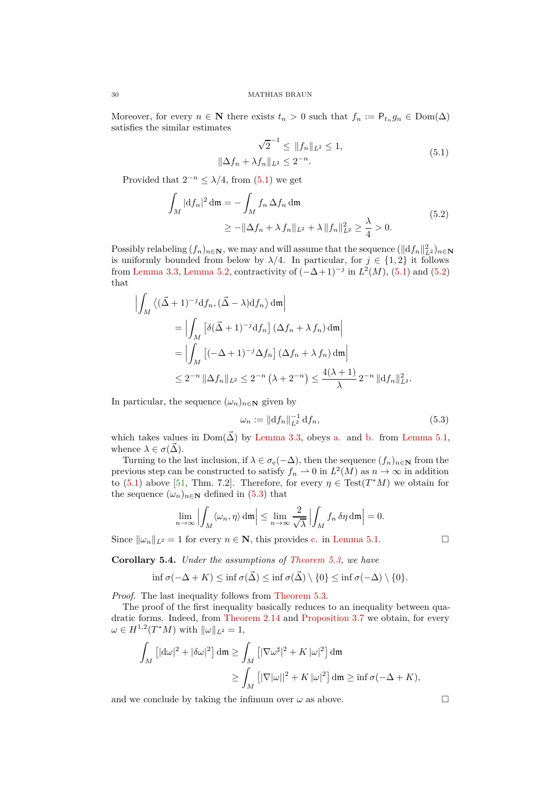Moreover, for every  $n \in \mathbb{N}$  there exists  $t_n > 0$  such that  $f_n := \mathsf{P}_{t_n} g_n \in \text{Dom}(\Delta)$ satisfies the similar estimates

<span id="page-29-2"></span><span id="page-29-1"></span>
$$
\sqrt{2}^{-1} \le ||f_n||_{L^2} \le 1,
$$
  

$$
\|\Delta f_n + \lambda f_n\|_{L^2} \le 2^{-n}.
$$
 (5.1)

Provided that  $2^{-n} \leq \lambda/4$ , from [\(5.1\)](#page-29-1) we get

$$
\int_{M} |\mathrm{d}f_{n}|^{2} \, \mathrm{d}\mathfrak{m} = -\int_{M} f_{n} \, \Delta f_{n} \, \mathrm{d}\mathfrak{m}
$$
\n
$$
\geq -\|\Delta f_{n} + \lambda f_{n}\|_{L^{2}} + \lambda \|f_{n}\|_{L^{2}}^{2} \geq \frac{\lambda}{4} > 0. \tag{5.2}
$$

Possibly relabeling  $(f_n)_{n \in \mathbb{N}}$ , we may and will assume that the sequence  $(\Vert df_n \Vert_{L^2}^2)_{n \in \mathbb{N}}$ is uniformly bounded from below by  $\lambda/4$ . In particular, for  $j \in \{1,2\}$  it follows from [Lemma 3.3,](#page-15-2) [Lemma 5.2,](#page-28-4) contractivity of  $(-\Delta + 1)^{-j}$  in  $L^2(M)$ , [\(5.1\)](#page-29-1) and [\(5.2\)](#page-29-2) that

$$
\left| \int_M \left\langle (\vec{\Delta} + 1)^{-j} df_n, (\vec{\Delta} - \lambda) df_n \right\rangle dm \right|
$$
  
= 
$$
\left| \int_M \left[ \delta(\vec{\Delta} + 1)^{-j} df_n \right] (\Delta f_n + \lambda f_n) dm \right|
$$
  
= 
$$
\left| \int_M \left[ (-\Delta + 1)^{-j} \Delta f_n \right] (\Delta f_n + \lambda f_n) dm \right|
$$
  

$$
\leq 2^{-n} \|\Delta f_n\|_{L^2} \leq 2^{-n} (\lambda + 2^{-n}) \leq \frac{4(\lambda + 1)}{\lambda} 2^{-n} \|df_n\|_{L^2}^2.
$$

In particular, the sequence  $(\omega_n)_{n \in \mathbb{N}}$  given by

$$
\omega_n := \|\mathrm{d}f_n\|_{L^2}^{-1} \, \mathrm{d}f_n,\tag{5.3}
$$

which takes values in  $Dom(\vec{\Delta})$  by [Lemma 3.3,](#page-15-2) obeys [a.](#page-28-2) and [b.](#page-28-3) from [Lemma 5.1,](#page-28-5) whence  $\lambda \in \sigma(\vec{\Delta})$ .

Turning to the last inclusion, if  $\lambda \in \sigma_e(-\Delta)$ , then the sequence  $(f_n)_{n\in\mathbb{N}}$  from the previous step can be constructed to satisfy  $f_n \to 0$  in  $L^2(M)$  as  $n \to \infty$  in addition to [\(5.1\)](#page-29-1) above [\[51,](#page-47-23) Thm. 7.2]. Therefore, for every  $\eta \in Test(T^*M)$  we obtain for the sequence  $(\omega_n)_{n \in \mathbb{N}}$  defined in [\(5.3\)](#page-29-3) that

$$
\lim_{n \to \infty} \left| \int_M \langle \omega_n, \eta \rangle \, \mathrm{d}\mathfrak{m} \right| \leq \lim_{n \to \infty} \frac{2}{\sqrt{\lambda}} \left| \int_M f_n \, \delta \eta \, \mathrm{d}\mathfrak{m} \right| = 0.
$$

Since  $\|\omega_n\|_{L^2} = 1$  for every  $n \in \mathbb{N}$ , this provides [c.](#page-28-6) in [Lemma 5.1.](#page-28-5)

<span id="page-29-0"></span>**Corollary 5.4.** *Under the assumptions of [Theorem 5.3,](#page-28-1) we have*

$$
\inf \sigma(-\Delta + K) \leq \inf \sigma(\vec{\Delta}) \leq \inf \sigma(\vec{\Delta}) \setminus \{0\} \leq \inf \sigma(-\Delta) \setminus \{0\}.
$$

*Proof.* The last inequality follows from [Theorem 5.3.](#page-28-1)

The proof of the first inequality basically reduces to an inequality between quadratic forms. Indeed, from [Theorem 2.14](#page-14-0) and [Proposition 3.7](#page-16-1) we obtain, for every  $\omega \in H^{1,2}(T^*M)$  with  $\|\omega\|_{L^2} = 1$ ,

$$
\int_M \left[ |\mathrm{d}\omega|^2 + |\delta\omega|^2 \right] \mathrm{d}\mathfrak{m} \ge \int_M \left[ |\nabla \omega^\sharp|^2 + K |\omega|^2 \right] \mathrm{d}\mathfrak{m}
$$
\n
$$
\ge \int_M \left[ |\nabla |\omega||^2 + K |\omega|^2 \right] \mathrm{d}\mathfrak{m} \ge \inf \sigma(-\Delta + K),
$$

and we conclude by taking the infimum over  $\omega$  as above.

<span id="page-29-3"></span>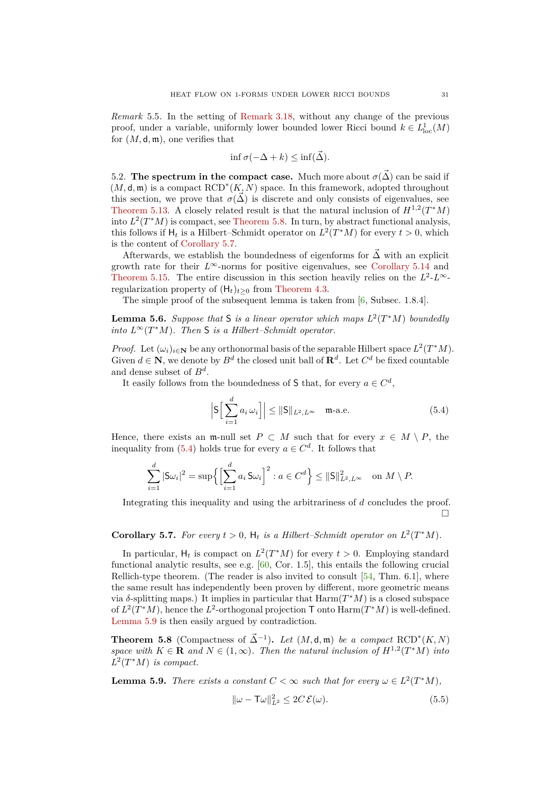*Remark* 5.5*.* In the setting of [Remark 3.18,](#page-20-2) without any change of the previous proof, under a variable, uniformly lower bounded lower Ricci bound  $k \in L^1_{loc}(M)$ for  $(M, \mathsf{d}, \mathfrak{m})$ , one verifies that

$$
\inf \sigma(-\Delta + k) \leq \inf(\vec{\Delta}).
$$

<span id="page-30-0"></span>5.2. **The spectrum in the compact case.** Much more about  $\sigma(\vec{\Delta})$  can be said if  $(M, \mathsf{d}, \mathfrak{m})$  is a compact  $\text{RCD}^*(K, N)$  space. In this framework, adopted throughout this section, we prove that  $\sigma(\vec{\Delta})$  is discrete and only consists of eigenvalues, see [Theorem 5.13.](#page-31-0) A closely related result is that the natural inclusion of  $H^{1,2}(T^*M)$ into  $L^2(T^*M)$  is compact, see [Theorem 5.8.](#page-30-1) In turn, by abstract functional analysis, this follows if  $H_t$  is a Hilbert–Schmidt operator on  $L^2(T^*M)$  for every  $t > 0$ , which is the content of [Corollary 5.7.](#page-30-2)

Afterwards, we establish the boundedness of eigenforms for  $\vec{\Delta}$  with an explicit growth rate for their  $L^{\infty}$ -norms for positive eigenvalues, see [Corollary 5.14](#page-32-1) and [Theorem 5.15.](#page-32-2) The entire discussion in this section heavily relies on the  $L^2$ - $L^\infty$ regularization property of  $(H_t)_{t>0}$  from [Theorem 4.3.](#page-21-3)

The simple proof of the subsequent lemma is taken from [\[6,](#page-46-26) Subsec. 1.8.4].

**Lemma 5.6.** Suppose that S is a linear operator which maps  $L^2(T^*M)$  boundedly *into*  $L^\infty(T^*M)$ *. Then* **S** *is a Hilbert–Schmidt operator.* 

*Proof.* Let  $(\omega_i)_{i \in \mathbb{N}}$  be any orthonormal basis of the separable Hilbert space  $L^2(T^*M)$ . Given  $d \in \mathbb{N}$ , we denote by  $B^d$  the closed unit ball of  $\mathbb{R}^d$ . Let  $C^d$  be fixed countable and dense subset of *B<sup>d</sup>* .

It easily follows from the boundedness of S that, for every  $a \in C^d$ ,

<span id="page-30-3"></span>
$$
\left| \mathsf{S} \Big[ \sum_{i=1}^{d} a_i \, \omega_i \Big] \right| \leq \| \mathsf{S} \|_{L^2, L^\infty} \quad \text{m-a.e.} \tag{5.4}
$$

Hence, there exists an m-null set  $P \subset M$  such that for every  $x \in M \setminus P$ , the inequality from [\(5.4\)](#page-30-3) holds true for every  $a \in C^d$ . It follows that

$$
\sum_{i=1}^d |\mathsf{S}\omega_i|^2 = \sup \left\{ \left[ \sum_{i=1}^d a_i \, \mathsf{S}\omega_i \right]^2 : a \in C^d \right\} \le ||\mathsf{S}||^2_{L^2, L^\infty} \quad \text{on } M \setminus P.
$$

Integrating this inequality and using the arbitrariness of *d* concludes the proof.  $\Box$ 

# <span id="page-30-2"></span>**Corollary 5.7.** For every  $t > 0$ ,  $H_t$  is a Hilbert–Schmidt operator on  $L^2(T^*M)$ .

In particular,  $H_t$  is compact on  $L^2(T^*M)$  for every  $t > 0$ . Employing standard functional analytic results, see e.g. [\[60,](#page-47-24) Cor. 1.5], this entails the following crucial Rellich-type theorem. (The reader is also invited to consult  $[54, Thm. 6.1]$ , where the same result has independently been proven by different, more geometric means via  $\delta$ -splitting maps.) It implies in particular that  $\text{Harm}(T^*M)$  is a closed subspace of  $L^2(T^*M)$ , hence the  $L^2$ -orthogonal projection  $\mathsf T$  onto  $\text{Harm}(T^*M)$  is well-defined. [Lemma 5.9](#page-30-4) is then easily argued by contradiction.

<span id="page-30-1"></span>**Theorem 5.8** (Compactness of  $\vec{\Delta}^{-1}$ ). Let  $(M, \mathsf{d}, \mathfrak{m})$  be a compact RCD<sup>\*</sup> $(K, N)$ *space with*  $K \in \mathbf{R}$  *and*  $N \in (1, \infty)$ *. Then the natural inclusion of*  $H^{1,2}(T^*M)$  *into*  $L^2(T^*M)$  *is compact.* 

<span id="page-30-4"></span>**Lemma 5.9.** *There exists a constant*  $C < \infty$  *such that for every*  $\omega \in L^2(T^*M)$ *,* 

<span id="page-30-5"></span>
$$
\|\omega - \mathsf{T}\omega\|_{L^2}^2 \le 2C\,\mathcal{E}(\omega). \tag{5.5}
$$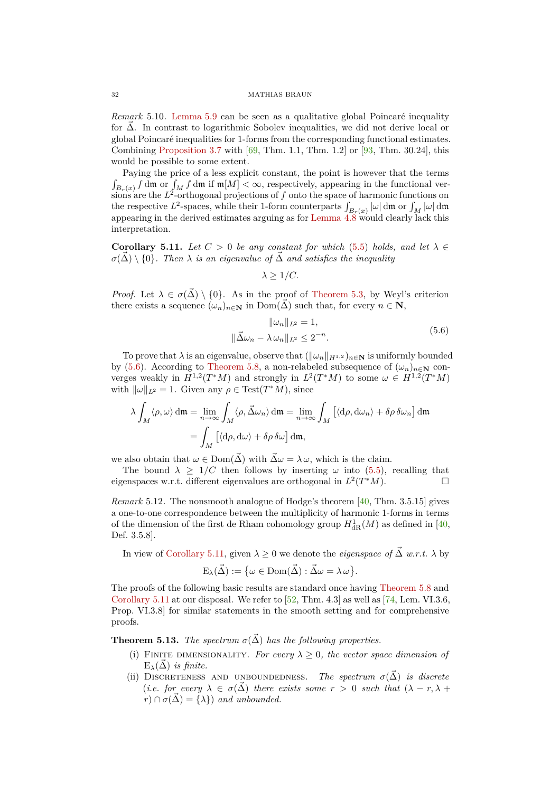*Remark* 5.10*.* [Lemma 5.9](#page-30-4) can be seen as a qualitative global Poincaré inequality for  $\vec{\Delta}$ . In contrast to logarithmic Sobolev inequalities, we did not derive local or global Poincaré inequalities for 1-forms from the corresponding functional estimates. Combining [Proposition 3.7](#page-16-1) with  $[69, Thm. 1.1, Thm. 1.2]$  or  $[93, Thm. 30.24]$ , this would be possible to some extent.

Paying the price of a less explicit constant, the point is however that the terms  $\int_{B_r(x)} f \, dm$  or  $\int_M f \, dm$  if  $m[M] < \infty$ , respectively, appearing in the functional ver- $\sum_{k=1}^{N}$  are the  $L^2$ -orthogonal projections of f onto the space of harmonic functions on the respective  $L^2$ -spaces, while their 1-form counterparts  $\int_{B_r(x)} |\omega| \, d\mathfrak{m}$  or  $\int_M |\omega| \, d\mathfrak{m}$ appearing in the derived estimates arguing as for [Lemma 4.8](#page-22-0) would clearly lack this interpretation.

<span id="page-31-2"></span>**Corollary 5.11.** *Let*  $C > 0$  *be any constant for which* [\(5.5\)](#page-30-5) *holds, and let*  $\lambda \in$  $\sigma(\Delta) \setminus \{0\}$ . Then  $\lambda$  *is an eigenvalue of*  $\overline{\Delta}$  *and satisfies the inequality* 

<span id="page-31-1"></span>
$$
\lambda \geq 1/C.
$$

*Proof.* Let  $\lambda \in \sigma(\vec{\Delta}) \setminus \{0\}$ . As in the proof of [Theorem 5.3,](#page-28-1) by Weyl's criterion there exists a sequence  $(\omega_n)_{n \in \mathbb{N}}$  in Dom( $\vec{\Delta}$ ) such that, for every  $n \in \mathbb{N}$ ,

$$
\|\omega_n\|_{L^2} = 1,
$$
  

$$
\|\vec{\Delta}\omega_n - \lambda\omega_n\|_{L^2} \le 2^{-n}.
$$
 (5.6)

To prove that  $\lambda$  is an eigenvalue, observe that  $(\|\omega_n\|_{H^{1,2}})_{n\in\mathbb{N}}$  is uniformly bounded by [\(5.6\)](#page-31-1). According to [Theorem 5.8,](#page-30-1) a non-relabeled subsequence of  $(\omega_n)_{n\in\mathbb{N}}$  converges weakly in  $H^{1,2}(T^*M)$  and strongly in  $L^2(T^*M)$  to some  $\omega \in H^{1,2}(T^*M)$ with  $\|\omega\|_{L^2} = 1$ . Given any  $\rho \in \text{Test}(T^*M)$ , since

$$
\lambda \int_M \langle \rho, \omega \rangle \, \mathrm{d}\mathfrak{m} = \lim_{n \to \infty} \int_M \langle \rho, \vec{\Delta} \omega_n \rangle \, \mathrm{d}\mathfrak{m} = \lim_{n \to \infty} \int_M \left[ \langle \mathrm{d}\rho, \mathrm{d}\omega_n \rangle + \delta \rho \, \delta \omega_n \right] \, \mathrm{d}\mathfrak{m}
$$
\n
$$
= \int_M \left[ \langle \mathrm{d}\rho, \mathrm{d}\omega \rangle + \delta \rho \, \delta \omega \right] \, \mathrm{d}\mathfrak{m},
$$

we also obtain that  $\omega \in \text{Dom}(\vec{\Delta})$  with  $\vec{\Delta}\omega = \lambda \omega$ , which is the claim.

The bound  $\lambda \geq 1/C$  then follows by inserting  $\omega$  into [\(5.5\)](#page-30-5), recalling that represents we r different eigenvalues are orthogonal in  $L^2(T^*M)$ eigenspaces w.r.t. different eigenvalues are orthogonal in  $L^2(T^*M)$ .

*Remark* 5.12. The nonsmooth analogue of Hodge's theorem [\[40,](#page-47-1) Thm. 3.5.15] gives a one-to-one correspondence between the multiplicity of harmonic 1-forms in terms of the dimension of the first de Rham cohomology group  $H^1_{\text{dR}}(M)$  as defined in [\[40,](#page-47-1) Def. 3.5.8].

In view of [Corollary 5.11,](#page-31-2) given  $\lambda \geq 0$  we denote the *eigenspace* of  $\vec{\Delta}$  *w.r.t.*  $\lambda$  by

$$
E_{\lambda}(\vec{\Delta}) := \big\{\omega \in \text{Dom}(\vec{\Delta}) : \vec{\Delta}\omega = \lambda \omega \big\}.
$$

The proofs of the following basic results are standard once having [Theorem 5.8](#page-30-1) and [Corollary 5.11](#page-31-2) at our disposal. We refer to [\[52,](#page-47-14) Thm. 4.3] as well as [\[74,](#page-48-28) Lem. VI.3.6, Prop. VI.3.8] for similar statements in the smooth setting and for comprehensive proofs.

<span id="page-31-0"></span>**Theorem 5.13.** *The spectrum*  $\sigma(\vec{\Delta})$  *has the following properties.* 

- (i) FINITE DIMENSIONALITY. For every  $\lambda \geq 0$ , the vector space dimension of  $E_{\lambda}(\vec{\Lambda})$  *is finite.*
- (ii) DISCRETENESS AND UNBOUNDEDNESS. The spectrum  $\sigma(\vec{\Delta})$  is discrete (*i.e. for every*  $\lambda \in \sigma(\vec{\Delta})$  *there exists some*  $r > 0$  *such that*  $(\lambda - r, \lambda + \alpha)$  $r) \cap \sigma(\vec{\Delta}) = {\lambda}$  *and unbounded.*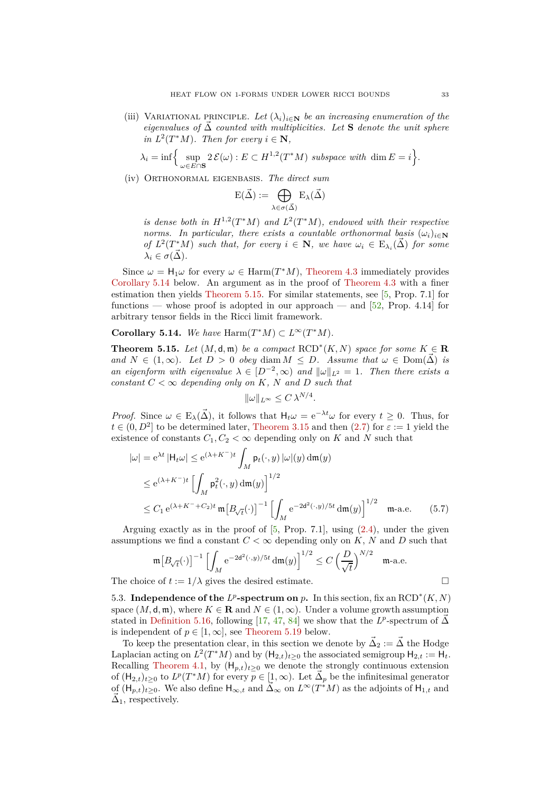(iii) VARIATIONAL PRINCIPLE. Let  $(\lambda_i)_{i \in \mathbb{N}}$  be an increasing enumeration of the *eigenvalues of*  $\overrightarrow{\Delta}$  *counted with multiplicities. Let* **S** *denote the unit sphere*  $i\in \mathbb{N}$ ,  $T^2(T^*M)$ . Then for every  $i \in \mathbb{N}$ ,

$$
\lambda_i = \inf \Big\{ \sup_{\omega \in E \cap \mathbf{S}} 2\,\mathcal{E}(\omega) : E \subset H^{1,2}(T^*M) \text{ subspace with } \dim E = i \Big\}.
$$

(iv) Orthonormal eigenbasis. *The direct sum*

$$
E(\vec{\Delta}) := \bigoplus_{\lambda \in \sigma(\vec{\Delta})} E_{\lambda}(\vec{\Delta})
$$

*is dense both in*  $H^{1,2}(T^*M)$  *and*  $L^2(T^*M)$ *, endowed with their respective norms.* In particular, there exists a countable orthonormal basis  $(\omega_i)_{i \in \mathbb{N}}$ *of*  $L^2(T^*M)$  *such that, for every*  $i \in \mathbb{N}$ *, we have*  $\omega_i \in E_{\lambda_i}(\vec{\Delta})$  *for some*  $\lambda_i \in \sigma(\Delta)$ *.* 

Since  $\omega = H_1 \omega$  for every  $\omega \in \text{Harm}(T^*M)$ , [Theorem 4.3](#page-21-3) immediately provides [Corollary 5.14](#page-32-1) below. An argument as in the proof of [Theorem 4.3](#page-21-3) with a finer estimation then yields [Theorem 5.15.](#page-32-2) For similar statements, see [\[5,](#page-45-5) Prop. 7.1] for functions — whose proof is adopted in our approach — and  $[52, Prop. 4.14]$  for arbitrary tensor fields in the Ricci limit framework.

<span id="page-32-1"></span>**Corollary 5.14.** *We have*  $\text{Harm}(T^*M) \subset L^\infty(T^*M)$ *.* 

<span id="page-32-2"></span>**Theorem 5.15.** *Let*  $(M, \mathsf{d}, \mathfrak{m})$  *be a compact*  $\text{RCD}^*(K, N)$  *space for some*  $K \in \mathbb{R}$ *and*  $N \in (1, \infty)$ *. Let*  $D > 0$  *obey* diam  $M \leq D$ *. Assume that*  $\omega \in \text{Dom}(\vec{\Delta})$  *is an eigenform with eigenvalue*  $\lambda \in [D^{-2}, \infty)$  *and*  $\|\omega\|_{L^2} = 1$ *. Then there exists a constant*  $C < \infty$  *depending only on*  $K$ *,*  $N$  *and*  $D$  *such that* 

$$
\|\omega\|_{L^\infty}\leq C\,\lambda^{N/4}.
$$

*Proof.* Since  $\omega \in \mathbb{E}_{\lambda}(\vec{\Delta})$ , it follows that  $H_t\omega = e^{-\lambda t}\omega$  for every  $t \geq 0$ . Thus, for  $t \in (0, D<sup>2</sup>]$  to be determined later, [Theorem 3.15](#page-19-1) and then  $(2.7)$  for  $\varepsilon := 1$  yield the existence of constants  $C_1, C_2 < \infty$  depending only on *K* and *N* such that

$$
|\omega| = e^{\lambda t} |H_t \omega| \le e^{(\lambda + K^{-})t} \int_M p_t(\cdot, y) |\omega|(y) dm(y)
$$
  
\n
$$
\le e^{(\lambda + K^{-})t} \left[ \int_M p_t^2(\cdot, y) dm(y) \right]^{1/2}
$$
  
\n
$$
\le C_1 e^{(\lambda + K^{-} + C_2)t} m [B_{\sqrt{t}}(\cdot)]^{-1} \left[ \int_M e^{-2d^2(\cdot, y)/5t} dm(y) \right]^{1/2} m
$$
-a.e. (5.7)

Arguing exactly as in the proof of  $[5, Prop. 7.1]$ , using  $(2.4)$ , under the given assumptions we find a constant  $C < \infty$  depending only on  $K$ ,  $N$  and  $D$  such that

$$
\mathfrak{m}\big[B_{\sqrt{t}}(\cdot)\big]^{-1}\,\Big[\int_M \mathrm{e}^{-2\mathrm{d}^2(\cdot,y)/5t}\,\mathrm{d}\mathfrak{m}(y)\Big]^{1/2}\leq C\,\Big(\frac{D}{\sqrt{t}}\Big)^{N/2}\quad\text{m-a.e.}
$$

<span id="page-32-0"></span>The choice of  $t := 1/\lambda$  gives the desired estimate.

5.3. **Independence of the**  $L^p$ **-spectrum on**  $p$ . In this section, fix an  $\text{RCD}^*(K, N)$ space  $(M, \mathsf{d}, \mathfrak{m})$ , where  $K \in \mathbf{R}$  and  $N \in (1, \infty)$ . Under a volume growth assumption stated in [Definition 5.16,](#page-33-1) following [\[17,](#page-46-19) [47,](#page-47-18) [84\]](#page-48-10) we show that the *L*<sup>*p*</sup>-spectrum of  $\vec{\Delta}$ is independent of  $p \in [1, \infty]$ , see [Theorem 5.19](#page-33-0) below.

To keep the presentation clear, in this section we denote by  $\vec{\Delta}_2 := \vec{\Delta}$  the Hodge Laplacian acting on  $L^2(T^*M)$  and by  $(H_{2,t})_{t\geq 0}$  the associated semigroup  $H_{2,t} := H_t$ . Recalling [Theorem 4.1,](#page-21-1) by  $(H_{p,t})_{t\geq0}$  we denote the strongly continuous extension of  $(H_{2,t})_{t\geq0}$  to  $L^p(T^*M)$  for every  $p\in[1,\infty)$ . Let  $\vec{\Delta}_p$  be the infinitesimal generator of  $(H_{p,t})_{t\geq0}$ . We also define  $H_{\infty,t}$  and  $\tilde{\Delta}_{\infty}$  on  $L^{\infty}(T^*M)$  as the adjoints of  $H_{1,t}$  and  $\vec{\Delta}_1$ , respectively.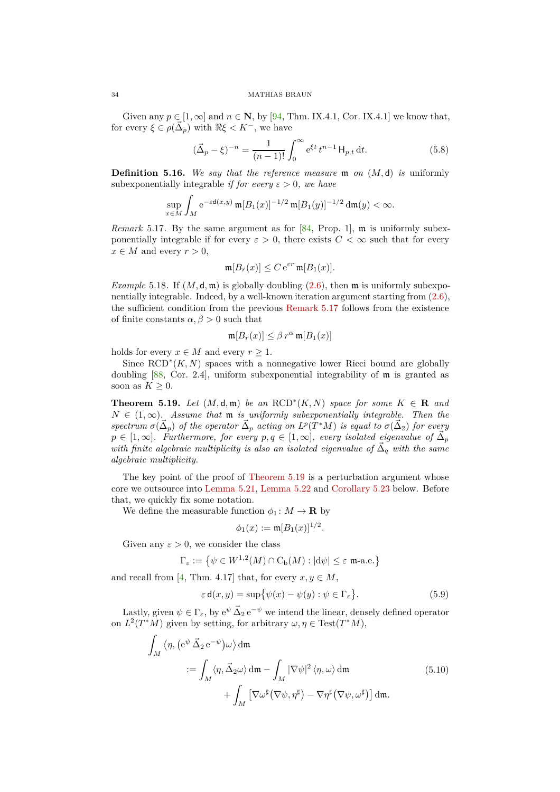#### 34 MATHIAS BRAUN

Given any  $p \in [1, \infty]$  and  $n \in \mathbb{N}$ , by [\[94,](#page-49-1) Thm. IX.4.1, Cor. IX.4.1] we know that, for every  $\xi \in \rho(\vec{\Delta}_p)$  with  $\Re \xi < K^-$ , we have

<span id="page-33-4"></span>
$$
(\vec{\Delta}_p - \xi)^{-n} = \frac{1}{(n-1)!} \int_0^\infty e^{\xi t} t^{n-1} H_{p,t} dt.
$$
 (5.8)

<span id="page-33-1"></span>**Definition 5.16.** *We say that the reference measure* m *on* (*M,* d) *is* uniformly subexponentially integrable *if for every*  $\varepsilon > 0$ *, we have* 

$$
\sup_{x \in M} \int_M e^{-\varepsilon \mathsf{d}(x,y)} \, \mathfrak{m}[B_1(x)]^{-1/2} \, \mathfrak{m}[B_1(y)]^{-1/2} \, \mathsf{d}\mathfrak{m}(y) < \infty.
$$

<span id="page-33-2"></span>*Remark* 5.17. By the same argument as for  $[84,$  Prop. 1], m is uniformly subexponentially integrable if for every  $\varepsilon > 0$ , there exists  $C < \infty$  such that for every  $x \in M$  and every  $r > 0$ ,

$$
\mathfrak{m}[B_r(x)] \leq C e^{\varepsilon r} \mathfrak{m}[B_1(x)].
$$

*Example* 5.18. If  $(M, \mathsf{d}, \mathfrak{m})$  is globally doubling  $(2.6)$ , then  $\mathfrak{m}$  is uniformly subexponentially integrable. Indeed, by a well-known iteration argument starting from [\(2.6\)](#page-9-4), the sufficient condition from the previous [Remark 5.17](#page-33-2) follows from the existence of finite constants  $\alpha, \beta > 0$  such that

$$
\mathfrak{m}[B_r(x)] \leq \beta r^{\alpha} \mathfrak{m}[B_1(x)]
$$

holds for every  $x \in M$  and every  $r \geq 1$ .

Since  $\text{RCD}^*(K, N)$  spaces with a nonnegative lower Ricci bound are globally doubling [\[88,](#page-48-20) Cor. 2.4], uniform subexponential integrability of m is granted as soon as  $K \geq 0$ .

<span id="page-33-0"></span>**Theorem 5.19.** *Let*  $(M, d, \mathfrak{m})$  *be an*  $\text{RCD}^*(K, N)$  *space for some*  $K \in \mathbb{R}$  *and*  $N \in (1,\infty)$ *.* Assume that **m** *is uniformly subexponentially integrable. Then the*  $spectrum \sigma(\vec{\Delta}_p)$  *of the operator*  $\vec{\Delta}_p$  *acting on L<sup>p</sup>*(*T*<sup>\*</sup>*M*) *is equal to*  $\sigma(\vec{\Delta}_2)$  *for every*  $p \in [1, \infty]$ *. Furthermore, for every*  $p, q \in [1, \infty]$ *, every isolated eigenvalue of*  $\vec{\Delta}_p$  $\ddot{a}$  *with finite algebraic multiplicity is also an isolated eigenvalue of*  $\vec{\Delta}_q$  *with the same algebraic multiplicity.*

The key point of the proof of [Theorem 5.19](#page-33-0) is a perturbation argument whose core we outsource into [Lemma 5.21,](#page-34-0) [Lemma 5.22](#page-34-1) and [Corollary 5.23](#page-35-0) below. Before that, we quickly fix some notation.

We define the measurable function  $\phi_1: M \to \mathbf{R}$  by

<span id="page-33-5"></span><span id="page-33-3"></span>
$$
\phi_1(x) := \mathfrak{m}[B_1(x)]^{1/2}.
$$

Given any  $\varepsilon > 0$ , we consider the class

$$
\Gamma_{\varepsilon} := \left\{ \psi \in W^{1,2}(M) \cap C_{\mathrm{b}}(M) : |\mathrm{d}\psi| \leq \varepsilon \text{ m-a.e.} \right\}
$$

and recall from [\[4,](#page-45-6) Thm. 4.17] that, for every  $x, y \in M$ ,

$$
\varepsilon \mathsf{d}(x, y) = \sup \{ \psi(x) - \psi(y) : \psi \in \Gamma_{\varepsilon} \}.
$$
 (5.9)

Lastly, given  $\psi \in \Gamma_{\varepsilon}$ , by  $e^{\psi} \vec{\Delta}_2 e^{-\psi}$  we intend the linear, densely defined operator on  $L^2(T^*M)$  given by setting, for arbitrary  $\omega, \eta \in \text{Test}(T^*M)$ ,

$$
\int_{M} \left\langle \eta, (e^{\psi} \vec{\Delta}_{2} e^{-\psi}) \omega \right\rangle d\mathfrak{m}
$$
\n
$$
:= \int_{M} \left\langle \eta, \vec{\Delta}_{2} \omega \right\rangle d\mathfrak{m} - \int_{M} |\nabla \psi|^{2} \left\langle \eta, \omega \right\rangle d\mathfrak{m} + \int_{M} \left[ \nabla \omega^{\sharp} (\nabla \psi, \eta^{\sharp}) - \nabla \eta^{\sharp} (\nabla \psi, \omega^{\sharp}) \right] d\mathfrak{m}.
$$
\n(5.10)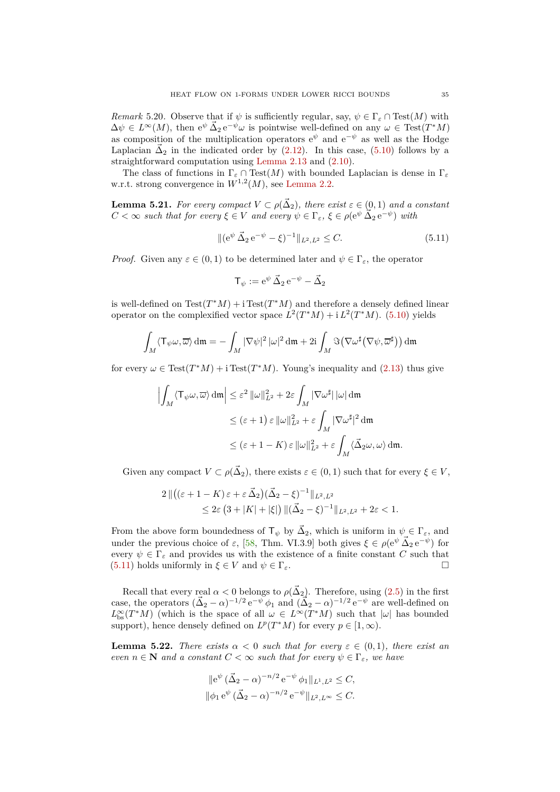*Remark* 5.20. Observe that if  $\psi$  is sufficiently regular, say,  $\psi \in \Gamma_{\varepsilon} \cap \text{Test}(M)$  with  $\Delta \psi \in L^{\infty}(M)$ , then  $e^{\psi} \Delta_2 e^{-\psi} \omega$  is pointwise well-defined on any  $\omega \in \text{Test}(T^*M)$ as composition of the multiplication operators  $e^{\psi}$  and  $e^{-\psi}$  as well as the Hodge Laplacian  $\vec{\Delta}_2$  in the indicated order by [\(2.12\)](#page-14-2). In this case, [\(5.10\)](#page-33-3) follows by a straightforward computation using [Lemma 2.13](#page-14-4) and [\(2.10\)](#page-13-3).

The class of functions in  $\Gamma_{\varepsilon} \cap \text{Test}(M)$  with bounded Laplacian is dense in  $\Gamma_{\varepsilon}$ w.r.t. strong convergence in  $W^{1,2}(M)$ , see [Lemma 2.2.](#page-8-0)

<span id="page-34-0"></span>**Lemma 5.21.** For every compact  $V \subset \rho(\vec{\Delta}_2)$ , there exist  $\varepsilon \in (0,1)$  and a constant  $C < \infty$  *such that for every*  $\xi \in V$  *and every*  $\psi \in \Gamma_{\varepsilon}$ ,  $\xi \in \rho(e^{\psi \Delta} \Delta_2 e^{-\psi})$  with

$$
\|(e^{\psi}\vec{\Delta}_2 e^{-\psi} - \xi)^{-1}\|_{L^2, L^2} \le C. \tag{5.11}
$$

*Proof.* Given any  $\varepsilon \in (0,1)$  to be determined later and  $\psi \in \Gamma_{\varepsilon}$ , the operator

<span id="page-34-2"></span>
$$
\mathsf{T}_{\psi} := e^{\psi} \vec{\Delta}_2 e^{-\psi} - \vec{\Delta}_2
$$

is well-defined on  $Test(T^*M) + i Test(T^*M)$  and therefore a densely defined linear operator on the complexified vector space  $L^2(T^*M) + i L^2(T^*M)$ . [\(5.10\)](#page-33-3) yields

$$
\int_M \langle \mathsf{T}_{\psi}\omega,\overline{\omega}\rangle \, \mathrm{d}\mathfrak{m} = -\int_M |\nabla \psi|^2 \, |\omega|^2 \, \mathrm{d}\mathfrak{m} + 2\mathrm{i} \int_M \Im \big( \nabla \omega^\sharp \big( \nabla \psi,\overline{\omega}^\sharp \big) \big) \, \mathrm{d}\mathfrak{m}
$$

for every  $\omega \in Test(T^*M) + i Test(T^*M)$ . Young's inequality and [\(2.13\)](#page-14-3) thus give

$$
\left| \int_M \langle \mathsf{T}_{\psi}\omega, \overline{\omega} \rangle \, \mathrm{d}\mathfrak{m} \right| \leq \varepsilon^2 \, \|\omega\|_{L^2}^2 + 2\varepsilon \int_M |\nabla \omega^{\sharp}| \, |\omega| \, \mathrm{d}\mathfrak{m}
$$
  

$$
\leq (\varepsilon + 1) \, \varepsilon \, \|\omega\|_{L^2}^2 + \varepsilon \int_M |\nabla \omega^{\sharp}|^2 \, \mathrm{d}\mathfrak{m}
$$
  

$$
\leq (\varepsilon + 1 - K) \, \varepsilon \, \|\omega\|_{L^2}^2 + \varepsilon \int_M \langle \vec{\Delta}_2 \omega, \omega \rangle \, \mathrm{d}\mathfrak{m}.
$$

Given any compact  $V \subset \rho(\vec{\Delta}_2)$ , there exists  $\varepsilon \in (0,1)$  such that for every  $\xi \in V$ ,

$$
2\left\|\left((\varepsilon+1-K)\varepsilon+\varepsilon\vec{\Delta}_2\right)(\vec{\Delta}_2-\xi)^{-1}\right\|_{L^2,L^2}
$$
  
\$\leq 2\varepsilon \left(3+|K|+|\xi|\right) \|\vec{\Delta}\_2-\xi)^{-1}\|\_{L^2,L^2}+2\varepsilon<1.\$

From the above form boundedness of  $\mathsf{T}_{\psi}$  by  $\vec{\Delta}_2$ , which is uniform in  $\psi \in \Gamma_{\varepsilon}$ , and under the previous choice of  $\varepsilon$ , [\[58,](#page-47-25) Thm. VI.3.9] both gives  $\xi \in \rho(e^{\psi} \Delta_2 e^{-\psi})$  for every  $\psi \in \Gamma_{\varepsilon}$  and provides us with the existence of a finite constant *C* such that  $(5.11)$  holds uniformly in  $\xi \in V$  and  $\psi \in \Gamma_{\varepsilon}$ . [\(5.11\)](#page-34-2) holds uniformly in  $\xi \in V$  and  $\psi \in \Gamma_{\varepsilon}$ .

Recall that every real  $\alpha < 0$  belongs to  $\rho(\vec{\Delta}_2)$ . Therefore, using [\(2.5\)](#page-9-2) in the first case, the operators  $(\vec{\Delta}_2 - \alpha)^{-1/2} e^{-\psi} \phi_1$  and  $(\vec{\Delta}_2 - \alpha)^{-1/2} e^{-\psi}$  are well-defined on  $L_{bs}^{\infty}(T^*M)$  (which is the space of all  $\omega \in L^{\infty}(T^*M)$  such that  $|\omega|$  has bounded support), hence densely defined on  $L^p(T^*M)$  for every  $p \in [1, \infty)$ .

<span id="page-34-1"></span>**Lemma 5.22.** *There exists*  $\alpha < 0$  *such that for every*  $\varepsilon \in (0,1)$ *, there exist an even*  $n \in \mathbb{N}$  *and a constant*  $C < \infty$  *such that for every*  $\psi \in \Gamma_{\varepsilon}$ *, we have* 

$$
\begin{aligned} \|e^{\psi} (\vec{\Delta}_2 - \alpha)^{-n/2} e^{-\psi} \phi_1 \|_{L^1, L^2} &\leq C, \\ \|\phi_1 e^{\psi} (\vec{\Delta}_2 - \alpha)^{-n/2} e^{-\psi} \|_{L^2, L^\infty} &\leq C. \end{aligned}
$$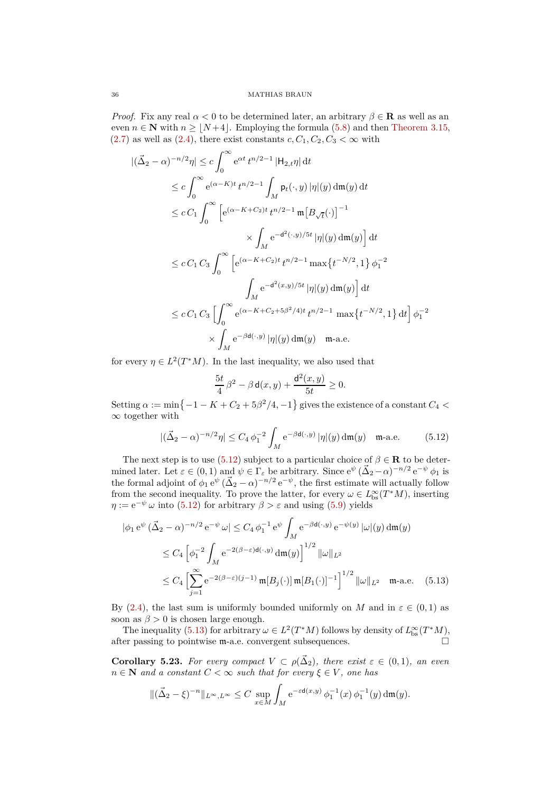*Proof.* Fix any real  $\alpha < 0$  to be determined later, an arbitrary  $\beta \in \mathbf{R}$  as well as an even  $n \in \mathbb{N}$  with  $n \geq |N+4|$ . Employing the formula [\(5.8\)](#page-33-4) and then [Theorem 3.15,](#page-19-1)  $(2.7)$  as well as  $(2.4)$ , there exist constants  $c, C_1, C_2, C_3 < \infty$  with

$$
|(\vec{\Delta}_{2} - \alpha)^{-n/2} \eta| \leq c \int_{0}^{\infty} e^{\alpha t} t^{n/2 - 1} |\mathsf{H}_{2,t} \eta| dt
$$
  
\n
$$
\leq c \int_{0}^{\infty} e^{(\alpha - K)t} t^{n/2 - 1} \int_{M} \mathsf{p}_{t}(\cdot, y) |\eta|(y) d\mathfrak{m}(y) dt
$$
  
\n
$$
\leq c C_{1} \int_{0}^{\infty} \left[ e^{(\alpha - K + C_{2})t} t^{n/2 - 1} \mathsf{m} \left[ B_{\sqrt{t}}(\cdot) \right]^{-1} \right.
$$
  
\n
$$
\times \int_{M} e^{-d^{2}(\cdot, y)/5t} |\eta|(y) d\mathfrak{m}(y) dt
$$
  
\n
$$
\leq c C_{1} C_{3} \int_{0}^{\infty} \left[ e^{(\alpha - K + C_{2})t} t^{n/2 - 1} \max \{ t^{-N/2}, 1 \} \phi_{1}^{-2} \right.
$$
  
\n
$$
\int_{M} e^{-d^{2}(x, y)/5t} |\eta|(y) d\mathfrak{m}(y) dt
$$
  
\n
$$
\leq c C_{1} C_{3} \left[ \int_{0}^{\infty} e^{(\alpha - K + C_{2} + 5\beta^{2}/4)t} t^{n/2 - 1} \max \{ t^{-N/2}, 1 \} dt \right] \phi_{1}^{-2}
$$
  
\n
$$
\times \int_{M} e^{-\beta d(\cdot, y)} |\eta|(y) d\mathfrak{m}(y) \quad \mathfrak{m}\text{-a.e.}
$$

for every  $\eta \in L^2(T^*M)$ . In the last inequality, we also used that

<span id="page-35-2"></span><span id="page-35-1"></span>
$$
\frac{5t}{4}\,\beta^2 - \beta\,\mathsf{d}(x,y) + \frac{\mathsf{d}^2(x,y)}{5t} \ge 0.
$$

Setting  $\alpha := \min\{-1 - K + C_2 + 5\beta^2/4, -1\}$  gives the existence of a constant  $C_4$  <  $\infty$  together with

$$
|(\vec{\Delta}_2 - \alpha)^{-n/2} \eta| \le C_4 \phi_1^{-2} \int_M e^{-\beta d(\cdot, y)} |\eta| (y) d\mathfrak{m}(y) \quad \mathfrak{m}\text{-a.e.} \tag{5.12}
$$

The next step is to use [\(5.12\)](#page-35-1) subject to a particular choice of  $\beta \in \mathbf{R}$  to be determined later. Let  $\varepsilon \in (0,1)$  and  $\psi \in \Gamma_{\varepsilon}$  be arbitrary. Since  $e^{\psi} (\vec{\Delta}_2 - \alpha)^{-n/2} e^{-\psi} \phi_1$  is the formal adjoint of  $\phi_1 e^{\psi} (\vec{\Delta}_2 - \alpha)^{-n/2} e^{-\psi}$ , the first estimate will actually follow from the second inequality. To prove the latter, for every  $\omega \in L^{\infty}_{\text{bs}}(T^{*}M)$ , inserting  $\eta := e^{-\psi} \omega$  into [\(5.12\)](#page-35-1) for arbitrary  $\beta > \varepsilon$  and using [\(5.9\)](#page-33-5) yields

$$
|\phi_1 e^{\psi} (\vec{\Delta}_2 - \alpha)^{-n/2} e^{-\psi} \omega| \le C_4 \phi_1^{-1} e^{\psi} \int_M e^{-\beta d(\cdot, y)} e^{-\psi(y)} |\omega|(y) dm(y)
$$
  
\n
$$
\le C_4 \left[ \phi_1^{-2} \int_M e^{-2(\beta - \varepsilon) d(\cdot, y)} dm(y) \right]^{1/2} ||\omega||_{L^2}
$$
  
\n
$$
\le C_4 \left[ \sum_{j=1}^{\infty} e^{-2(\beta - \varepsilon)(j-1)} m[B_j(\cdot)] m[B_1(\cdot)]^{-1} \right]^{1/2} ||\omega||_{L^2} m
$$
-a.e. (5.13)

By [\(2.4\)](#page-9-1), the last sum is uniformly bounded uniformly on *M* and in  $\varepsilon \in (0,1)$  as soon as  $\beta > 0$  is chosen large enough.

The inequality [\(5.13\)](#page-35-2) for arbitrary  $\omega \in L^2(T^*M)$  follows by density of  $L^{\infty}_{bs}(T^*M)$ , after passing to pointwise m-a.e. convergent subsequences.

<span id="page-35-0"></span>**Corollary 5.23.** For every compact  $V \subset \rho(\vec{\Delta}_2)$ , there exist  $\varepsilon \in (0,1)$ , an even  $n \in \mathbb{N}$  *and a constant*  $C < \infty$  *such that for every*  $\xi \in V$ *, one has* 

$$
\|(\vec{\Delta}_2 - \xi)^{-n}\|_{L^{\infty}, L^{\infty}} \leq C \sup_{x \in M} \int_M e^{-\varepsilon \mathsf{d}(x, y)} \phi_1^{-1}(x) \phi_1^{-1}(y) \, \mathrm{d}\mathfrak{m}(y).
$$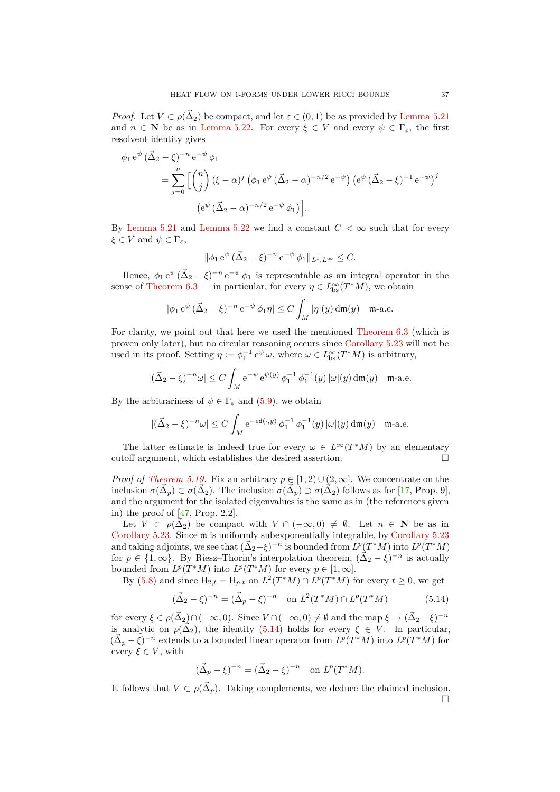*Proof.* Let  $V \subset \rho(\vec{\Delta}_2)$  be compact, and let  $\varepsilon \in (0,1)$  be as provided by [Lemma 5.21](#page-34-0) and  $n \in \mathbb{N}$  be as in [Lemma 5.22.](#page-34-1) For every  $\xi \in V$  and every  $\psi \in \Gamma_{\varepsilon}$ , the first resolvent identity gives

$$
\phi_1 e^{\psi} (\vec{\Delta}_2 - \xi)^{-n} e^{-\psi} \phi_1
$$
  
=  $\sum_{j=0}^{n} \left[ \binom{n}{j} (\xi - \alpha)^j (\phi_1 e^{\psi} (\vec{\Delta}_2 - \alpha)^{-n/2} e^{-\psi}) (e^{\psi} (\vec{\Delta}_2 - \xi)^{-1} e^{-\psi})^j$   
 $(e^{\psi} (\vec{\Delta}_2 - \alpha)^{-n/2} e^{-\psi} \phi_1) \right].$ 

By [Lemma 5.21](#page-34-0) and [Lemma 5.22](#page-34-1) we find a constant  $C < \infty$  such that for every *ξ* ∈ *V* and  $ψ$  ∈ Γ<sub>ε</sub>,

$$
\|\phi_1 e^{\psi} (\vec{\Delta}_2 - \xi)^{-n} e^{-\psi} \phi_1\|_{L^1, L^{\infty}} \leq C.
$$

Hence,  $\phi_1 e^{\psi} (\vec{\Delta}_2 - \xi)^{-n} e^{-\psi} \phi_1$  is representable as an integral operator in the sense of [Theorem 6.3](#page-37-2) — in particular, for every  $\eta \in L^{\infty}_{\text{bs}}(T^{*}M)$ , we obtain

$$
|\phi_1 e^{\psi} (\vec{\Delta}_2 - \xi)^{-n} e^{-\psi} \phi_1 \eta| \le C \int_M |\eta|(y) d\mathfrak{m}(y) \quad \mathfrak{m}\text{-a.e.}
$$

For clarity, we point out that here we used the mentioned [Theorem 6.3](#page-37-2) (which is proven only later), but no circular reasoning occurs since [Corollary 5.23](#page-35-0) will not be used in its proof. Setting  $\eta := \phi_1^{-1} e^{\psi} \omega$ , where  $\omega \in L_{\text{bs}}^{\infty}(T^*M)$  is arbitrary,

$$
|(\vec{\Delta}_2 - \xi)^{-n}\omega| \le C \int_M e^{-\psi} e^{\psi(y)} \phi_1^{-1} \phi_1^{-1}(y) |\omega|(y) d\mathfrak{m}(y) \quad \text{m-a.e.}
$$

By the arbitrariness of  $\psi \in \Gamma_{\varepsilon}$  and [\(5.9\)](#page-33-5), we obtain

$$
|(\vec{\Delta}_2 - \xi)^{-n}\omega| \le C \int_M e^{-\varepsilon d(\cdot, y)} \phi_1^{-1} \phi_1^{-1}(y) |\omega|(y) d\mathfrak{m}(y) \quad \mathfrak{m}\text{-a.e.}
$$

The latter estimate is indeed true for every  $\omega \in L^{\infty}(T^*M)$  by an elementary cutoff argument, which establishes the desired assertion.  $\Box$ 

*Proof of [Theorem 5.19.](#page-33-0)* Fix an arbitrary  $p \in [1, 2) \cup (2, \infty]$ . We concentrate on the inclusion  $\sigma(\vec{\Delta}_p) \subset \sigma(\vec{\Delta}_2)$ . The inclusion  $\sigma(\vec{\Delta}_p) \supset \sigma(\vec{\Delta}_2)$  follows as for [\[17,](#page-46-19) Prop. 9], and the argument for the isolated eigenvalues is the same as in (the references given in) the proof of  $[47,$  Prop. 2.2].

Let  $V \subset \rho(\bar{\Delta}_2)$  be compact with  $V \cap (-\infty, 0) \neq \emptyset$ . Let  $n \in \mathbb{N}$  be as in [Corollary 5.23.](#page-35-0) Since m is uniformly subexponentially integrable, by [Corollary 5.23](#page-35-0) and taking adjoints, we see that  $(\vec{\Delta}_2 - \xi)^{-n}$  is bounded from  $L^p(T^*M)$  into  $L^p(T^*M)$ for  $p \in \{1, \infty\}$ . By Riesz–Thorin's interpolation theorem,  $(\vec{\Delta}_2 - \xi)^{-n}$  is actually bounded from  $L^p(T^*M)$  into  $L^p(T^*M)$  for every  $p \in [1, \infty]$ .

By [\(5.8\)](#page-33-4) and since  $H_{2,t} = H_{p,t}$  on  $L^2(T^*M) \cap L^p(T^*M)$  for every  $t \ge 0$ , we get

$$
(\vec{\Delta}_2 - \xi)^{-n} = (\vec{\Delta}_p - \xi)^{-n} \quad \text{on } L^2(T^*M) \cap L^p(T^*M) \tag{5.14}
$$

for every  $\xi \in \rho(\vec{\Delta}_2) \cap (-\infty, 0)$ . Since  $V \cap (-\infty, 0) \neq \emptyset$  and the map  $\xi \mapsto (\vec{\Delta}_2 - \xi)^{-n}$ is analytic on  $\rho(\vec{\Delta}_2)$ , the identity [\(5.14\)](#page-36-0) holds for every  $\xi \in V$ . In particular,  $(\vec{\Delta}_p - \xi)^{-n}$  extends to a bounded linear operator from  $L^p(T^*M)$  into  $L^p(T^*M)$  for every  $\xi \in V$ , with

<span id="page-36-0"></span>
$$
(\vec{\Delta}_p - \xi)^{-n} = (\vec{\Delta}_2 - \xi)^{-n}
$$
 on  $L^p(T^*M)$ .

It follows that  $V \subset \rho(\vec{\Delta}_p)$ . Taking complements, we deduce the claimed inclusion.  $\Box$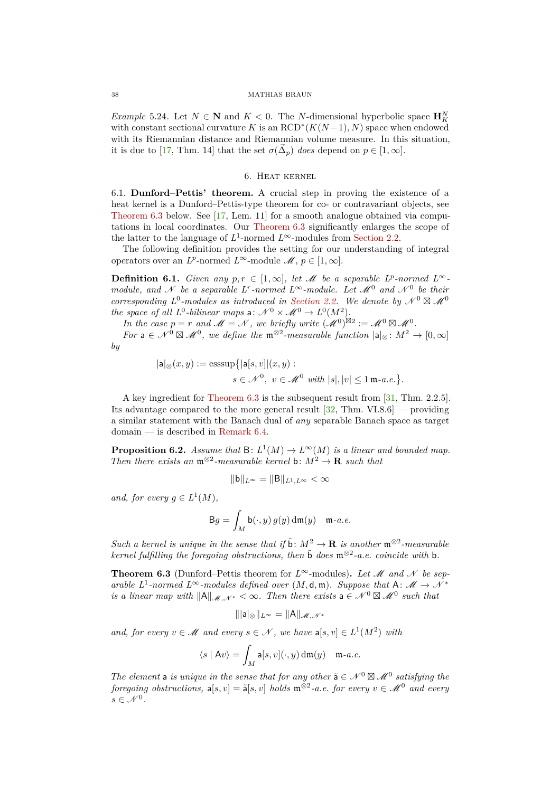*Example* 5.24*.* Let  $N \in \mathbb{N}$  and  $K < 0$ . The *N*-dimensional hyperbolic space  $\mathbf{H}_{K}^{N}$ with constant sectional curvature *K* is an  $\text{RCD}^*(K(N-1), N)$  space when endowed with its Riemannian distance and Riemannian volume measure. In this situation, it is due to [\[17,](#page-46-19) Thm. 14] that the set  $\sigma(\vec{\Delta}_p)$  *does* depend on  $p \in [1, \infty]$ .

## 6. Heat kernel

<span id="page-37-1"></span><span id="page-37-0"></span>6.1. **Dunford–Pettis' theorem.** A crucial step in proving the existence of a heat kernel is a Dunford–Pettis-type theorem for co- or contravariant objects, see [Theorem 6.3](#page-37-2) below. See [\[17,](#page-46-19) Lem. 11] for a smooth analogue obtained via computations in local coordinates. Our [Theorem 6.3](#page-37-2) significantly enlarges the scope of the latter to the language of  $L^1$ -normed  $L^\infty$ -modules from [Section 2.2.](#page-9-0)

The following definition provides the setting for our understanding of integral operators over an *L*<sup>*p*</sup>-normed *L*<sup>∞</sup>-module  $\mathcal{M}, p \in [1, \infty]$ .

<span id="page-37-4"></span>**Definition 6.1.** *Given any*  $p, r \in [1, \infty]$ *, let M be a separable L<sup><i>p*</sup>-normed L<sup>∞</sup>*module, and* N *be a separable*  $L^r$ -normed  $L^\infty$ -module. Let  $\mathcal{M}^0$  and  $\mathcal{N}^0$  be their *corresponding*  $L^0$ -modules as introduced in [Section 2.2.](#page-9-0) We denote by  $\mathcal{N}^0 \boxtimes \mathcal{M}^0$ *the space of all*  $L^0$ -bilinear maps a:  $\mathcal{N}^0 \times \mathcal{M}^0 \to L^0(M^2)$ .

*In the case*  $p = r$  *and*  $M = N$ , we briefly write  $(M^0)^{\boxtimes 2} := M^0 \boxtimes M^0$ .

*For*  $a \in \mathcal{N}^0 \boxtimes \mathcal{M}^0$ , we define the  $\mathfrak{m}^{\otimes 2}$ -measurable function  $|a|_{\otimes}: M^2 \to [0, \infty]$ *by*

$$
|\mathsf{a}|_{\otimes}(x,y) := \operatorname{esssup}\{|\mathsf{a}[s,v]|(x,y):
$$

$$
s \in \mathcal{N}^0, \ v \in \mathcal{M}^0 \text{ with } |s|, |v| \le 1 \text{ m-a.e.}\}.
$$

A key ingredient for [Theorem 6.3](#page-37-2) is the subsequent result from [\[31,](#page-46-22) Thm. 2.2.5]. Its advantage compared to the more general result [\[32,](#page-46-23) Thm. VI.8.6] — providing a similar statement with the Banach dual of *any* separable Banach space as target domain — is described in [Remark 6.4.](#page-40-2)

<span id="page-37-3"></span>**Proposition 6.2.** *Assume that*  $B: L^1(M) \to L^{\infty}(M)$  *is a linear and bounded map. Then there exists an*  $\mathfrak{m}^{\otimes 2}$ -measurable kernel **b**:  $M^2 \to \mathbf{R}$  *such that* 

$$
\|\mathbf{b}\|_{L^\infty}=\|\mathbf{B}\|_{L^1,L^\infty}<\infty
$$

*and, for every*  $g \in L^1(M)$ *,* 

$$
\mathsf{B} g = \int_M \mathsf{b}(\cdot, y) \, g(y) \, \mathrm{d}\mathfrak{m}(y) \quad \mathfrak{m}\text{-}a.e.
$$

*Such a kernel is unique in the sense that if*  $\tilde{b}: M^2 \to \mathbf{R}$  *is another*  $\mathfrak{m}^{\otimes 2}$ -measurable  $\vec{r}$  *kernel fulfilling the foregoing obstructions, then*  $\tilde{b}$  *does*  $\mathfrak{m}^{\otimes 2}$ -*a.e. coincide with*  $\bf{b}$ *.* 

<span id="page-37-2"></span>**Theorem 6.3** (Dunford–Pettis theorem for  $L^\infty$ -modules). Let M and N be sep*arable L*<sup>1</sup>-normed  $L^{\infty}$ -modules defined over  $(M, d, \mathfrak{m})$ *. Suppose that* A:  $M \rightarrow \mathcal{N}^*$ *is a linear map with*  $||A||_{\mathcal{M},\mathcal{N}^*}<\infty$ . Then there exists  $a \in \mathcal{N}^0 \boxtimes \mathcal{M}^0$  such that

$$
\||\mathsf{a}||_{\otimes}\|_{L^{\infty}}=\|\mathsf{A}\|_{\mathscr{M},\mathscr{N}^*}
$$

*and, for every*  $v \in \mathcal{M}$  *and every*  $s \in \mathcal{N}$ , *we have*  $a[s, v] \in L^1(M^2)$  *with* 

$$
\langle s \mid Av \rangle = \int_M \mathsf{a}[s, v](\cdot, y) \, \mathrm{d}\mathfrak{m}(y) \quad \mathfrak{m}\text{-}a.e.
$$

*The element* a *is unique in the sense that for any other*  $\tilde{a} \in \mathcal{N}^0 \boxtimes \mathcal{M}^0$  *satisfying the*  $foregoing~obstructions, \mathbf{a}[s, v] = \tilde{\mathbf{a}}[s, v]~holds~\mathfrak{m}^{\otimes 2}\text{-}a.e.~for~every~v \in \mathcal{M}^0~and~every$  $s \in \mathcal{N}^0$ .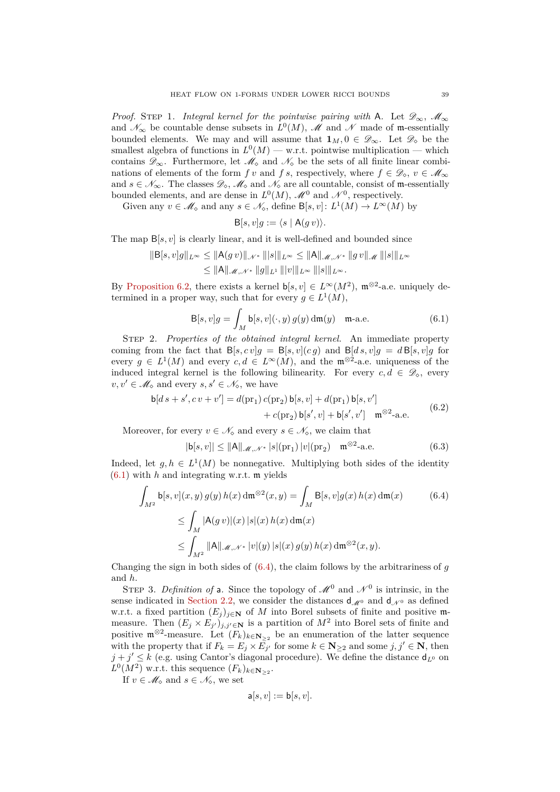*Proof.* STEP 1. *Integral kernel for the pointwise pairing with* A. Let  $\mathscr{D}_{\infty}$ ,  $\mathscr{M}_{\infty}$ and  $\mathscr{N}_{\infty}$  be countable dense subsets in  $L^0(M)$ ,  $\mathscr{M}$  and  $\mathscr{N}$  made of m-essentially bounded elements. We may and will assume that  $\mathbf{1}_M, 0 \in \mathscr{D}_{\infty}$ . Let  $\mathscr{D}_{\infty}$  be the smallest algebra of functions in  $L^0(M)$  — w.r.t. pointwise multiplication — which contains  $\mathscr{D}_{\infty}$ . Furthermore, let  $\mathscr{M}_{\infty}$  and  $\mathscr{N}_{\infty}$  be the sets of all finite linear combinations of elements of the form *f v* and *f s*, respectively, where  $f \in \mathscr{D}_{\infty}$ ,  $v \in \mathscr{M}_{\infty}$ and  $s \in \mathcal{N}_{\infty}$ . The classes  $\mathcal{D}_{\infty}$ ,  $\mathcal{M}_{\infty}$  and  $\mathcal{N}_{\infty}$  are all countable, consist of m-essentially bounded elements, and are dense in  $L^0(M)$ ,  $\mathscr{M}^0$  and  $\mathscr{N}^0$ , respectively.

Given any  $v \in \mathcal{M}_{\diamond}$  and any  $s \in \mathcal{N}_{\diamond}$ , define  $B[s, v]: L^1(M) \to L^{\infty}(M)$  by

<span id="page-38-0"></span>
$$
B[s, v]g := \langle s \mid A(g v) \rangle.
$$

The map B[*s, v*] is clearly linear, and it is well-defined and bounded since

$$
||B[s, v]g||_{L^{\infty}} \le ||A(g v)||_{\mathcal{N}^*} |||s|||_{L^{\infty}} \le ||A||_{\mathcal{M}, \mathcal{N}^*} ||g v||_{\mathcal{M}} |||s|||_{L^{\infty}}
$$
  

$$
\le ||A||_{\mathcal{M}, \mathcal{N}^*} ||g||_{L^1} |||v|||_{L^{\infty}} |||s|||_{L^{\infty}}.
$$

By [Proposition 6.2,](#page-37-3) there exists a kernel  $\mathsf{b}[s,v] \in L^\infty(M^2)$ ,  $\mathfrak{m}^{\otimes 2}$ -a.e. uniquely determined in a proper way, such that for every  $g \in L^1(M)$ ,

$$
\mathsf{B}[s,v]g = \int_M \mathsf{b}[s,v](\cdot,y) g(y) \,\mathrm{d}\mathfrak{m}(y) \quad \mathfrak{m}\text{-a.e.} \tag{6.1}
$$

Step 2. *Properties of the obtained integral kernel.* An immediate property coming from the fact that  $B[s, cv]g = B[s, v](cg)$  and  $B[d, s, v]g = dB[s, v]g$  for every  $g \in L^1(M)$  and every  $c, d \in L^{\infty}(M)$ , and the  $\mathfrak{m}^{\otimes 2}$ -a.e. uniqueness of the induced integral kernel is the following bilinearity. For every  $c, d \in \mathcal{D}_\diamond$ , every  $v, v' \in \mathscr{M}_{\diamond}$  and every  $s, s' \in \mathscr{N}_{\diamond}$ , we have

$$
b[ds + s', cv + v'] = d(pr_1) c(pr_2) b[s, v] + d(pr_1) b[s, v'] + c(pr_2) b[s', v] + b[s', v'] \mathfrak{m}^{\otimes 2}
$$
-a.e. (6.2)

Moreover, for every  $v \in \mathcal{N}_\infty$  and every  $s \in \mathcal{N}_\infty$ , we claim that

<span id="page-38-3"></span><span id="page-38-2"></span><span id="page-38-1"></span>
$$
|\mathsf{b}[s,v]| \le ||\mathsf{A}||_{\mathscr{M}, \mathscr{N}^*} |s|(\text{pr}_1) |v|(\text{pr}_2) \quad \mathfrak{m}^{\otimes 2}\text{-a.e.} \tag{6.3}
$$

Indeed, let  $g, h \in L^1(M)$  be nonnegative. Multiplying both sides of the identity [\(6.1\)](#page-38-0) with *h* and integrating w.r.t. m yields

$$
\int_{M^2} \mathsf{b}[s, v](x, y) g(y) h(x) \, \mathrm{d}\mathfrak{m}^{\otimes 2}(x, y) = \int_M \mathsf{B}[s, v] g(x) h(x) \, \mathrm{d}\mathfrak{m}(x) \tag{6.4}
$$
\n
$$
\leq \int_M |\mathsf{A}(g \, v)|(x) \, |s|(x) \, h(x) \, \mathrm{d}\mathfrak{m}(x) \leq \int_{M^2} \|\mathsf{A}\|_{\mathscr{M}, \mathscr{N}^*} |v|(y) \, |s|(x) \, g(y) \, h(x) \, \mathrm{d}\mathfrak{m}^{\otimes 2}(x, y).
$$

Changing the sign in both sides of  $(6.4)$ , the claim follows by the arbitrariness of  $q$ and *h*.

STEP 3. *Definition of* a. Since the topology of  $\mathcal{M}^0$  and  $\mathcal{N}^0$  is intrinsic, in the sense indicated in [Section 2.2,](#page-9-0) we consider the distances  $d_{\mathcal{M}^0}$  and  $d_{\mathcal{N}^0}$  as defined w.r.t. a fixed partition  $(E_i)_{i\in\mathbb{N}}$  of *M* into Borel subsets of finite and positive mmeasure. Then  $(E_j \times E_{j'})_{j,j' \in \mathbb{N}}$  is a partition of  $M^2$  into Borel sets of finite and positive  $\mathfrak{m}^{\otimes 2}$ -measure. Let  $(F_k)_{k \in \mathbb{N}_{\geq 2}}$  be an enumeration of the latter sequence with the property that if  $F_k = E_j \times E_{j'}$  for some  $k \in \mathbb{N}_{\geq 2}$  and some  $j, j' \in \mathbb{N}$ , then  $j + j' \leq k$  (e.g. using Cantor's diagonal procedure). We define the distance  $d_{L^0}$  on  $L^0(M^2)$  w.r.t. this sequence  $(F_k)_{k \in \mathbf{N}_{\geq 2}}$ .

If  $v \in \mathcal{M}_{\diamond}$  and  $s \in \mathcal{N}_{\diamond}$ , we set

$$
\mathsf{a}[s,v] := \mathsf{b}[s,v].
$$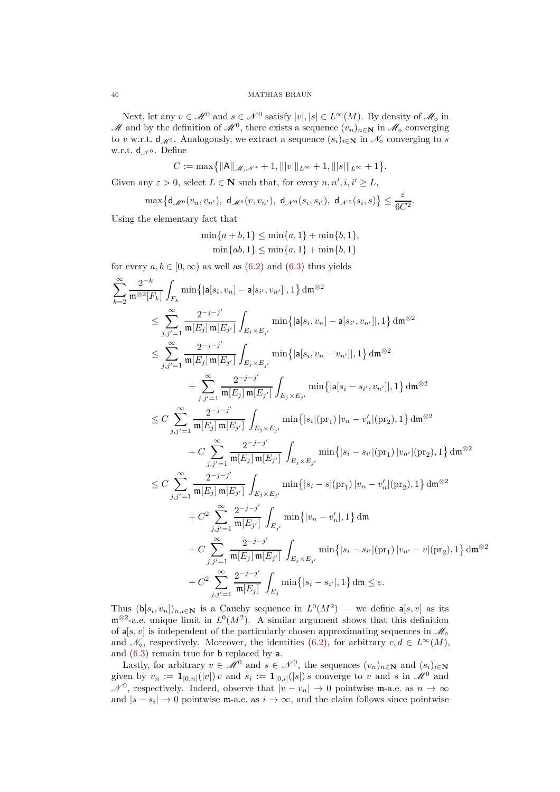Next, let any  $v \in \mathcal{M}^0$  and  $s \in \mathcal{N}^0$  satisfy  $|v|, |s| \in L^\infty(M)$ . By density of  $\mathcal{M}_\infty$  in M and by the definition of  $\mathcal{M}^0$ , there exists a sequence  $(v_n)_{n \in \mathbb{N}}$  in  $\mathcal{M}_\infty$  converging to *v* w.r.t.  $d_M$ . Analogously, we extract a sequence  $(s_i)_{i\in\mathbb{N}}$  in  $\mathcal{N}_\diamond$  converging to *s* w.r.t.  $d_{\mathcal{N}^0}$ . Define

$$
C := \max\{\|\mathsf{A}\|_{\mathscr{M},\mathscr{N}^*} + 1, \||v|\|_{L^\infty} + 1, \||s|\|_{L^\infty} + 1\}.
$$

Given any  $\varepsilon > 0$ , select  $L \in \mathbb{N}$  such that, for every  $n, n', i, i' \geq L$ ,

$$
\max\bigl\{\mathsf{d}_{\mathscr{M}^0}(v_n,v_{n'}),\;\mathsf{d}_{\mathscr{M}^0}(v,v_{n'}),\;\mathsf{d}_{\mathscr{N}^0}(s_i,s_{i'}),\;\mathsf{d}_{\mathscr{N}^0}(s_i,s)\bigr\}\leq \frac{\varepsilon}{6C^2}.
$$

Using the elementary fact that

$$
\min\{a+b, 1\} \le \min\{a, 1\} + \min\{b, 1\},
$$
  

$$
\min\{ab, 1\} \le \min\{a, 1\} + \min\{b, 1\}
$$

for every  $a, b \in [0, \infty)$  as well as  $(6.2)$  and  $(6.3)$  thus yields

$$
\sum_{k=2}^{\infty} \frac{2^{-k}}{\mathfrak{m}^{\otimes 2}[F_k]} \int_{F_k} \min\{|a[s_i, v_n] - a[s_{i'}, v_{n'}] |, 1\} d\mathfrak{m}^{\otimes 2}
$$
\n
$$
\leq \sum_{j,j'=1}^{\infty} \frac{2^{-j-j'}}{\mathfrak{m}[E_j] \mathfrak{m}[E_{j'}]} \int_{E_j \times E_{j'}} \min\{|a[s_i, v_n] - a[s_{i'}, v_{n'}] |, 1\} d\mathfrak{m}^{\otimes 2}
$$
\n
$$
\leq \sum_{j,j'=1}^{\infty} \frac{2^{-j-j'}}{\mathfrak{m}[E_j] \mathfrak{m}[E_{j'}]} \int_{E_j \times E_{j'}} \min\{|a[s_i, v_n - v_{n'}] |, 1\} d\mathfrak{m}^{\otimes 2}
$$
\n
$$
+ \sum_{j,j'=1}^{\infty} \frac{2^{-j-j'}}{\mathfrak{m}[E_j] \mathfrak{m}[E_{j'}]} \int_{E_j \times E_{j'}} \min\{|a[s_i - s_{i'}, v_{n'}] |, 1\} d\mathfrak{m}^{\otimes 2}
$$
\n
$$
\leq C \sum_{j,j'=1}^{\infty} \frac{2^{-j-j'}}{\mathfrak{m}[E_j] \mathfrak{m}[E_{j'}]} \int_{E_j \times E_{j'}} \min\{|s_i| |v_1| |v_n - v'_n| |v_2|, 1\} d\mathfrak{m}^{\otimes 2}
$$
\n
$$
+ C \sum_{j,j'=1}^{\infty} \frac{2^{-j-j'}}{\mathfrak{m}[E_j] \mathfrak{m}[E_{j'}]} \int_{E_j \times E_{j'}} \min\{|s_i - s_{i'}| |v_1| |v_n| |(v_2), 1\} d\mathfrak{m}^{\otimes 2}
$$
\n
$$
\leq C \sum_{j,j'=1}^{\infty} \frac{2^{-j-j'}}{\mathfrak{m}[E_j] \mathfrak{m}[E_{j'}]} \int_{E_j \times E_{j'}} \min\{|s_i - s| |v_1| |v_n - v'_n| |v_2|, 1\} d\mathfrak{m}^{\otimes 2}
$$
\n
$$
+ C^2 \sum_{j,j'=1}^{\infty} \frac
$$

Thus  $(\mathbf{b}[s_i, v_n])_{n,i\in\mathbb{N}}$  is a Cauchy sequence in  $L^0(M^2)$  — we define  $\mathbf{a}[s, v]$  as its  $\mathfrak{m}^{\otimes 2}$ -a.e. unique limit in  $L^0(M^2)$ . A similar argument shows that this definition of  $a[s, v]$  is independent of the particularly chosen approximating sequences in  $\mathcal{M}_{\diamond}$ and  $\mathcal{N}_\diamond$ , respectively. Moreover, the identities [\(6.2\)](#page-38-2), for arbitrary  $c, d \in L^\infty(M)$ , and [\(6.3\)](#page-38-3) remain true for b replaced by a.

Lastly, for arbitrary  $v \in \mathcal{M}^0$  and  $s \in \mathcal{N}^0$ , the sequences  $(v_n)_{n \in \mathbb{N}}$  and  $(s_i)_{i \in \mathbb{N}}$ given by  $v_n := \mathbf{1}_{[0,n]}(|v|) v$  and  $s_i := \mathbf{1}_{[0,i]}(|s|) s$  converge to *v* and *s* in  $\mathscr{M}^0$  and  $\mathcal{N}^0$ , respectively. Indeed, observe that  $|v - v_n| \to 0$  pointwise m-a.e. as  $n \to \infty$ and  $|s - s_i| \to 0$  pointwise m-a.e. as  $i \to \infty$ , and the claim follows since pointwise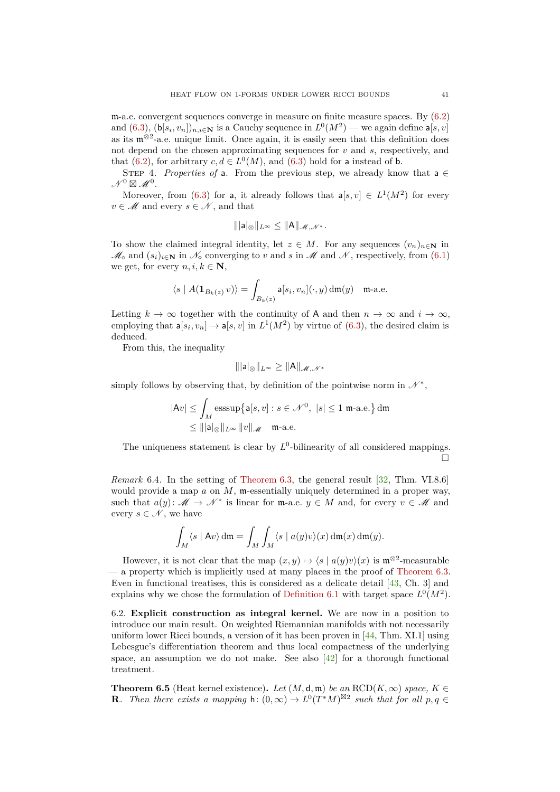m-a.e. convergent sequences converge in measure on finite measure spaces. By [\(6.2\)](#page-38-2) and  $(6.3)$ ,  $(b[s_i, v_n])_{n,i\in\mathbb{N}}$  is a Cauchy sequence in  $L^0(M^2)$  — we again define  $\mathsf{a}[s, v]$ as its  $\mathfrak{m}^{\otimes 2}$ -a.e. unique limit. Once again, it is easily seen that this definition does not depend on the chosen approximating sequences for *v* and *s*, respectively, and that [\(6.2\)](#page-38-2), for arbitrary  $c, d \in L^0(M)$ , and [\(6.3\)](#page-38-3) hold for a instead of b.

STEP 4. *Properties of* a. From the previous step, we already know that a  $\in$  $\mathcal{N}^0 \boxtimes \mathcal{M}^0$ .

Moreover, from [\(6.3\)](#page-38-3) for a, it already follows that  $a[s, v] \in L^1(M^2)$  for every  $v \in \mathcal{M}$  and every  $s \in \mathcal{N}$ , and that

$$
\||\mathsf{a}||_{\otimes}\|_{L^{\infty}} \leq \|\mathsf{A}\|_{\mathscr{M},\mathscr{N}^*}.
$$

To show the claimed integral identity, let  $z \in M$ . For any sequences  $(v_n)_{n \in \mathbb{N}}$  in  $\mathscr{M}_{\diamond}$  and  $(s_i)_{i \in \mathbb{N}}$  in  $\mathscr{N}_{\diamond}$  converging to *v* and *s* in  $\mathscr{M}$  and  $\mathscr{N}$ , respectively, from [\(6.1\)](#page-38-0) we get, for every  $n, i, k \in \mathbb{N}$ ,

$$
\langle s | A(\mathbf{1}_{B_k(z)} v) \rangle = \int_{B_k(z)} \mathsf{a}[s_i, v_n](\cdot, y) \, \mathrm{d}\mathfrak{m}(y) \quad \text{m-a.e.}
$$

Letting  $k \to \infty$  together with the continuity of A and then  $n \to \infty$  and  $i \to \infty$ , employing that  $a[s_i, v_n] \to a[s, v]$  in  $L^1(M^2)$  by virtue of [\(6.3\)](#page-38-3), the desired claim is deduced.

From this, the inequality

$$
\||\mathsf{a}||_{\otimes}\|_{L^{\infty}} \geq \|\mathsf{A}\|_{\mathscr{M},\mathscr{N}^*}
$$

simply follows by observing that, by definition of the pointwise norm in  $\mathcal{N}^*$ ,

$$
|\mathsf{A}v| \le \int_M \operatorname{esssup}\{\mathsf{a}[s,v] : s \in \mathcal{N}^0, \ |s| \le 1 \text{ m-a.e.}\}\,dm
$$
  

$$
\le |||\mathsf{a}|\otimes||_{L^\infty} ||v||_{\mathscr{M}} \quad \text{m-a.e.}
$$

The uniqueness statement is clear by  $L^0$ -bilinearity of all considered mappings.  $\Box$ 

<span id="page-40-2"></span>*Remark* 6.4. In the setting of [Theorem 6.3,](#page-37-2) the general result [\[32,](#page-46-23) Thm. VI.8.6] would provide a map *a* on *M*, m-essentially uniquely determined in a proper way, such that  $a(y)$ :  $M \to \mathcal{N}^*$  is linear for m-a.e.  $y \in M$  and, for every  $v \in \mathcal{M}$  and every  $s \in \mathcal{N}$ , we have

$$
\int_M \langle s | A v \rangle \, \mathrm{d}\mathfrak{m} = \int_M \int_M \langle s | a(y) v \rangle(x) \, \mathrm{d}\mathfrak{m}(x) \, \mathrm{d}\mathfrak{m}(y).
$$

However, it is not clear that the map  $(x, y) \mapsto \langle s | a(y)v \rangle(x)$  is  $\mathfrak{m}^{\otimes 2}$ -measurable  $-$  a property which is implicitly used at many places in the proof of [Theorem 6.3.](#page-37-2) Even in functional treatises, this is considered as a delicate detail [\[43,](#page-47-26) Ch. 3] and explains why we chose the formulation of [Definition 6.1](#page-37-4) with target space  $L^0(M^2)$ .

<span id="page-40-0"></span>6.2. **Explicit construction as integral kernel.** We are now in a position to introduce our main result. On weighted Riemannian manifolds with not necessarily uniform lower Ricci bounds, a version of it has been proven in [\[44,](#page-47-13) Thm. XI.1] using Lebesgue's differentiation theorem and thus local compactness of the underlying space, an assumption we do not make. See also  $\boxed{42}$  for a thorough functional treatment.

<span id="page-40-1"></span>**Theorem 6.5** (Heat kernel existence). Let  $(M, d, m)$  be an RCD( $K, \infty$ ) space,  $K \in$ **R***.* Then there exists a mapping  $h: (0, \infty) \to L^0(T^*M)^{\boxtimes 2}$  such that for all  $p, q \in$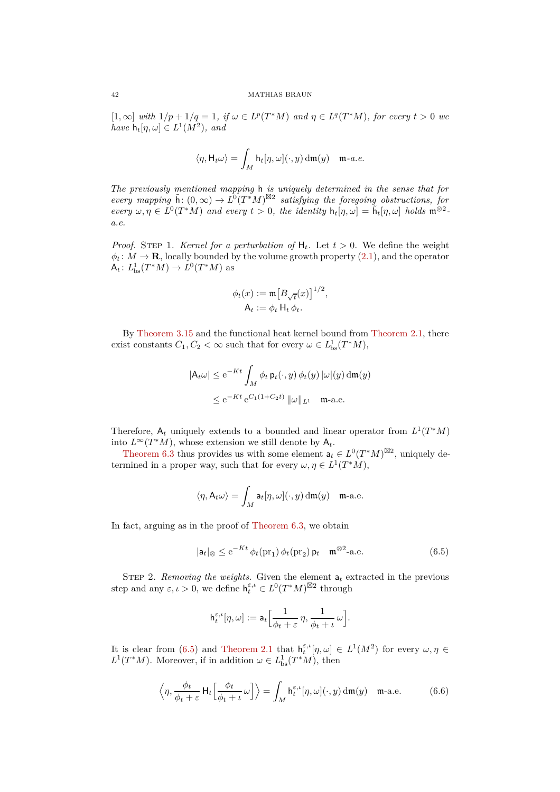$[1, \infty]$  *with*  $1/p + 1/q = 1$ *, if*  $\omega \in L^p(T^*M)$  *and*  $\eta \in L^q(T^*M)$ *, for every*  $t > 0$  *we*  $have \; h_t[\eta,\omega] \in L^1(M^2), \; and$ 

$$
\langle \eta, \mathsf{H}_t \omega \rangle = \int_M \mathsf{h}_t[\eta, \omega](\cdot, y) \, \mathrm{d}\mathfrak{m}(y) \quad \mathfrak{m}\text{-}a.e.
$$

*The previously mentioned mapping* h *is uniquely determined in the sense that for every mapping*  $\tilde{h}: (0, \infty) \to L^0(T^*M)^{\boxtimes 2}$  *satisfying the foregoing obstructions, for*  $every \omega, \eta \in L^0(T^*M)$  *and every*  $t > 0$ *, the identity*  $h_t[\eta, \omega] = \tilde{h}_t[\eta, \omega]$  *holds*  $\mathfrak{m}^{\otimes 2}$ *a.e.*

*Proof.* STEP 1. *Kernel for a perturbation of*  $H_t$ *.* Let  $t > 0$ *.* We define the weight  $\phi_t$ :  $M \to \mathbf{R}$ , locally bounded by the volume growth property [\(2.1\)](#page-7-2), and the operator  $A_t: L^1_{\text{bs}}(T^*M) \to L^0(T^*M)$  as

$$
\phi_t(x) := \mathfrak{m} \big[ B_{\sqrt{t}}(x) \big]^{1/2},
$$

$$
\mathsf{A}_t := \phi_t \, \mathsf{H}_t \, \phi_t.
$$

By [Theorem 3.15](#page-19-1) and the functional heat kernel bound from [Theorem 2.1,](#page-8-2) there exist constants  $C_1, C_2 < \infty$  such that for every  $\omega \in L^1_{\text{bs}}(T^*M)$ ,

$$
|\mathsf{A}_t \omega| \le e^{-Kt} \int_M \phi_t \, \mathsf{p}_t(\cdot, y) \, \phi_t(y) \, |\omega|(y) \, dm(y)
$$
  

$$
\le e^{-Kt} \, e^{C_1(1+C_2t)} \, \|\omega\|_{L^1} \quad \text{m-a.e.}
$$

Therefore,  $A_t$  uniquely extends to a bounded and linear operator from  $L^1(T^*M)$ into  $L^{\infty}(T^*M)$ , whose extension we still denote by  $A_t$ .

[Theorem 6.3](#page-37-2) thus provides us with some element  $a_t \in L^0(T^*M)^{\boxtimes 2}$ , uniquely determined in a proper way, such that for every  $\omega, \eta \in L^1(T^*M)$ ,

$$
\langle \eta, A_t \omega \rangle = \int_M \mathsf{a}_t[\eta, \omega](\cdot, y) \, \mathrm{d}\mathfrak{m}(y) \quad \mathfrak{m}\text{-a.e.}
$$

In fact, arguing as in the proof of [Theorem 6.3,](#page-37-2) we obtain

$$
|\mathsf{a}_t|_{\otimes} \leq \mathrm{e}^{-Kt} \,\phi_t(\mathrm{pr}_1) \,\phi_t(\mathrm{pr}_2) \,\mathsf{p}_t \quad \mathfrak{m}^{\otimes 2}\text{-a.e.} \tag{6.5}
$$

STEP 2. *Removing the weights*. Given the element  $a_t$  extracted in the previous step and any  $\varepsilon, \iota > 0$ , we define  $h_t^{\varepsilon, \iota} \in L^0(T^*M)^{\boxtimes 2}$  through

<span id="page-41-1"></span><span id="page-41-0"></span>
$$
\mathbf{h}_t^{\varepsilon,\iota}[\eta,\omega] := \mathbf{a}_t \Big[ \frac{1}{\phi_t + \varepsilon} \, \eta, \frac{1}{\phi_t + \iota} \, \omega \Big].
$$

It is clear from [\(6.5\)](#page-41-0) and [Theorem 2.1](#page-8-2) that  $h_t^{\varepsilon,\iota}[\eta,\omega] \in L^1(M^2)$  for every  $\omega,\eta \in$  $L^1(T^*M)$ . Moreover, if in addition  $\omega \in L^1_{\text{bs}}(T^*M)$ , then

$$
\left\langle \eta, \frac{\phi_t}{\phi_t + \varepsilon} \mathsf{H}_t \Big[ \frac{\phi_t}{\phi_t + \iota} \omega \Big] \right\rangle = \int_M \mathsf{h}_t^{\varepsilon, \iota} [\eta, \omega](\cdot, y) \, \mathrm{d}\mathfrak{m}(y) \quad \mathfrak{m}\text{-a.e.} \tag{6.6}
$$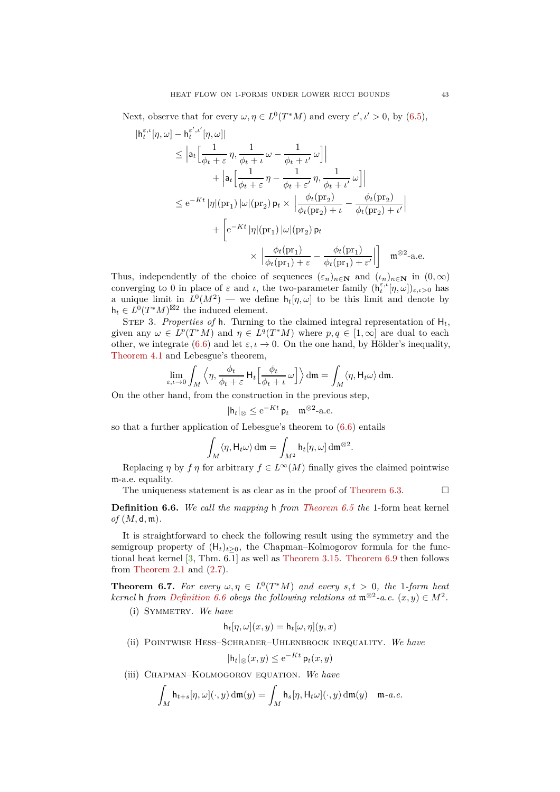Next, observe that for every  $\omega, \eta \in L^0(T^*M)$  and every  $\varepsilon', \iota' > 0$ , by [\(6.5\)](#page-41-0),

$$
\begin{split} |\mathsf{h}_{t}^{\varepsilon,\iota}[\eta,\omega] - \mathsf{h}_{t}^{\varepsilon',\iota'}[\eta,\omega]| \\ & \leq \left| \mathsf{a}_{t} \Big[ \frac{1}{\phi_{t} + \varepsilon} \, \eta, \frac{1}{\phi_{t} + \iota} \, \omega - \frac{1}{\phi_{t} + \iota'} \, \omega \Big] \right| \\ & \quad + \left| \mathsf{a}_{t} \Big[ \frac{1}{\phi_{t} + \varepsilon} \, \eta - \frac{1}{\phi_{t} + \varepsilon'} \, \eta, \frac{1}{\phi_{t} + \iota'} \, \omega \Big] \right| \\ & \leq \mathrm{e}^{-Kt} \, |\eta|(\mathrm{pr}_{1}) \, |\omega|(\mathrm{pr}_{2}) \, \mathsf{p}_{t} \times \left| \frac{\phi_{t}(\mathrm{pr}_{2})}{\phi_{t}(\mathrm{pr}_{2}) + \iota} - \frac{\phi_{t}(\mathrm{pr}_{2})}{\phi_{t}(\mathrm{pr}_{2}) + \iota'} \right| \\ & \quad + \left[ \mathrm{e}^{-Kt} \, |\eta|(\mathrm{pr}_{1}) \, |\omega|(\mathrm{pr}_{2}) \, \mathsf{p}_{t} \right] \\ & \qquad \qquad \times \left| \frac{\phi_{t}(\mathrm{pr}_{1})}{\phi_{t}(\mathrm{pr}_{1}) + \varepsilon} - \frac{\phi_{t}(\mathrm{pr}_{1})}{\phi_{t}(\mathrm{pr}_{1}) + \varepsilon'} \right| \right] \quad \mathfrak{m}^{\otimes 2}\text{-a.e.} \end{split}
$$

Thus, independently of the choice of sequences  $(\varepsilon_n)_{n\in\mathbb{N}}$  and  $(\iota_n)_{n\in\mathbb{N}}$  in  $(0,\infty)$ converging to 0 in place of  $\varepsilon$  and *ι*, the two-parameter family  $(h_t^{\varepsilon,\iota}[\eta,\omega])_{\varepsilon,\iota>0}$  has a unique limit in  $L^0(M^2)$  — we define  $h_t[\eta,\omega]$  to be this limit and denote by  $h_t \in L^0(T^*M)^{\boxtimes 2}$  the induced element.

STEP 3. *Properties of*  $h$ . Turning to the claimed integral representation of  $H_t$ , given any  $\omega \in L^p(T^*M)$  and  $\eta \in L^q(T^*M)$  where  $p, q \in [1, \infty]$  are dual to each other, we integrate [\(6.6\)](#page-41-1) and let  $\varepsilon, \iota \to 0$ . On the one hand, by Hölder's inequality, [Theorem 4.1](#page-21-1) and Lebesgue's theorem,

$$
\lim_{\varepsilon,\iota\to 0}\int_M \left\langle \eta, \frac{\phi_t}{\phi_t + \varepsilon} \mathsf{H}_t \Big[\frac{\phi_t}{\phi_t + \iota} \omega\Big] \right\rangle \mathrm{d}\mathfrak{m} = \int_M \left\langle \eta, \mathsf{H}_t \omega \right\rangle \mathrm{d}\mathfrak{m}.
$$

On the other hand, from the construction in the previous step,

$$
|\mathsf{h}_t|_{\otimes} \leq \mathrm{e}^{-Kt} \, \mathsf{p}_t \quad \mathfrak{m}^{\otimes 2}\text{-a.e.}
$$

so that a further application of Lebesgue's theorem to [\(6.6\)](#page-41-1) entails

$$
\int_M \langle \eta, \mathsf{H}_t \omega \rangle \, \mathrm{d}\mathfrak{m} = \int_{M^2} \mathsf{h}_t[\eta, \omega] \, \mathrm{d}\mathfrak{m}^{\otimes 2}.
$$

Replacing *η* by  $f \eta$  for arbitrary  $f \in L^{\infty}(M)$  finally gives the claimed pointwise m-a.e. equality.

The uniqueness statement is as clear as in the proof of [Theorem 6.3.](#page-37-2)  $\Box$ 

<span id="page-42-1"></span>**Definition 6.6.** *We call the mapping* h *from [Theorem 6.5](#page-40-1) the* 1-form heat kernel *of* (*M,* d*,* m)*.*

It is straightforward to check the following result using the symmetry and the semigroup property of  $(H_t)_{t>0}$ , the Chapman–Kolmogorov formula for the functional heat kernel  $[3, Thm. 6.1]$  as well as [Theorem 3.15.](#page-19-1) [Theorem 6.9](#page-43-0) then follows from [Theorem 2.1](#page-8-2) and  $(2.7)$ .

<span id="page-42-0"></span>**Theorem 6.7.** For every  $\omega, \eta \in L^0(T^*M)$  and every  $s, t > 0$ , the 1*-form heat kernel* **h** *from [Definition 6.6](#page-42-1) obeys the following relations at*  $\mathfrak{m}^{\otimes 2}$ -*a.e.*  $(x, y) \in M^2$ .

(i) SYMMETRY. We have

$$
h_t[\eta, \omega](x, y) = h_t[\omega, \eta](y, x)
$$

(ii) Pointwise Hess–Schrader–Uhlenbrock inequality. *We have*

$$
|\mathsf{h}_t|_{\otimes}(x,y) \leq e^{-Kt} \mathsf{p}_t(x,y)
$$

<span id="page-42-2"></span>(iii) Chapman–Kolmogorov equation. *We have*

$$
\int_M \mathsf{h}_{t+s}[\eta,\omega](\cdot,y)\,\mathrm{d}\mathfrak{m}(y) = \int_M \mathsf{h}_s[\eta,\mathsf{H}_t\omega](\cdot,y)\,\mathrm{d}\mathfrak{m}(y) \quad \mathfrak{m}\text{-}a.e.
$$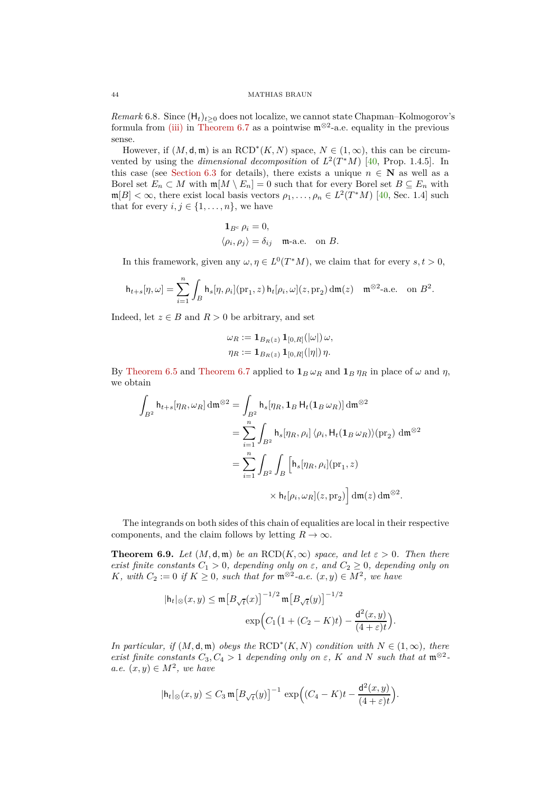<span id="page-43-1"></span>*Remark* 6.8. Since  $(H_t)_{t\geq 0}$  does not localize, we cannot state Chapman–Kolmogorov's formula from [\(iii\)](#page-42-2) in [Theorem 6.7](#page-42-0) as a pointwise  $\mathfrak{m}^{\otimes 2}$ -a.e. equality in the previous sense.

However, if  $(M, \mathsf{d}, \mathfrak{m})$  is an RCD<sup>\*</sup> $(K, N)$  space,  $N \in (1, \infty)$ , this can be circumvented by using the *dimensional decomposition* of  $L^2(T^*M)$  [\[40,](#page-47-1) Prop. 1.4.5]. In this case (see [Section 6.3](#page-44-0) for details), there exists a unique  $n \in \mathbb{N}$  as well as a Borel set  $E_n \subset M$  with  $\mathfrak{m}[M \setminus E_n] = 0$  such that for every Borel set  $B \subseteq E_n$  with  $m[B] < \infty$ , there exist local basis vectors  $\rho_1, \ldots, \rho_n \in L^2(T^*M)$  [\[40,](#page-47-1) Sec. 1.4] such that for every  $i, j \in \{1, \ldots, n\}$ , we have

$$
\begin{aligned} \mathbf{1}_{B^{\rm c}}\,\rho_i&=0,\\ \langle\rho_i,\rho_j\rangle&=\delta_{ij}\quad\text{m-a.e.}\quad\text{on}\,\,B. \end{aligned}
$$

In this framework, given any  $\omega, \eta \in L^0(T^*M)$ , we claim that for every  $s, t > 0$ ,

$$
\mathsf{h}_{t+s}[\eta,\omega] = \sum_{i=1}^n \int_B \mathsf{h}_s[\eta,\rho_i](\mathrm{pr}_1,z)\,\mathsf{h}_t[\rho_i,\omega](z,\mathrm{pr}_2)\,\mathrm{d}\mathfrak{m}(z) \quad \mathfrak{m}^{\otimes 2}\text{-a.e. on } B^2.
$$

Indeed, let  $z \in B$  and  $R > 0$  be arbitrary, and set

$$
\omega_R := \mathbf{1}_{B_R(z)} \, \mathbf{1}_{[0,R]}(|\omega|) \, \omega,
$$
  

$$
\eta_R := \mathbf{1}_{B_R(z)} \, \mathbf{1}_{[0,R]}(|\eta|) \, \eta.
$$

By [Theorem 6.5](#page-40-1) and [Theorem 6.7](#page-42-0) applied to  $\mathbf{1}_B \omega_R$  and  $\mathbf{1}_B \eta_R$  in place of  $\omega$  and  $\eta$ , we obtain

$$
\int_{B^2} \mathsf{h}_{t+s}[\eta_R, \omega_R] \, \mathrm{d}\mathfrak{m}^{\otimes 2} = \int_{B^2} \mathsf{h}_s[\eta_R, \mathbf{1}_B \, \mathsf{H}_t(\mathbf{1}_B \, \omega_R)] \, \mathrm{d}\mathfrak{m}^{\otimes 2}
$$
\n
$$
= \sum_{i=1}^n \int_{B^2} \mathsf{h}_s[\eta_R, \rho_i] \, \langle \rho_i, \mathsf{H}_t(\mathbf{1}_B \, \omega_R) \rangle (\mathrm{pr}_2) \, \mathrm{d}\mathfrak{m}^{\otimes 2}
$$
\n
$$
= \sum_{i=1}^n \int_{B^2} \int_B \left[ \mathsf{h}_s[\eta_R, \rho_i] (\mathrm{pr}_1, z) \times \mathsf{h}_t[\rho_i, \omega_R] (z, \mathrm{pr}_2) \right] \mathrm{d}\mathfrak{m}(z) \, \mathrm{d}\mathfrak{m}^{\otimes 2}.
$$

The integrands on both sides of this chain of equalities are local in their respective components, and the claim follows by letting  $R \to \infty$ .

<span id="page-43-0"></span>**Theorem 6.9.** *Let*  $(M, \mathsf{d}, \mathfrak{m})$  *be an*  $\text{RCD}(K, \infty)$  *space, and let*  $\varepsilon > 0$ *. Then there exist finite constants*  $C_1 > 0$ *, depending only on*  $\varepsilon$ *, and*  $C_2 \geq 0$ *, depending only on K, with*  $C_2 := 0$  *if*  $K \geq 0$ *, such that for*  $\mathfrak{m}^{\otimes 2}$ -*a.e.*  $(x, y) \in M^2$ *, we have* 

$$
|\mathsf{h}_t|_{\otimes}(x,y) \le \mathfrak{m} \big[ B_{\sqrt{t}}(x) \big]^{-1/2} \mathfrak{m} \big[ B_{\sqrt{t}}(y) \big]^{-1/2}
$$

$$
\exp\Big( C_1 \big( 1 + (C_2 - K)t \big) - \frac{\mathsf{d}^2(x,y)}{(4 + \varepsilon)t} \Big).
$$

*In particular, if*  $(M, \mathsf{d}, \mathfrak{m})$  *obeys the*  $\text{RCD}^*(K, N)$  *condition with*  $N \in (1, \infty)$ *, there exist finite constants*  $C_3, C_4 > 1$  *depending only on*  $\varepsilon$ *,*  $K$  *and*  $N$  *such that at*  $\mathfrak{m}^{\otimes 2}$  $a.e. (x, y) \in M^2$ , we have

$$
|\mathsf{h}_t|_{\otimes}(x,y) \leq C_3 \mathfrak{m} \big[ B_{\sqrt{t}}(y) \big]^{-1} \, \exp \Big( (C_4 - K)t - \frac{\mathsf{d}^2(x,y)}{(4+\varepsilon)t} \Big).
$$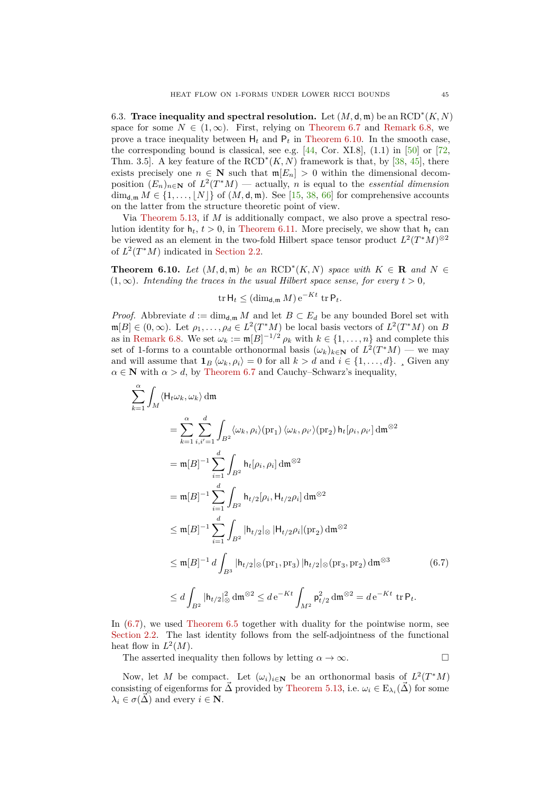<span id="page-44-0"></span>6.3. **Trace inequality and spectral resolution.** Let  $(M, \mathsf{d}, \mathfrak{m})$  be an  $\text{RCD}^*(K, N)$ space for some  $N \in (1,\infty)$ . First, relying on [Theorem 6.7](#page-42-0) and [Remark 6.8,](#page-43-1) we prove a trace inequality between  $H_t$  and  $P_t$  in [Theorem 6.10.](#page-44-1) In the smooth case, the corresponding bound is classical, see e.g.  $[44, \text{Cor. XI.8}]$ ,  $(1.1)$  in  $[50]$  or  $[72, \text{Cor. } 2]$ Thm. 3.5]. A key feature of the  $\text{RCD}^*(K, N)$  framework is that, by [\[38,](#page-47-28) [45\]](#page-47-11), there exists precisely one  $n \in \mathbb{N}$  such that  $m[E_n] > 0$  within the dimensional decomposition  $(E_n)_{n \in \mathbb{N}}$  of  $L^2(T^*M)$  — actually, *n* is equal to the *essential dimension*  $\dim_{\mathbf{d},\mathfrak{m}} M \in \{1,\ldots,\lfloor N \rfloor\}$  of  $(M,\mathbf{d},\mathfrak{m})$ . See [\[15,](#page-46-24) [38,](#page-47-28) [66\]](#page-48-17) for comprehensive accounts on the latter from the structure theoretic point of view.

Via [Theorem 5.13,](#page-31-0) if *M* is additionally compact, we also prove a spectral resolution identity for  $h_t$ ,  $t > 0$ , in [Theorem 6.11.](#page-45-2) More precisely, we show that  $h_t$  can be viewed as an element in the two-fold Hilbert space tensor product  $L^2(T^*M)^{\otimes 2}$ of  $L^2(T^*M)$  indicated in [Section 2.2.](#page-9-0)

<span id="page-44-1"></span>**Theorem 6.10.** *Let*  $(M, d, \mathfrak{m})$  *be an*  $\text{RCD}^*(K, N)$  *space with*  $K \in \mathbb{R}$  *and*  $N \in \mathbb{R}$  $(1, \infty)$ *. Intending the traces in the usual Hilbert space sense, for every*  $t > 0$ *,* 

$$
\operatorname{tr} \mathsf{H}_t \leq (\dim_{\mathsf{d},\mathfrak{m}} M) e^{-Kt} \operatorname{tr} \mathsf{P}_t.
$$

*Proof.* Abbreviate  $d := \dim_{d,m} M$  and let  $B \subset E_d$  be any bounded Borel set with  $\mathfrak{m}[B] \in (0, \infty)$ . Let  $\rho_1, \ldots, \rho_d \in L^2(T^*M)$  be local basis vectors of  $L^2(T^*M)$  on *B* as in [Remark 6.8.](#page-43-1) We set  $\omega_k := \mathfrak{m}[B]^{-1/2} \rho_k$  with  $k \in \{1, \ldots, n\}$  and complete this set of 1-forms to a countable orthonormal basis  $(\omega_k)_{k \in \mathbb{N}}$  of  $L^2(T^*M)$  — we may and will assume that  $\mathbf{1}_B \langle \omega_k, \rho_i \rangle = 0$  for all  $k > d$  and  $i \in \{1, ..., d\}$ . Given any  $\alpha \in \mathbb{N}$  with  $\alpha > d$ , by [Theorem 6.7](#page-42-0) and Cauchy–Schwarz's inequality,

$$
\sum_{k=1}^{\alpha} \int_{M} \langle \mathsf{H}_{t} \omega_{k}, \omega_{k} \rangle \, \mathrm{d}\mathfrak{m}
$$
\n
$$
= \sum_{k=1}^{\alpha} \sum_{i,i'=1}^{d} \int_{B^{2}} \langle \omega_{k}, \rho_{i} \rangle (\mathrm{pr}_{1}) \, \langle \omega_{k}, \rho_{i'} \rangle (\mathrm{pr}_{2}) \, \mathsf{h}_{t}[\rho_{i}, \rho_{i'}] \, \mathrm{d}\mathfrak{m}^{\otimes 2}
$$
\n
$$
= \mathfrak{m}[B]^{-1} \sum_{i=1}^{d} \int_{B^{2}} \mathsf{h}_{t}[\rho_{i}, \rho_{i}] \, \mathrm{d}\mathfrak{m}^{\otimes 2}
$$
\n
$$
= \mathfrak{m}[B]^{-1} \sum_{i=1}^{d} \int_{B^{2}} \mathsf{h}_{t/2}[\rho_{i}, \mathsf{H}_{t/2} \rho_{i}] \, \mathrm{d}\mathfrak{m}^{\otimes 2}
$$
\n
$$
\leq \mathfrak{m}[B]^{-1} \sum_{i=1}^{d} \int_{B^{2}} |\mathsf{h}_{t/2}| \otimes |\mathsf{H}_{t/2} \rho_{i}| (\mathrm{pr}_{2}) \, \mathrm{d}\mathfrak{m}^{\otimes 2}
$$
\n
$$
\leq \mathfrak{m}[B]^{-1} d \int_{B^{3}} |\mathsf{h}_{t/2}| \otimes (\mathrm{pr}_{1}, \mathrm{pr}_{3}) |\mathsf{h}_{t/2}| \otimes (\mathrm{pr}_{3}, \mathrm{pr}_{2}) \, \mathrm{d}\mathfrak{m}^{\otimes 3}
$$
\n
$$
\leq d \int_{B^{2}} |\mathsf{h}_{t/2}|_{\otimes}^{2} \, \mathrm{d}\mathfrak{m}^{\otimes 2} \leq d \, e^{-Kt} \int_{M^{2}} \mathsf{p}_{t/2}^{2} \, \mathrm{d}\mathfrak{m}^{\otimes 2} = d \, e^{-Kt} \, \mathrm{tr} \, \mathsf{P}_{t}.
$$
\n(6.7)

In  $(6.7)$ , we used Theorem  $6.5$  together with duality for the pointwise norm, see [Section 2.2.](#page-9-0) The last identity follows from the self-adjointness of the functional heat flow in  $L^2(M)$ .

<span id="page-44-2"></span>The asserted inequality then follows by letting  $\alpha \to \infty$ .

Now, let *M* be compact. Let  $(\omega_i)_{i \in \mathbb{N}}$  be an orthonormal basis of  $L^2(T^*M)$ consisting of eigenforms for  $\vec{\Delta}$  provided by [Theorem 5.13,](#page-31-0) i.e.  $\omega_i \in E_{\lambda_i}(\vec{\Delta})$  for some  $\lambda_i \in \sigma(\vec{\Delta})$  and every  $i \in \mathbb{N}$ .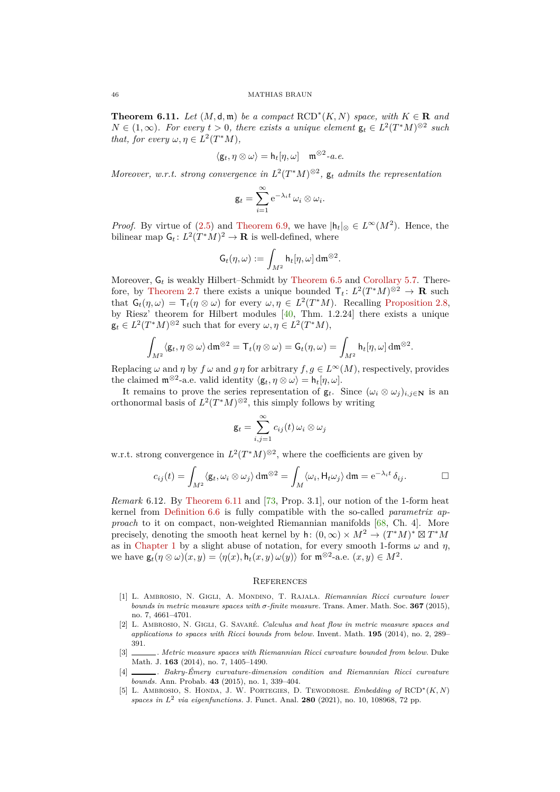<span id="page-45-2"></span>**Theorem 6.11.** *Let*  $(M, \mathsf{d}, \mathfrak{m})$  *be a compact*  $\text{RCD}^*(K, N)$  *space, with*  $K \in \mathbb{R}$  *and*  $N \in (1,\infty)$ *. For every*  $t > 0$ *, there exists a unique element*  $\mathsf{g}_t \in L^2(T^*M)^{\otimes 2}$  such *that, for every*  $\omega, \eta \in L^2(T^*M)$ *,* 

$$
\langle \mathsf{g}_t, \eta \otimes \omega \rangle = \mathsf{h}_t[\eta, \omega] \quad \mathfrak{m}^{\otimes 2}\text{-}a.e.
$$

*Moreover, w.r.t. strong convergence in*  $L^2(T^*M)^{\otimes 2}$ ,  $g_t$  *admits the representation* 

$$
\mathsf{g}_t = \sum_{i=1}^{\infty} e^{-\lambda_i t} \omega_i \otimes \omega_i.
$$

*Proof.* By virtue of [\(2.5\)](#page-9-2) and [Theorem 6.9,](#page-43-0) we have  $|h_t|_{\otimes} \in L^{\infty}(M^2)$ . Hence, the bilinear map  $G_t: L^2(T^*M)^2 \to \mathbf{R}$  is well-defined, where

$$
\mathsf{G}_t(\eta,\omega) := \int_{M^2} \mathsf{h}_t[\eta,\omega] \, \mathrm{d}\mathfrak{m}^{\otimes 2}.
$$

Moreover,  $G_t$  is weakly Hilbert–Schmidt by [Theorem 6.5](#page-40-1) and [Corollary 5.7.](#page-30-2) There-fore, by [Theorem 2.7](#page-12-0) there exists a unique bounded  $\mathsf{T}_t: L^2(T^*M)^{\otimes 2} \to \mathbb{R}$  such that  $G_t(\eta, \omega) = T_t(\eta \otimes \omega)$  for every  $\omega, \eta \in L^2(T^*M)$ . Recalling [Proposition 2.8,](#page-12-1) by Riesz' theorem for Hilbert modules [\[40,](#page-47-1) Thm. 1.2.24] there exists a unique  $\mathbf{g}_t \in L^2(T^*M)^{\otimes 2}$  such that for every  $\omega, \eta \in L^2(T^*M)$ ,

$$
\int_{M^2} \langle \mathsf{g}_t, \eta \otimes \omega \rangle \, \mathrm{d}\mathfrak{m}^{\otimes 2} = \mathsf{T}_t(\eta \otimes \omega) = \mathsf{G}_t(\eta, \omega) = \int_{M^2} \mathsf{h}_t[\eta, \omega] \, \mathrm{d}\mathfrak{m}^{\otimes 2}
$$

*.*

Replacing  $\omega$  and  $\eta$  by  $f \omega$  and  $q \eta$  for arbitrary  $f, q \in L^{\infty}(M)$ , respectively, provides the claimed  $\mathfrak{m}^{\otimes 2}$ -a.e. valid identity  $\langle \mathsf{g}_t, \eta \otimes \omega \rangle = \mathsf{h}_t[\eta, \omega]$ .

It remains to prove the series representation of  $\mathbf{g}_t$ . Since  $(\omega_i \otimes \omega_j)_{i,j \in \mathbb{N}}$  is an orthonormal basis of  $L^2(T^*M)^{\otimes 2}$ , this simply follows by writing

$$
\mathsf{g}_t = \sum_{i,j=1}^{\infty} c_{ij}(t) \, \omega_i \otimes \omega_j
$$

w.r.t. strong convergence in  $L^2(T^*M)^{\otimes 2}$ , where the coefficients are given by

$$
c_{ij}(t) = \int_{M^2} \langle \mathsf{g}_t, \omega_i \otimes \omega_j \rangle \, \mathrm{d}\mathfrak{m}^{\otimes 2} = \int_M \langle \omega_i, \mathsf{H}_t \omega_j \rangle \, \mathrm{d}\mathfrak{m} = \mathrm{e}^{-\lambda_i t} \, \delta_{ij}.
$$

*Remark* 6.12*.* By [Theorem 6.11](#page-45-2) and [\[73,](#page-48-4) Prop. 3.1], our notion of the 1-form heat kernel from [Definition 6.6](#page-42-1) is fully compatible with the so-called *parametrix approach* to it on compact, non-weighted Riemannian manifolds [\[68,](#page-48-13) Ch. 4]. More precisely, denoting the smooth heat kernel by h:  $(0, \infty) \times M^2 \to (T^*M)^* \boxtimes T^*M$ as in [Chapter 1](#page-1-0) by a slight abuse of notation, for every smooth 1-forms  $\omega$  and  $\eta$ , we have  $\mathsf{g}_t(\eta \otimes \omega)(x, y) = \langle \eta(x), \mathsf{h}_t(x, y) \omega(y) \rangle$  for  $\mathfrak{m}^{\otimes 2}$ -a.e.  $(x, y) \in M^2$ .

## <span id="page-45-0"></span>**REFERENCES**

- <span id="page-45-3"></span>[1] L. Ambrosio, N. Gigli, A. Mondino, T. Rajala. *Riemannian Ricci curvature lower bounds in metric measure spaces with σ-finite measure.* Trans. Amer. Math. Soc. **367** (2015), no. 7, 4661–4701.
- <span id="page-45-4"></span>[2] L. Ambrosio, N. Gigli, G. Savaré. *Calculus and heat flow in metric measure spaces and applications to spaces with Ricci bounds from below.* Invent. Math. **195** (2014), no. 2, 289– 391.
- <span id="page-45-1"></span>[3] . *Metric measure spaces with Riemannian Ricci curvature bounded from below.* Duke Math. J. **163** (2014), no. 7, 1405–1490.
- <span id="page-45-6"></span>[4] . *Bakry-Émery curvature-dimension condition and Riemannian Ricci curvature bounds.* Ann. Probab. **43** (2015), no. 1, 339–404.
- <span id="page-45-5"></span>[5] L. Ambrosio, S. Honda, J. W. Portegies, D. Tewodrose. *Embedding of* RCD<sup>∗</sup> (*K, N*) *spaces in L*<sup>2</sup> *via eigenfunctions.* J. Funct. Anal. **280** (2021), no. 10, 108968, 72 pp.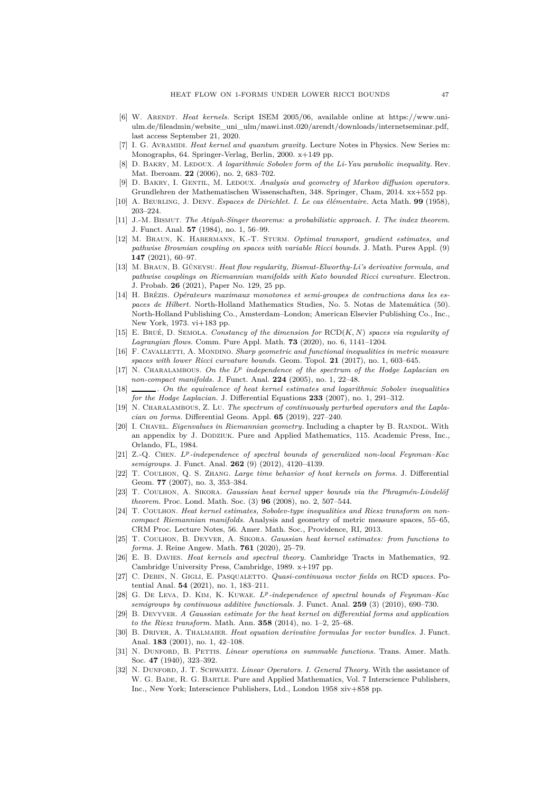- <span id="page-46-26"></span>[6] W. Arendt. *Heat kernels.* Script ISEM 2005/06, available online at https://www.uniulm.de/fileadmin/website\_uni\_ulm/mawi.inst.020/arendt/downloads/internetseminar.pdf, last access September 21, 2020.
- <span id="page-46-11"></span>[7] I. G. Avramidi. *Heat kernel and quantum gravity.* Lecture Notes in Physics. New Series m: Monographs, 64. Springer-Verlag, Berlin, 2000. x+149 pp.
- <span id="page-46-12"></span> $D.$  BAKRY, M. LEDOUX. *A logarithmic Sobolev form of the Li-Yau parabolic inequality.* Rev. Mat. Iberoam. **22** (2006), no. 2, 683–702.
- <span id="page-46-15"></span>[9] D. BAKRY, I. GENTIL, M. LEDOUX. *Analysis and geometry of Markov diffusion operators.* Grundlehren der Mathematischen Wissenschaften, 348. Springer, Cham, 2014. xx+552 pp.
- <span id="page-46-14"></span><span id="page-46-4"></span>[10] A. Beurling, J. Deny. *Espaces de Dirichlet. I. Le cas élémentaire.* Acta Math. **99** (1958), 203–224.
- [11] J.-M. Bismut. *The Atiyah-Singer theorems: a probabilistic approach. I. The index theorem.* J. Funct. Anal. **57** (1984), no. 1, 56–99.
- <span id="page-46-5"></span>[12] M. Braun, K. Habermann, K.-T. Sturm. *Optimal transport, gradient estimates, and pathwise Brownian coupling on spaces with variable Ricci bounds.* J. Math. Pures Appl. (9) **147** (2021), 60–97.
- <span id="page-46-6"></span>[13] M. Braun, B. Güneysu. *Heat flow regularity, Bismut-Elworthy-Li's derivative formula, and pathwise couplings on Riemannian manifolds with Kato bounded Ricci curvature.* Electron. J. Probab. **26** (2021), Paper No. 129, 25 pp.
- <span id="page-46-25"></span>[14] H. Brézis. *Opérateurs maximaux monotones et semi-groupes de contractions dans les espaces de Hilbert.* North-Holland Mathematics Studies, No. 5. Notas de Matemática (50). North-Holland Publishing Co., Amsterdam–London; American Elsevier Publishing Co., Inc., New York, 1973. vi+183 pp.
- <span id="page-46-24"></span>[15] E. Brué, D. Semola. *Constancy of the dimension for* RCD(*K, N*) *spaces via regularity of Lagrangian flows.* Comm. Pure Appl. Math. **73** (2020), no. 6, 1141–1204.
- <span id="page-46-17"></span>[16] F. Cavalletti, A. Mondino. *Sharp geometric and functional inequalities in metric measure spaces with lower Ricci curvature bounds.* Geom. Topol. **21** (2017), no. 1, 603–645.
- <span id="page-46-19"></span>[17] N. Charalambous. *On the L<sup>p</sup> independence of the spectrum of the Hodge Laplacian on non-compact manifolds.* J. Funct. Anal. **224** (2005), no. 1, 22–48.
- <span id="page-46-0"></span>[18] . *On the equivalence of heat kernel estimates and logarithmic Sobolev inequalities for the Hodge Laplacian.* J. Differential Equations **233** (2007), no. 1, 291–312.
- <span id="page-46-18"></span>[19] N. Charalambous, Z. Lu. *The spectrum of continuously perturbed operators and the Laplacian on forms.* Differential Geom. Appl. **65** (2019), 227–240.
- <span id="page-46-1"></span>[20] I. CHAVEL. *Eigenvalues in Riemannian geometry*. Including a chapter by B. RANDOL. With an appendix by J. Dodziuk. Pure and Applied Mathematics, 115. Academic Press, Inc., Orlando, FL, 1984.
- <span id="page-46-20"></span>[21] Z.-Q. Chen. *L<sup>p</sup> -independence of spectral bounds of generalized non-local Feynman–Kac semigroups.* J. Funct. Anal. **262** (9) (2012), 4120–4139.
- <span id="page-46-2"></span>[22] T. Coulhon, Q. S. Zhang. *Large time behavior of heat kernels on forms.* J. Differential Geom. **77** (2007), no. 3, 353–384.
- <span id="page-46-8"></span>[23] T. Coulhon, A. Sikora. *Gaussian heat kernel upper bounds via the Phragmén-Lindelöf theorem.* Proc. Lond. Math. Soc. (3) **96** (2008), no. 2, 507–544.
- <span id="page-46-9"></span>[24] T. Coulhon. *Heat kernel estimates, Sobolev-type inequalities and Riesz transform on noncompact Riemannian manifolds.* Analysis and geometry of metric measure spaces, 55–65, CRM Proc. Lecture Notes, 56. Amer. Math. Soc., Providence, RI, 2013.
- <span id="page-46-10"></span>[25] T. Coulhon, B. Deyver, A. Sikora. *Gaussian heat kernel estimates: from functions to forms.* J. Reine Angew. Math. **761** (2020), 25–79.
- <span id="page-46-16"></span>[26] E. B. Davies. *Heat kernels and spectral theory.* Cambridge Tracts in Mathematics, 92. Cambridge University Press, Cambridge, 1989. x+197 pp.
- <span id="page-46-13"></span>[27] C. Debin, N. Gigli, E. Pasqualetto. *Quasi-continuous vector fields on* RCD *spaces.* Potential Anal. **54** (2021), no. 1, 183–211.
- <span id="page-46-21"></span>[28] G. De Leva, D. Kim, K. Kuwae. *L<sup>p</sup> -independence of spectral bounds of Feynman–Kac semigroups by continuous additive functionals.* J. Funct. Anal. **259** (3) (2010), 690–730.
- <span id="page-46-3"></span>[29] B. Devyver. *A Gaussian estimate for the heat kernel on differential forms and application to the Riesz transform.* Math. Ann. **358** (2014), no. 1–2, 25–68.
- <span id="page-46-7"></span>[30] B. Driver, A. Thalmaier. *Heat equation derivative formulas for vector bundles.* J. Funct. Anal. **183** (2001), no. 1, 42–108.
- <span id="page-46-22"></span>[31] N. Dunford, B. Pettis. *Linear operations on summable functions.* Trans. Amer. Math. Soc. **47** (1940), 323–392.
- <span id="page-46-23"></span>[32] N. DUNFORD, J. T. SCHWARTZ. *Linear Operators. I. General Theory*. With the assistance of W. G. BADE, R. G. BARTLE. Pure and Applied Mathematics, Vol. 7 Interscience Publishers, Inc., New York; Interscience Publishers, Ltd., London 1958 xiv+858 pp.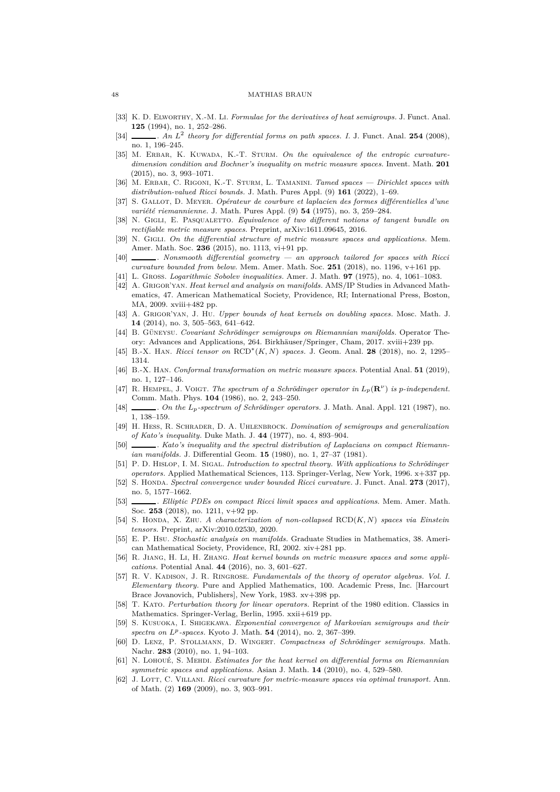#### <span id="page-47-3"></span>48 MATHIAS BRAUN

- [33] K. D. Elworthy, X.-M. Li. *Formulae for the derivatives of heat semigroups.* J. Funct. Anal. **125** (1994), no. 1, 252–286.
- <span id="page-47-4"></span>[34] . *An L*<sup>2</sup> *theory for differential forms on path spaces. I.* J. Funct. Anal. **254** (2008), no. 1, 196–245.
- <span id="page-47-10"></span>[35] M. ERBAR, K. KUWADA, K.-T. STURM. On the equivalence of the entropic curvature*dimension condition and Bochner's inequality on metric measure spaces.* Invent. Math. **201** (2015), no. 3, 993–1071.
- <span id="page-47-5"></span>[36] M. Erbar, C. Rigoni, K.-T. Sturm, L. Tamanini. *Tamed spaces — Dirichlet spaces with distribution-valued Ricci bounds.* J. Math. Pures Appl. (9) **161** (2022), 1–69.
- <span id="page-47-7"></span>[37] S. Gallot, D. Meyer. *Opérateur de courbure et laplacien des formes différentielles d'une variété riemannienne.* J. Math. Pures Appl. (9) **54** (1975), no. 3, 259–284.
- <span id="page-47-28"></span>[38] N. Gigli, E. Pasqualetto. *Equivalence of two different notions of tangent bundle on rectifiable metric measure spaces.* Preprint, arXiv:1611.09645, 2016.
- <span id="page-47-0"></span>[39] N. GIGLI. On the differential structure of metric measure spaces and applications. Mem. Amer. Math. Soc. **236** (2015), no. 1113, vi+91 pp.
- <span id="page-47-1"></span>[40] . *Nonsmooth differential geometry — an approach tailored for spaces with Ricci curvature bounded from below.* Mem. Amer. Math. Soc. **251** (2018), no. 1196, v+161 pp.
- <span id="page-47-27"></span><span id="page-47-12"></span>[41] L. Gross. *Logarithmic Sobolev inequalities.* Amer. J. Math. **97** (1975), no. 4, 1061–1083.
- [42] A. Grigor'yan. *Heat kernel and analysis on manifolds.* AMS/IP Studies in Advanced Mathematics, 47. American Mathematical Society, Providence, RI; International Press, Boston, MA, 2009. xviii+482 pp.
- <span id="page-47-26"></span>[43] A. Grigor'yan, J. Hu. *Upper bounds of heat kernels on doubling spaces.* Mosc. Math. J. **14** (2014), no. 3, 505–563, 641–642.
- <span id="page-47-13"></span>[44] B. Güneysu. *Covariant Schrödinger semigroups on Riemannian manifolds.* Operator Theory: Advances and Applications, 264. Birkhäuser/Springer, Cham, 2017. xviii+239 pp.
- <span id="page-47-11"></span>[45] B.-X. Han. *Ricci tensor on* RCD<sup>∗</sup> (*K, N*) *spaces.* J. Geom. Anal. **28** (2018), no. 2, 1295– 1314.
- [46] B.-X. Han. *Conformal transformation on metric measure spaces.* Potential Anal. **51** (2019), no. 1, 127–146.
- <span id="page-47-18"></span>[47] R. HEMPEL, J. VOIGT. *The spectrum of a Schrödinger operator in*  $L_p(\mathbf{R}^{\nu})$  *is p-independent.* Comm. Math. Phys. **104** (1986), no. 2, 243–250.
- <span id="page-47-19"></span>[48] . *On the Lp-spectrum of Schrödinger operators.* J. Math. Anal. Appl. 121 (1987), no. 1, 138–159.
- <span id="page-47-9"></span>[49] H. Hess, R. Schrader, D. A. Uhlenbrock. *Domination of semigroups and generalization of Kato's inequality.* Duke Math. J. **44** (1977), no. 4, 893–904.
- <span id="page-47-8"></span>[50] . *Kato's inequality and the spectral distribution of Laplacians on compact Riemannian manifolds.* J. Differential Geom. **15** (1980), no. 1, 27–37 (1981).
- <span id="page-47-23"></span>[51] P. D. Hislop, I. M. Sigal. *Introduction to spectral theory. With applications to Schrödinger operators.* Applied Mathematical Sciences, 113. Springer-Verlag, New York, 1996. x+337 pp.
- <span id="page-47-14"></span>[52] S. Honda. *Spectral convergence under bounded Ricci curvature.* J. Funct. Anal. **273** (2017), no. 5, 1577–1662.
- <span id="page-47-15"></span>[53] . *Elliptic PDEs on compact Ricci limit spaces and applications.* Mem. Amer. Math. Soc. **253** (2018), no. 1211, v+92 pp.
- <span id="page-47-16"></span>[54] S. Honda, X. Zhu. *A characterization of non-collapsed* RCD(*K, N*) *spaces via Einstein tensors.* Preprint, arXiv:2010.02530, 2020.
- <span id="page-47-6"></span>[55] E. P. Hsu. *Stochastic analysis on manifolds.* Graduate Studies in Mathematics, 38. American Mathematical Society, Providence, RI, 2002. xiv+281 pp.
- <span id="page-47-17"></span>[56] R. Jiang, H. Li, H. Zhang. *Heat kernel bounds on metric measure spaces and some applications.* Potential Anal. **44** (2016), no. 3, 601–627.
- <span id="page-47-22"></span>[57] R. V. KADISON, J. R. RINGROSE. *Fundamentals of the theory of operator algebras. Vol. I. Elementary theory.* Pure and Applied Mathematics, 100. Academic Press, Inc. [Harcourt Brace Jovanovich, Publishers], New York, 1983. xv+398 pp.
- <span id="page-47-25"></span>[58] T. Kato. *Perturbation theory for linear operators.* Reprint of the 1980 edition. Classics in Mathematics. Springer-Verlag, Berlin, 1995. xxii+619 pp.
- <span id="page-47-20"></span>[59] S. Kusuoka, I. Shigekawa. *Exponential convergence of Markovian semigroups and their spectra on L<sup>p</sup> -spaces.* Kyoto J. Math. **54** (2014), no. 2, 367–399.
- <span id="page-47-24"></span>[60] D. Lenz, P. Stollmann, D. Wingert. *Compactness of Schrödinger semigroups.* Math. Nachr. **283** (2010), no. 1, 94–103.
- <span id="page-47-2"></span>[61] N. LOHOUÉ, S. MEHDI. *Estimates for the heat kernel on differential forms on Riemannian symmetric spaces and applications.* Asian J. Math. **14** (2010), no. 4, 529–580.
- <span id="page-47-21"></span>[62] J. Lott, C. Villani. *Ricci curvature for metric-measure spaces via optimal transport.* Ann. of Math. (2) **169** (2009), no. 3, 903–991.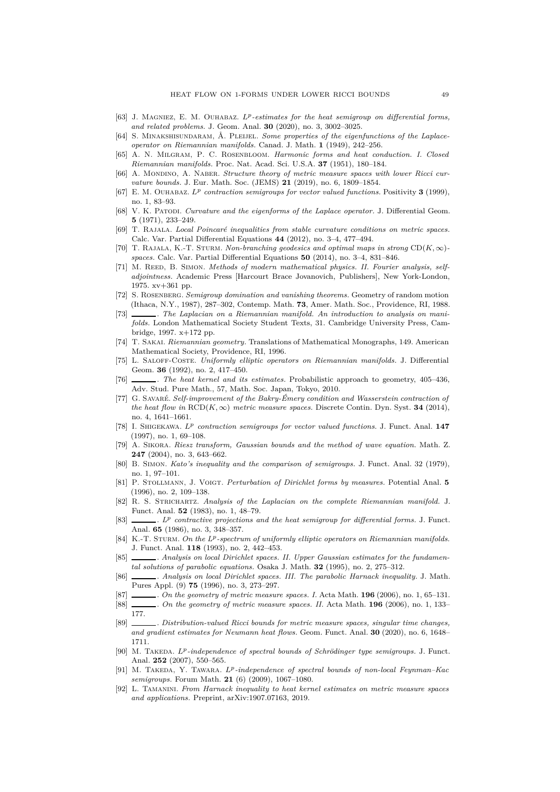- <span id="page-48-3"></span><span id="page-48-0"></span>[63] J. Magniez, E. M. Ouhabaz. *L<sup>p</sup> -estimates for the heat semigroup on differential forms, and related problems.* J. Geom. Anal. **30** (2020), no. 3, 3002–3025.
- <span id="page-48-2"></span>[64] S. MINAKSHISUNDARAM, Å. PLEIJEL. *Some properties of the eigenfunctions of the Laplaceoperator on Riemannian manifolds.* Canad. J. Math. **1** (1949), 242–256.
- <span id="page-48-17"></span>[65] A. N. Milgram, P. C. Rosenbloom. *Harmonic forms and heat conduction. I. Closed Riemannian manifolds.* Proc. Nat. Acad. Sci. U.S.A. **37** (1951), 180–184.
- [66] A. MONDINO, A. NABER. *Structure theory of metric measure spaces with lower Ricci curvature bounds.* J. Eur. Math. Soc. (JEMS) **21** (2019), no. 6, 1809–1854.
- <span id="page-48-24"></span>[67] E. M. Ouhabaz. *L<sup>p</sup> contraction semigroups for vector valued functions.* Positivity **3** (1999), no. 1, 83–93.
- <span id="page-48-13"></span>[68] V. K. Patopl. *Curvature and the eigenforms of the Laplace operator*. J. Differential Geom. **5** (1971), 233–249.
- <span id="page-48-21"></span>[69] T. Rajala. *Local Poincaré inequalities from stable curvature conditions on metric spaces.* Calc. Var. Partial Differential Equations **44** (2012), no. 3–4, 477–494.
- [70] T. RAJALA, K.-T. STURM. *Non-branching geodesics and optimal maps in strong*  $CD(K, \infty)$ *spaces.* Calc. Var. Partial Differential Equations **50** (2014), no. 3–4, 831–846.
- <span id="page-48-23"></span>[71] M. REED, B. SIMON. *Methods of modern mathematical physics. II. Fourier analysis, selfadjointness.* Academic Press [Harcourt Brace Jovanovich, Publishers], New York-London, 1975. xv+361 pp.
- <span id="page-48-5"></span>[72] S. Rosenberg. *Semigroup domination and vanishing theorems.* Geometry of random motion (Ithaca, N.Y., 1987), 287–302, Contemp. Math. **73**, Amer. Math. Soc., Providence, RI, 1988.
- <span id="page-48-4"></span>[73] . *The Laplacian on a Riemannian manifold. An introduction to analysis on manifolds.* London Mathematical Society Student Texts, 31. Cambridge University Press, Cambridge, 1997. x+172 pp.
- <span id="page-48-28"></span>[74] T. Sakai. *Riemannian geometry.* Translations of Mathematical Monographs, 149. American Mathematical Society, Providence, RI, 1996.
- <span id="page-48-9"></span>[75] L. Saloff-Coste. *Uniformly elliptic operators on Riemannian manifolds.* J. Differential Geom. **36** (1992), no. 2, 417–450.
- <span id="page-48-16"></span>[76] . *The heat kernel and its estimates.* Probabilistic approach to geometry, 405–436, Adv. Stud. Pure Math., 57, Math. Soc. Japan, Tokyo, 2010.
- <span id="page-48-19"></span>[77] G. Savaré. *Self-improvement of the Bakry-Émery condition and Wasserstein contraction of the heat flow in*  $RCD(K, \infty)$  *metric measure spaces.* Discrete Contin. Dyn. Syst. **34** (2014), no. 4, 1641–1661.
- <span id="page-48-25"></span>[78] I. Shigekawa. *L<sup>p</sup> contraction semigroups for vector valued functions.* J. Funct. Anal. **147** (1997), no. 1, 69–108.
- <span id="page-48-14"></span>[79] A. Sikora. *Riesz transform, Gaussian bounds and the method of wave equation.* Math. Z. **247** (2004), no. 3, 643–662.
- <span id="page-48-7"></span>[80] B. Simon. *Kato's inequality and the comparison of semigroups.* J. Funct. Anal. 32 (1979), no. 1, 97–101.
- <span id="page-48-26"></span>[81] P. Stollmann, J. Voigt. *Perturbation of Dirichlet forms by measures.* Potential Anal. **5** (1996), no. 2, 109–138.
- <span id="page-48-6"></span>[82] R. S. Strichartz. *Analysis of the Laplacian on the complete Riemannian manifold.* J. Funct. Anal. **52** (1983), no. 1, 48–79.
- <span id="page-48-27"></span>[83]  $\ldots$  *LP* contractive projections and the heat semigroup for differential forms. J. Funct. Anal. **65** (1986), no. 3, 348–357.
- <span id="page-48-10"></span>[84] K.-T. STURM. On the L<sup>p</sup>-spectrum of uniformly elliptic operators on Riemannian manifolds. J. Funct. Anal. **118** (1993), no. 2, 442–453.
- <span id="page-48-15"></span>[85] *\_\_\_\_\_\_. Analysis on local Dirichlet spaces. II. Upper Gaussian estimates for the fundamental solutions of parabolic equations.* Osaka J. Math. **32** (1995), no. 2, 275–312.
- <span id="page-48-22"></span>[86] . *Analysis on local Dirichlet spaces. III. The parabolic Harnack inequality.* J. Math. Pures Appl. (9) **75** (1996), no. 3, 273–297.
- <span id="page-48-20"></span><span id="page-48-18"></span>[87] . *On the geometry of metric measure spaces. I.* Acta Math. **196** (2006), no. 1, 65–131.
- [88] . *On the geometry of metric measure spaces. II.* Acta Math. **196** (2006), no. 1, 133– 177.
- <span id="page-48-1"></span>[89] . *Distribution-valued Ricci bounds for metric measure spaces, singular time changes, and gradient estimates for Neumann heat flows.* Geom. Funct. Anal. **30** (2020), no. 6, 1648– 1711.
- <span id="page-48-11"></span>[90] M. TAKEDA. *L<sup>p</sup>*-independence of spectral bounds of Schrödinger type semigroups. J. Funct. Anal. **252** (2007), 550–565.
- <span id="page-48-12"></span>[91] M. Takeda, Y. Tawara. *Lp-independence of spectral bounds of non-local Feynman–Kac semigroups.* Forum Math. **21** (6) (2009), 1067–1080.
- <span id="page-48-8"></span>[92] L. Tamanini. *From Harnack inequality to heat kernel estimates on metric measure spaces and applications.* Preprint, arXiv:1907.07163, 2019.